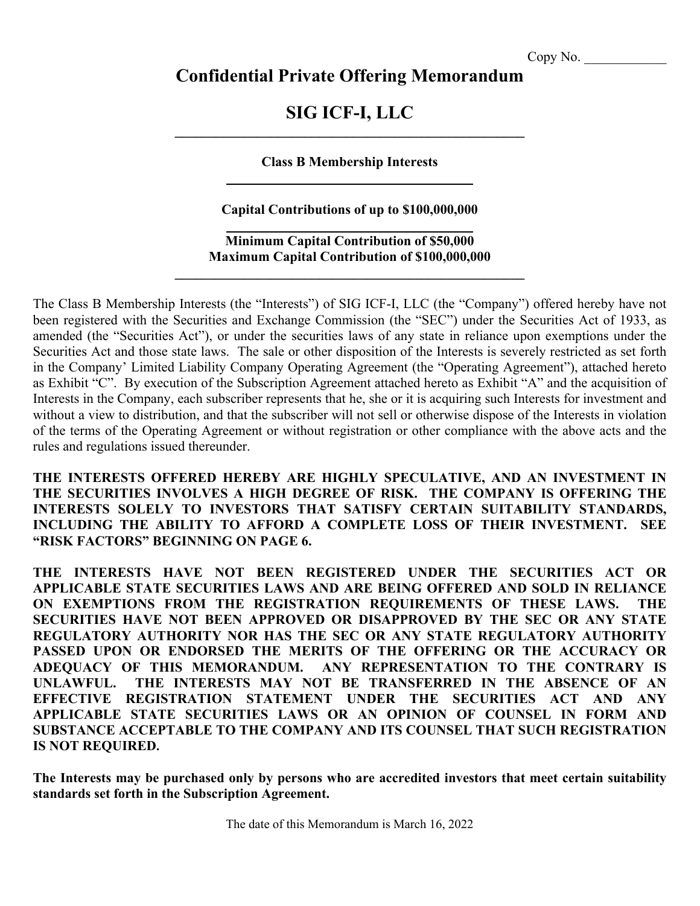# **Confidential Private Offering Memorandum**

# **SIG ICF-I, LLC \_\_\_\_\_\_\_\_\_\_\_\_\_\_\_\_\_\_\_\_\_\_\_\_\_\_\_\_\_\_\_\_\_\_\_\_\_\_\_\_\_\_\_\_\_\_\_\_\_\_\_**

# **Class B Membership Interests**

# **Capital Contributions of up to \$100,000,000**

# **Minimum Capital Contribution of \$50,000 Maximum Capital Contribution of \$100,000,000**

**\_\_\_\_\_\_\_\_\_\_\_\_\_\_\_\_\_\_\_\_\_\_\_\_\_\_\_\_\_\_\_\_\_\_\_\_\_\_\_\_\_\_\_\_\_\_\_\_\_\_\_**

The Class B Membership Interests (the "Interests") of SIG ICF-I, LLC (the "Company") offered hereby have not been registered with the Securities and Exchange Commission (the "SEC") under the Securities Act of 1933, as amended (the "Securities Act"), or under the securities laws of any state in reliance upon exemptions under the Securities Act and those state laws. The sale or other disposition of the Interests is severely restricted as set forth in the Company' Limited Liability Company Operating Agreement (the "Operating Agreement"), attached hereto as Exhibit "C". By execution of the Subscription Agreement attached hereto as Exhibit "A" and the acquisition of Interests in the Company, each subscriber represents that he, she or it is acquiring such Interests for investment and without a view to distribution, and that the subscriber will not sell or otherwise dispose of the Interests in violation of the terms of the Operating Agreement or without registration or other compliance with the above acts and the rules and regulations issued thereunder.

**THE INTERESTS OFFERED HEREBY ARE HIGHLY SPECULATIVE, AND AN INVESTMENT IN THE SECURITIES INVOLVES A HIGH DEGREE OF RISK. THE COMPANY IS OFFERING THE INTERESTS SOLELY TO INVESTORS THAT SATISFY CERTAIN SUITABILITY STANDARDS, INCLUDING THE ABILITY TO AFFORD A COMPLETE LOSS OF THEIR INVESTMENT. SEE "RISK FACTORS" BEGINNING ON PAGE 6.**

**THE INTERESTS HAVE NOT BEEN REGISTERED UNDER THE SECURITIES ACT OR APPLICABLE STATE SECURITIES LAWS AND ARE BEING OFFERED AND SOLD IN RELIANCE ON EXEMPTIONS FROM THE REGISTRATION REQUIREMENTS OF THESE LAWS. THE SECURITIES HAVE NOT BEEN APPROVED OR DISAPPROVED BY THE SEC OR ANY STATE REGULATORY AUTHORITY NOR HAS THE SEC OR ANY STATE REGULATORY AUTHORITY PASSED UPON OR ENDORSED THE MERITS OF THE OFFERING OR THE ACCURACY OR ADEQUACY OF THIS MEMORANDUM. ANY REPRESENTATION TO THE CONTRARY IS UNLAWFUL. THE INTERESTS MAY NOT BE TRANSFERRED IN THE ABSENCE OF AN EFFECTIVE REGISTRATION STATEMENT UNDER THE SECURITIES ACT AND ANY APPLICABLE STATE SECURITIES LAWS OR AN OPINION OF COUNSEL IN FORM AND SUBSTANCE ACCEPTABLE TO THE COMPANY AND ITS COUNSEL THAT SUCH REGISTRATION IS NOT REQUIRED.**

**The Interests may be purchased only by persons who are accredited investors that meet certain suitability standards set forth in the Subscription Agreement.**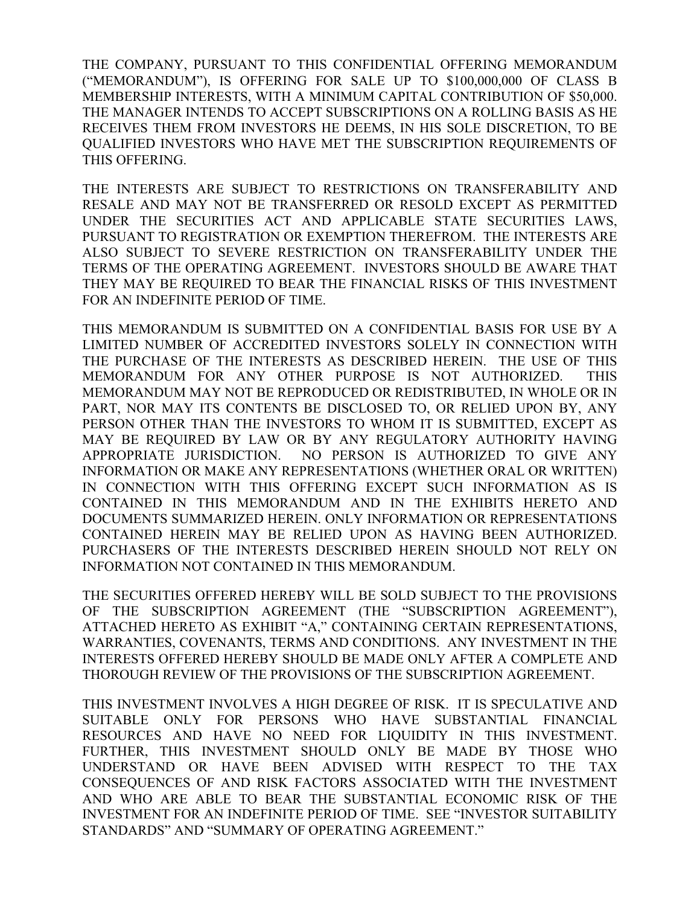THE COMPANY, PURSUANT TO THIS CONFIDENTIAL OFFERING MEMORANDUM ("MEMORANDUM"), IS OFFERING FOR SALE UP TO \$100,000,000 OF CLASS B MEMBERSHIP INTERESTS, WITH A MINIMUM CAPITAL CONTRIBUTION OF \$50,000. THE MANAGER INTENDS TO ACCEPT SUBSCRIPTIONS ON A ROLLING BASIS AS HE RECEIVES THEM FROM INVESTORS HE DEEMS, IN HIS SOLE DISCRETION, TO BE QUALIFIED INVESTORS WHO HAVE MET THE SUBSCRIPTION REQUIREMENTS OF THIS OFFERING.

THE INTERESTS ARE SUBJECT TO RESTRICTIONS ON TRANSFERABILITY AND RESALE AND MAY NOT BE TRANSFERRED OR RESOLD EXCEPT AS PERMITTED UNDER THE SECURITIES ACT AND APPLICABLE STATE SECURITIES LAWS, PURSUANT TO REGISTRATION OR EXEMPTION THEREFROM. THE INTERESTS ARE ALSO SUBJECT TO SEVERE RESTRICTION ON TRANSFERABILITY UNDER THE TERMS OF THE OPERATING AGREEMENT. INVESTORS SHOULD BE AWARE THAT THEY MAY BE REQUIRED TO BEAR THE FINANCIAL RISKS OF THIS INVESTMENT FOR AN INDEFINITE PERIOD OF TIME.

THIS MEMORANDUM IS SUBMITTED ON A CONFIDENTIAL BASIS FOR USE BY A LIMITED NUMBER OF ACCREDITED INVESTORS SOLELY IN CONNECTION WITH THE PURCHASE OF THE INTERESTS AS DESCRIBED HEREIN. THE USE OF THIS MEMORANDUM FOR ANY OTHER PURPOSE IS NOT AUTHORIZED. THIS MEMORANDUM MAY NOT BE REPRODUCED OR REDISTRIBUTED, IN WHOLE OR IN PART, NOR MAY ITS CONTENTS BE DISCLOSED TO, OR RELIED UPON BY, ANY PERSON OTHER THAN THE INVESTORS TO WHOM IT IS SUBMITTED, EXCEPT AS MAY BE REQUIRED BY LAW OR BY ANY REGULATORY AUTHORITY HAVING APPROPRIATE JURISDICTION. NO PERSON IS AUTHORIZED TO GIVE ANY INFORMATION OR MAKE ANY REPRESENTATIONS (WHETHER ORAL OR WRITTEN) IN CONNECTION WITH THIS OFFERING EXCEPT SUCH INFORMATION AS IS CONTAINED IN THIS MEMORANDUM AND IN THE EXHIBITS HERETO AND DOCUMENTS SUMMARIZED HEREIN. ONLY INFORMATION OR REPRESENTATIONS CONTAINED HEREIN MAY BE RELIED UPON AS HAVING BEEN AUTHORIZED. PURCHASERS OF THE INTERESTS DESCRIBED HEREIN SHOULD NOT RELY ON INFORMATION NOT CONTAINED IN THIS MEMORANDUM.

THE SECURITIES OFFERED HEREBY WILL BE SOLD SUBJECT TO THE PROVISIONS OF THE SUBSCRIPTION AGREEMENT (THE "SUBSCRIPTION AGREEMENT"), ATTACHED HERETO AS EXHIBIT "A," CONTAINING CERTAIN REPRESENTATIONS, WARRANTIES, COVENANTS, TERMS AND CONDITIONS. ANY INVESTMENT IN THE INTERESTS OFFERED HEREBY SHOULD BE MADE ONLY AFTER A COMPLETE AND THOROUGH REVIEW OF THE PROVISIONS OF THE SUBSCRIPTION AGREEMENT.

THIS INVESTMENT INVOLVES A HIGH DEGREE OF RISK. IT IS SPECULATIVE AND SUITABLE ONLY FOR PERSONS WHO HAVE SUBSTANTIAL FINANCIAL RESOURCES AND HAVE NO NEED FOR LIQUIDITY IN THIS INVESTMENT. FURTHER, THIS INVESTMENT SHOULD ONLY BE MADE BY THOSE WHO UNDERSTAND OR HAVE BEEN ADVISED WITH RESPECT TO THE TAX CONSEQUENCES OF AND RISK FACTORS ASSOCIATED WITH THE INVESTMENT AND WHO ARE ABLE TO BEAR THE SUBSTANTIAL ECONOMIC RISK OF THE INVESTMENT FOR AN INDEFINITE PERIOD OF TIME. SEE "INVESTOR SUITABILITY STANDARDS" AND "SUMMARY OF OPERATING AGREEMENT."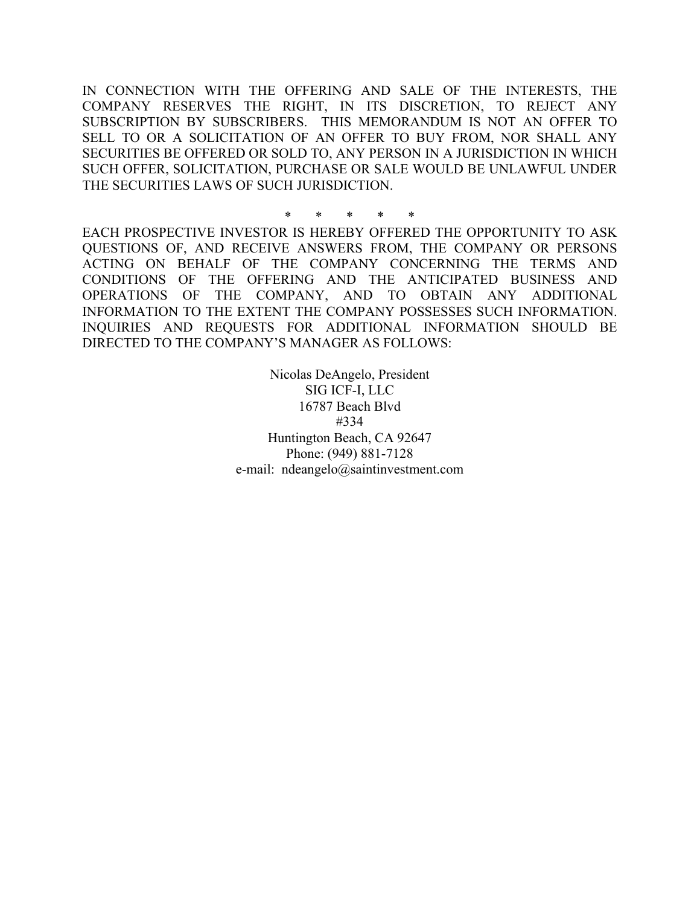IN CONNECTION WITH THE OFFERING AND SALE OF THE INTERESTS, THE COMPANY RESERVES THE RIGHT, IN ITS DISCRETION, TO REJECT ANY SUBSCRIPTION BY SUBSCRIBERS. THIS MEMORANDUM IS NOT AN OFFER TO SELL TO OR A SOLICITATION OF AN OFFER TO BUY FROM, NOR SHALL ANY SECURITIES BE OFFERED OR SOLD TO, ANY PERSON IN A JURISDICTION IN WHICH SUCH OFFER, SOLICITATION, PURCHASE OR SALE WOULD BE UNLAWFUL UNDER THE SECURITIES LAWS OF SUCH JURISDICTION.

\* \* \* \* \* EACH PROSPECTIVE INVESTOR IS HEREBY OFFERED THE OPPORTUNITY TO ASK QUESTIONS OF, AND RECEIVE ANSWERS FROM, THE COMPANY OR PERSONS ACTING ON BEHALF OF THE COMPANY CONCERNING THE TERMS AND CONDITIONS OF THE OFFERING AND THE ANTICIPATED BUSINESS AND OPERATIONS OF THE COMPANY, AND TO OBTAIN ANY ADDITIONAL INFORMATION TO THE EXTENT THE COMPANY POSSESSES SUCH INFORMATION. INQUIRIES AND REQUESTS FOR ADDITIONAL INFORMATION SHOULD BE DIRECTED TO THE COMPANY'S MANAGER AS FOLLOWS:

> Nicolas DeAngelo, President SIG ICF-I, LLC 16787 Beach Blvd #334 Huntington Beach, CA 92647 Phone: (949) 881-7128 e-mail: ndeangelo@saintinvestment.com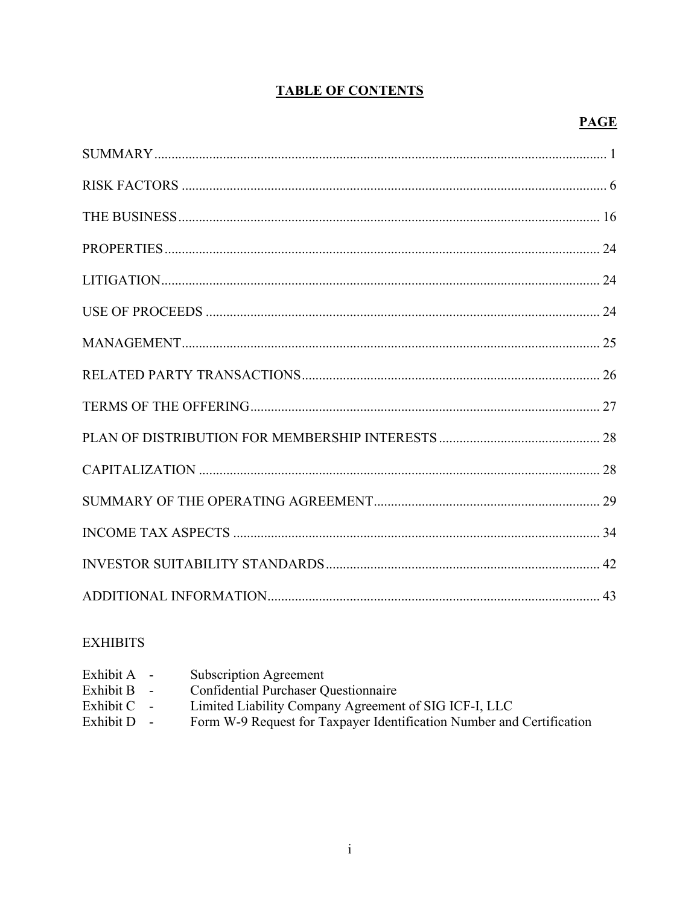# **TABLE OF CONTENTS**

# **PAGE**

# **EXHIBITS**

| Exhibit A -   | Subscription Agreement                                                |
|---------------|-----------------------------------------------------------------------|
| Exhibit $B -$ | <b>Confidential Purchaser Questionnaire</b>                           |
| Exhibit $C -$ | Limited Liability Company Agreement of SIG ICF-I, LLC                 |
| Exhibit $D -$ | Form W-9 Request for Taxpayer Identification Number and Certification |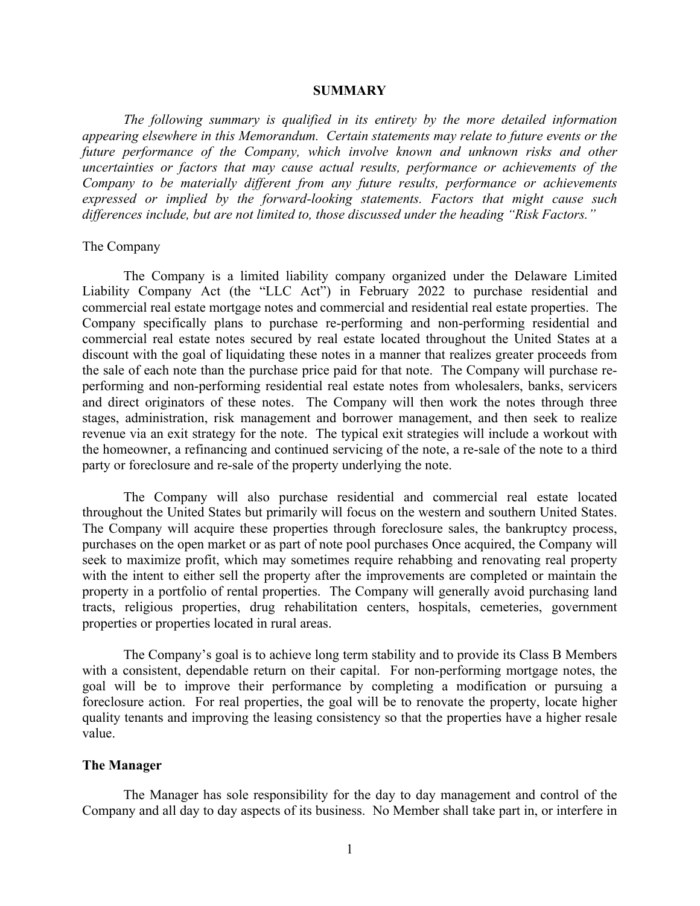#### **SUMMARY**

*The following summary is qualified in its entirety by the more detailed information appearing elsewhere in this Memorandum. Certain statements may relate to future events or the future performance of the Company, which involve known and unknown risks and other uncertainties or factors that may cause actual results, performance or achievements of the Company to be materially different from any future results, performance or achievements expressed or implied by the forward-looking statements. Factors that might cause such differences include, but are not limited to, those discussed under the heading "Risk Factors."*

#### The Company

The Company is a limited liability company organized under the Delaware Limited Liability Company Act (the "LLC Act") in February 2022 to purchase residential and commercial real estate mortgage notes and commercial and residential real estate properties. The Company specifically plans to purchase re-performing and non-performing residential and commercial real estate notes secured by real estate located throughout the United States at a discount with the goal of liquidating these notes in a manner that realizes greater proceeds from the sale of each note than the purchase price paid for that note. The Company will purchase reperforming and non-performing residential real estate notes from wholesalers, banks, servicers and direct originators of these notes. The Company will then work the notes through three stages, administration, risk management and borrower management, and then seek to realize revenue via an exit strategy for the note. The typical exit strategies will include a workout with the homeowner, a refinancing and continued servicing of the note, a re-sale of the note to a third party or foreclosure and re-sale of the property underlying the note.

The Company will also purchase residential and commercial real estate located throughout the United States but primarily will focus on the western and southern United States. The Company will acquire these properties through foreclosure sales, the bankruptcy process, purchases on the open market or as part of note pool purchases Once acquired, the Company will seek to maximize profit, which may sometimes require rehabbing and renovating real property with the intent to either sell the property after the improvements are completed or maintain the property in a portfolio of rental properties. The Company will generally avoid purchasing land tracts, religious properties, drug rehabilitation centers, hospitals, cemeteries, government properties or properties located in rural areas.

The Company's goal is to achieve long term stability and to provide its Class B Members with a consistent, dependable return on their capital. For non-performing mortgage notes, the goal will be to improve their performance by completing a modification or pursuing a foreclosure action. For real properties, the goal will be to renovate the property, locate higher quality tenants and improving the leasing consistency so that the properties have a higher resale value.

#### **The Manager**

The Manager has sole responsibility for the day to day management and control of the Company and all day to day aspects of its business. No Member shall take part in, or interfere in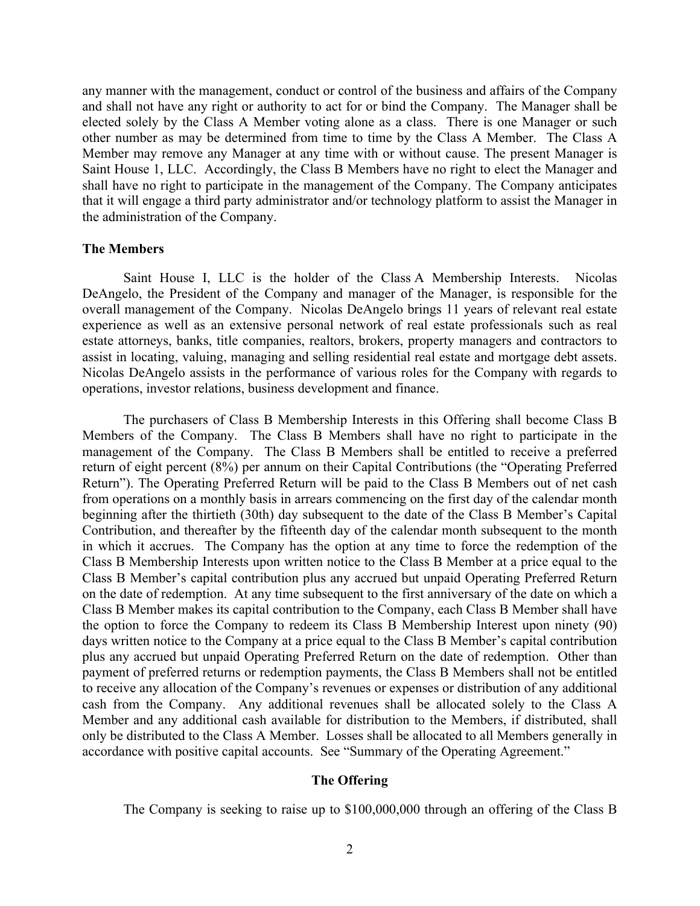any manner with the management, conduct or control of the business and affairs of the Company and shall not have any right or authority to act for or bind the Company. The Manager shall be elected solely by the Class A Member voting alone as a class. There is one Manager or such other number as may be determined from time to time by the Class A Member. The Class A Member may remove any Manager at any time with or without cause. The present Manager is Saint House 1, LLC. Accordingly, the Class B Members have no right to elect the Manager and shall have no right to participate in the management of the Company. The Company anticipates that it will engage a third party administrator and/or technology platform to assist the Manager in the administration of the Company.

#### **The Members**

Saint House I, LLC is the holder of the Class A Membership Interests. Nicolas DeAngelo, the President of the Company and manager of the Manager, is responsible for the overall management of the Company. Nicolas DeAngelo brings 11 years of relevant real estate experience as well as an extensive personal network of real estate professionals such as real estate attorneys, banks, title companies, realtors, brokers, property managers and contractors to assist in locating, valuing, managing and selling residential real estate and mortgage debt assets. Nicolas DeAngelo assists in the performance of various roles for the Company with regards to operations, investor relations, business development and finance.

The purchasers of Class B Membership Interests in this Offering shall become Class B Members of the Company. The Class B Members shall have no right to participate in the management of the Company. The Class B Members shall be entitled to receive a preferred return of eight percent (8%) per annum on their Capital Contributions (the "Operating Preferred Return"). The Operating Preferred Return will be paid to the Class B Members out of net cash from operations on a monthly basis in arrears commencing on the first day of the calendar month beginning after the thirtieth (30th) day subsequent to the date of the Class B Member's Capital Contribution, and thereafter by the fifteenth day of the calendar month subsequent to the month in which it accrues. The Company has the option at any time to force the redemption of the Class B Membership Interests upon written notice to the Class B Member at a price equal to the Class B Member's capital contribution plus any accrued but unpaid Operating Preferred Return on the date of redemption. At any time subsequent to the first anniversary of the date on which a Class B Member makes its capital contribution to the Company, each Class B Member shall have the option to force the Company to redeem its Class B Membership Interest upon ninety (90) days written notice to the Company at a price equal to the Class B Member's capital contribution plus any accrued but unpaid Operating Preferred Return on the date of redemption. Other than payment of preferred returns or redemption payments, the Class B Members shall not be entitled to receive any allocation of the Company's revenues or expenses or distribution of any additional cash from the Company. Any additional revenues shall be allocated solely to the Class A Member and any additional cash available for distribution to the Members, if distributed, shall only be distributed to the Class A Member. Losses shall be allocated to all Members generally in accordance with positive capital accounts. See "Summary of the Operating Agreement."

## **The Offering**

The Company is seeking to raise up to \$100,000,000 through an offering of the Class B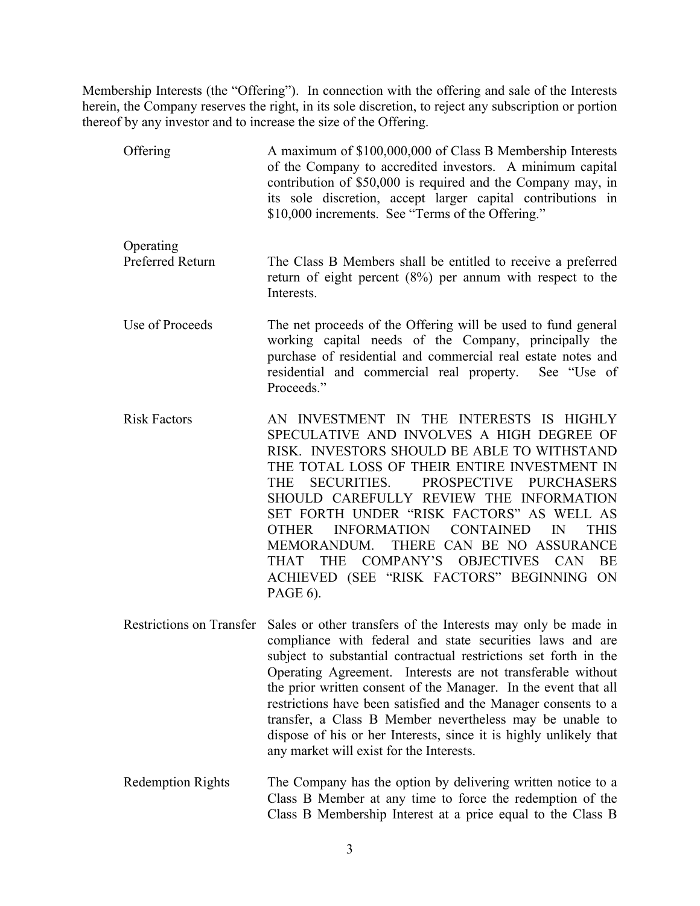Membership Interests (the "Offering"). In connection with the offering and sale of the Interests herein, the Company reserves the right, in its sole discretion, to reject any subscription or portion thereof by any investor and to increase the size of the Offering.

- Offering A maximum of \$100,000,000 of Class B Membership Interests of the Company to accredited investors. A minimum capital contribution of \$50,000 is required and the Company may, in its sole discretion, accept larger capital contributions in \$10,000 increments. See "Terms of the Offering." Operating Preferred Return The Class B Members shall be entitled to receive a preferred return of eight percent (8%) per annum with respect to the Interests. Use of Proceeds The net proceeds of the Offering will be used to fund general working capital needs of the Company, principally the purchase of residential and commercial real estate notes and residential and commercial real property. See "Use of Proceeds." Risk Factors AN INVESTMENT IN THE INTERESTS IS HIGHLY SPECULATIVE AND INVOLVES A HIGH DEGREE OF RISK. INVESTORS SHOULD BE ABLE TO WITHSTAND THE TOTAL LOSS OF THEIR ENTIRE INVESTMENT IN THE SECURITIES. PROSPECTIVE PURCHASERS SHOULD CAREFULLY REVIEW THE INFORMATION SET FORTH UNDER "RISK FACTORS" AS WELL AS OTHER INFORMATION CONTAINED IN THIS
	- MEMORANDUM. THERE CAN BE NO ASSURANCE THAT THE COMPANY'S OBJECTIVES CAN BE ACHIEVED (SEE "RISK FACTORS" BEGINNING ON PAGE 6).
- Restrictions on Transfer Sales or other transfers of the Interests may only be made in compliance with federal and state securities laws and are subject to substantial contractual restrictions set forth in the Operating Agreement. Interests are not transferable without the prior written consent of the Manager. In the event that all restrictions have been satisfied and the Manager consents to a transfer, a Class B Member nevertheless may be unable to dispose of his or her Interests, since it is highly unlikely that any market will exist for the Interests.
- Redemption Rights The Company has the option by delivering written notice to a Class B Member at any time to force the redemption of the Class B Membership Interest at a price equal to the Class B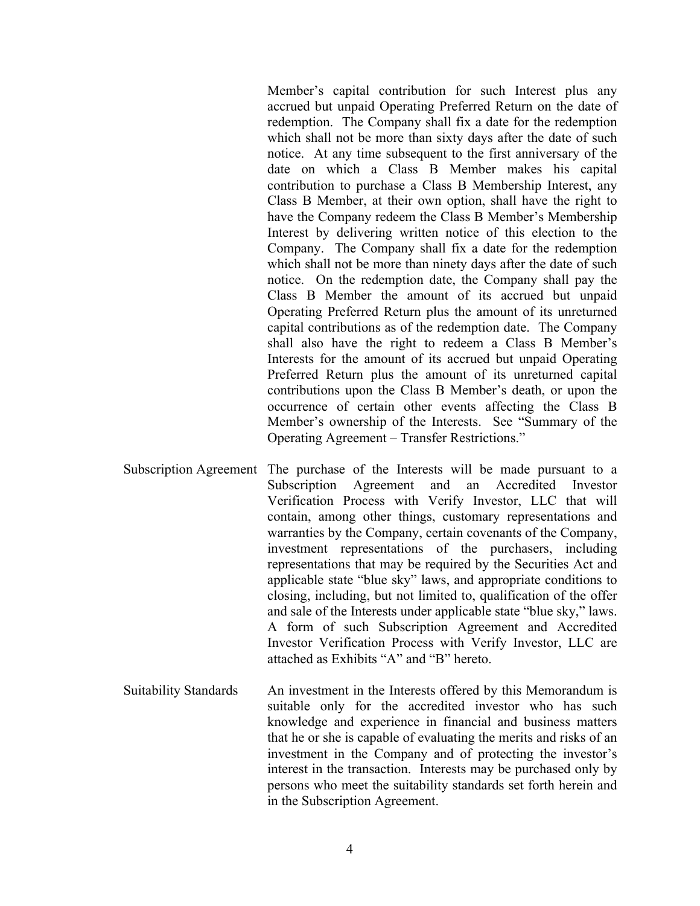Member's capital contribution for such Interest plus any accrued but unpaid Operating Preferred Return on the date of redemption. The Company shall fix a date for the redemption which shall not be more than sixty days after the date of such notice. At any time subsequent to the first anniversary of the date on which a Class B Member makes his capital contribution to purchase a Class B Membership Interest, any Class B Member, at their own option, shall have the right to have the Company redeem the Class B Member's Membership Interest by delivering written notice of this election to the Company. The Company shall fix a date for the redemption which shall not be more than ninety days after the date of such notice. On the redemption date, the Company shall pay the Class B Member the amount of its accrued but unpaid Operating Preferred Return plus the amount of its unreturned capital contributions as of the redemption date. The Company shall also have the right to redeem a Class B Member's Interests for the amount of its accrued but unpaid Operating Preferred Return plus the amount of its unreturned capital contributions upon the Class B Member's death, or upon the occurrence of certain other events affecting the Class B Member's ownership of the Interests. See "Summary of the Operating Agreement – Transfer Restrictions."

- Subscription Agreement The purchase of the Interests will be made pursuant to a Subscription Agreement and an Accredited Investor Verification Process with Verify Investor, LLC that will contain, among other things, customary representations and warranties by the Company, certain covenants of the Company, investment representations of the purchasers, including representations that may be required by the Securities Act and applicable state "blue sky" laws, and appropriate conditions to closing, including, but not limited to, qualification of the offer and sale of the Interests under applicable state "blue sky," laws. A form of such Subscription Agreement and Accredited Investor Verification Process with Verify Investor, LLC are attached as Exhibits "A" and "B" hereto.
- Suitability Standards An investment in the Interests offered by this Memorandum is suitable only for the accredited investor who has such knowledge and experience in financial and business matters that he or she is capable of evaluating the merits and risks of an investment in the Company and of protecting the investor's interest in the transaction. Interests may be purchased only by persons who meet the suitability standards set forth herein and in the Subscription Agreement.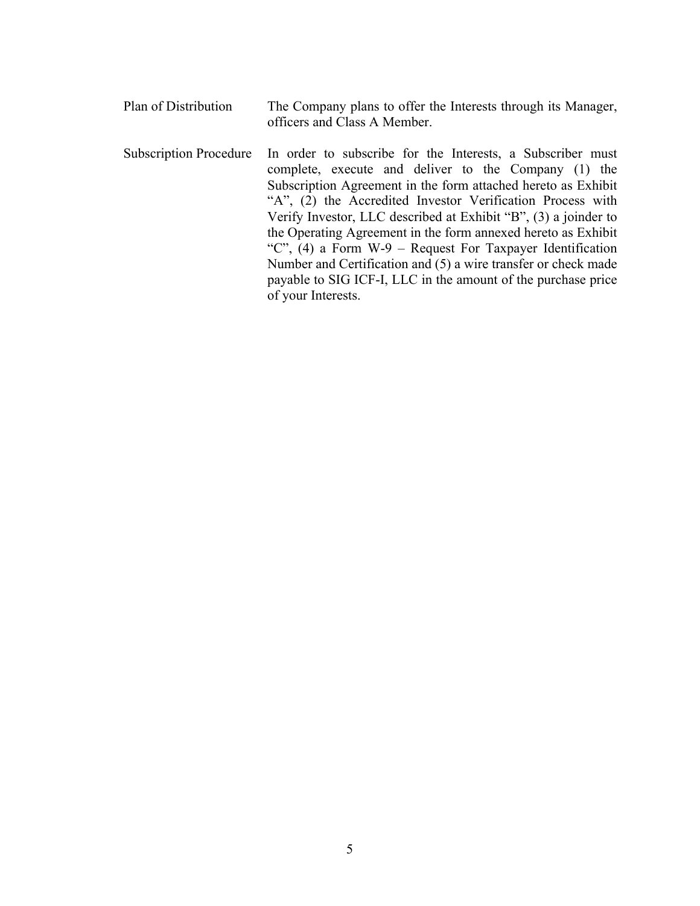- Plan of Distribution The Company plans to offer the Interests through its Manager, officers and Class A Member.
- Subscription Procedure In order to subscribe for the Interests, a Subscriber must complete, execute and deliver to the Company (1) the Subscription Agreement in the form attached hereto as Exhibit "A", (2) the Accredited Investor Verification Process with Verify Investor, LLC described at Exhibit "B", (3) a joinder to the Operating Agreement in the form annexed hereto as Exhibit "C", (4) a Form W-9 – Request For Taxpayer Identification Number and Certification and (5) a wire transfer or check made payable to SIG ICF-I, LLC in the amount of the purchase price of your Interests.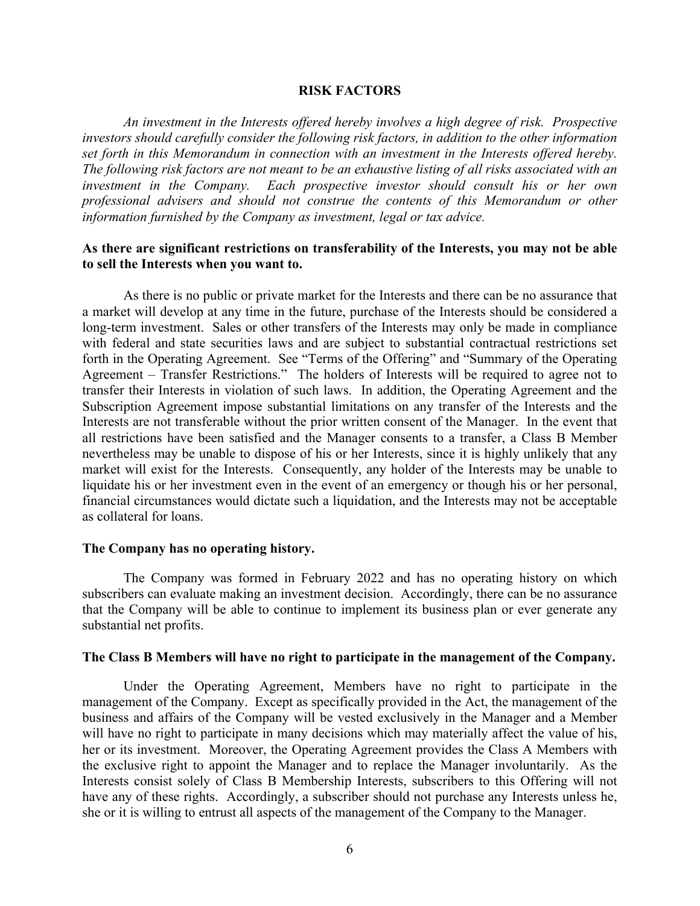#### **RISK FACTORS**

*An investment in the Interests offered hereby involves a high degree of risk. Prospective investors should carefully consider the following risk factors, in addition to the other information set forth in this Memorandum in connection with an investment in the Interests offered hereby. The following risk factors are not meant to be an exhaustive listing of all risks associated with an investment in the Company. Each prospective investor should consult his or her own professional advisers and should not construe the contents of this Memorandum or other information furnished by the Company as investment, legal or tax advice.*

## **As there are significant restrictions on transferability of the Interests, you may not be able to sell the Interests when you want to.**

As there is no public or private market for the Interests and there can be no assurance that a market will develop at any time in the future, purchase of the Interests should be considered a long-term investment. Sales or other transfers of the Interests may only be made in compliance with federal and state securities laws and are subject to substantial contractual restrictions set forth in the Operating Agreement. See "Terms of the Offering" and "Summary of the Operating Agreement – Transfer Restrictions." The holders of Interests will be required to agree not to transfer their Interests in violation of such laws. In addition, the Operating Agreement and the Subscription Agreement impose substantial limitations on any transfer of the Interests and the Interests are not transferable without the prior written consent of the Manager. In the event that all restrictions have been satisfied and the Manager consents to a transfer, a Class B Member nevertheless may be unable to dispose of his or her Interests, since it is highly unlikely that any market will exist for the Interests. Consequently, any holder of the Interests may be unable to liquidate his or her investment even in the event of an emergency or though his or her personal, financial circumstances would dictate such a liquidation, and the Interests may not be acceptable as collateral for loans.

#### **The Company has no operating history.**

The Company was formed in February 2022 and has no operating history on which subscribers can evaluate making an investment decision. Accordingly, there can be no assurance that the Company will be able to continue to implement its business plan or ever generate any substantial net profits.

## **The Class B Members will have no right to participate in the management of the Company.**

Under the Operating Agreement, Members have no right to participate in the management of the Company. Except as specifically provided in the Act, the management of the business and affairs of the Company will be vested exclusively in the Manager and a Member will have no right to participate in many decisions which may materially affect the value of his, her or its investment. Moreover, the Operating Agreement provides the Class A Members with the exclusive right to appoint the Manager and to replace the Manager involuntarily. As the Interests consist solely of Class B Membership Interests, subscribers to this Offering will not have any of these rights. Accordingly, a subscriber should not purchase any Interests unless he, she or it is willing to entrust all aspects of the management of the Company to the Manager.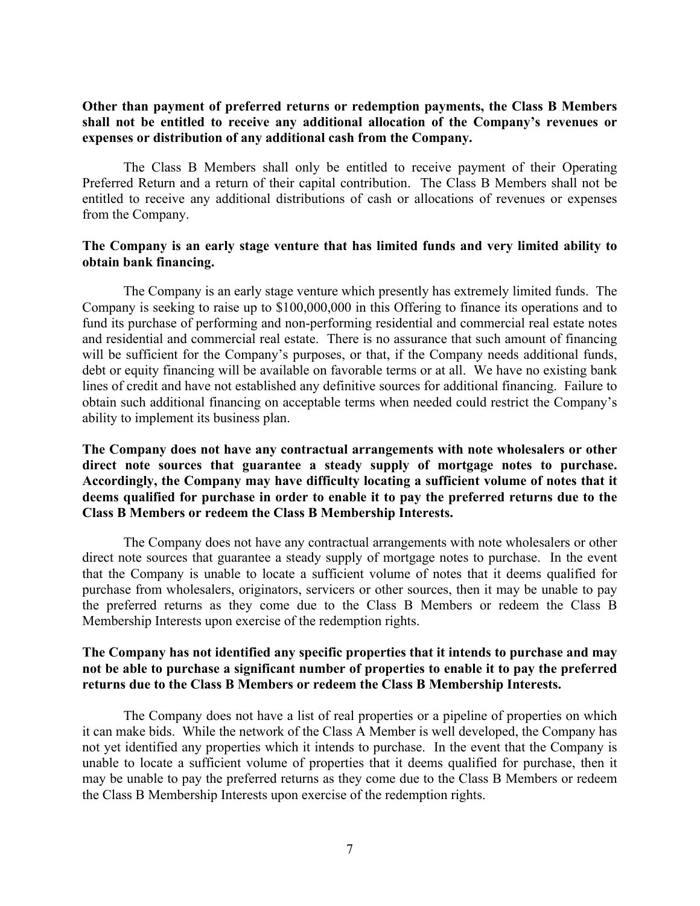## **Other than payment of preferred returns or redemption payments, the Class B Members shall not be entitled to receive any additional allocation of the Company's revenues or expenses or distribution of any additional cash from the Company.**

The Class B Members shall only be entitled to receive payment of their Operating Preferred Return and a return of their capital contribution. The Class B Members shall not be entitled to receive any additional distributions of cash or allocations of revenues or expenses from the Company.

# **The Company is an early stage venture that has limited funds and very limited ability to obtain bank financing.**

The Company is an early stage venture which presently has extremely limited funds. The Company is seeking to raise up to \$100,000,000 in this Offering to finance its operations and to fund its purchase of performing and non-performing residential and commercial real estate notes and residential and commercial real estate. There is no assurance that such amount of financing will be sufficient for the Company's purposes, or that, if the Company needs additional funds, debt or equity financing will be available on favorable terms or at all. We have no existing bank lines of credit and have not established any definitive sources for additional financing. Failure to obtain such additional financing on acceptable terms when needed could restrict the Company's ability to implement its business plan.

# **The Company does not have any contractual arrangements with note wholesalers or other direct note sources that guarantee a steady supply of mortgage notes to purchase. Accordingly, the Company may have difficulty locating a sufficient volume of notes that it deems qualified for purchase in order to enable it to pay the preferred returns due to the Class B Members or redeem the Class B Membership Interests.**

The Company does not have any contractual arrangements with note wholesalers or other direct note sources that guarantee a steady supply of mortgage notes to purchase. In the event that the Company is unable to locate a sufficient volume of notes that it deems qualified for purchase from wholesalers, originators, servicers or other sources, then it may be unable to pay the preferred returns as they come due to the Class B Members or redeem the Class B Membership Interests upon exercise of the redemption rights.

## **The Company has not identified any specific properties that it intends to purchase and may not be able to purchase a significant number of properties to enable it to pay the preferred returns due to the Class B Members or redeem the Class B Membership Interests.**

The Company does not have a list of real properties or a pipeline of properties on which it can make bids. While the network of the Class A Member is well developed, the Company has not yet identified any properties which it intends to purchase. In the event that the Company is unable to locate a sufficient volume of properties that it deems qualified for purchase, then it may be unable to pay the preferred returns as they come due to the Class B Members or redeem the Class B Membership Interests upon exercise of the redemption rights.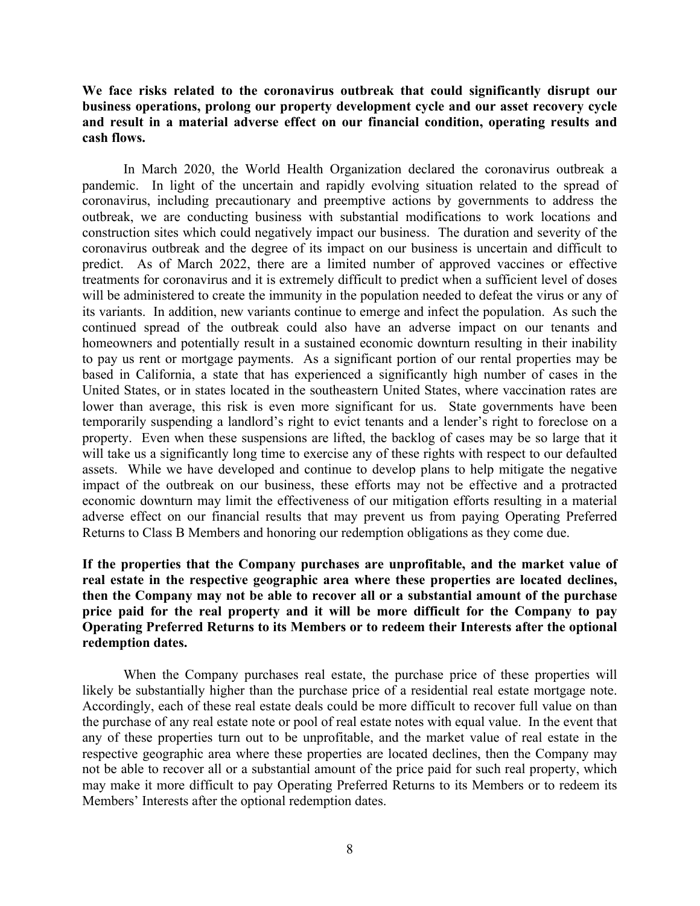## **We face risks related to the coronavirus outbreak that could significantly disrupt our business operations, prolong our property development cycle and our asset recovery cycle and result in a material adverse effect on our financial condition, operating results and cash flows.**

In March 2020, the World Health Organization declared the coronavirus outbreak a pandemic. In light of the uncertain and rapidly evolving situation related to the spread of coronavirus, including precautionary and preemptive actions by governments to address the outbreak, we are conducting business with substantial modifications to work locations and construction sites which could negatively impact our business. The duration and severity of the coronavirus outbreak and the degree of its impact on our business is uncertain and difficult to predict. As of March 2022, there are a limited number of approved vaccines or effective treatments for coronavirus and it is extremely difficult to predict when a sufficient level of doses will be administered to create the immunity in the population needed to defeat the virus or any of its variants. In addition, new variants continue to emerge and infect the population. As such the continued spread of the outbreak could also have an adverse impact on our tenants and homeowners and potentially result in a sustained economic downturn resulting in their inability to pay us rent or mortgage payments. As a significant portion of our rental properties may be based in California, a state that has experienced a significantly high number of cases in the United States, or in states located in the southeastern United States, where vaccination rates are lower than average, this risk is even more significant for us. State governments have been temporarily suspending a landlord's right to evict tenants and a lender's right to foreclose on a property. Even when these suspensions are lifted, the backlog of cases may be so large that it will take us a significantly long time to exercise any of these rights with respect to our defaulted assets. While we have developed and continue to develop plans to help mitigate the negative impact of the outbreak on our business, these efforts may not be effective and a protracted economic downturn may limit the effectiveness of our mitigation efforts resulting in a material adverse effect on our financial results that may prevent us from paying Operating Preferred Returns to Class B Members and honoring our redemption obligations as they come due.

# **If the properties that the Company purchases are unprofitable, and the market value of real estate in the respective geographic area where these properties are located declines, then the Company may not be able to recover all or a substantial amount of the purchase price paid for the real property and it will be more difficult for the Company to pay Operating Preferred Returns to its Members or to redeem their Interests after the optional redemption dates.**

When the Company purchases real estate, the purchase price of these properties will likely be substantially higher than the purchase price of a residential real estate mortgage note. Accordingly, each of these real estate deals could be more difficult to recover full value on than the purchase of any real estate note or pool of real estate notes with equal value. In the event that any of these properties turn out to be unprofitable, and the market value of real estate in the respective geographic area where these properties are located declines, then the Company may not be able to recover all or a substantial amount of the price paid for such real property, which may make it more difficult to pay Operating Preferred Returns to its Members or to redeem its Members' Interests after the optional redemption dates.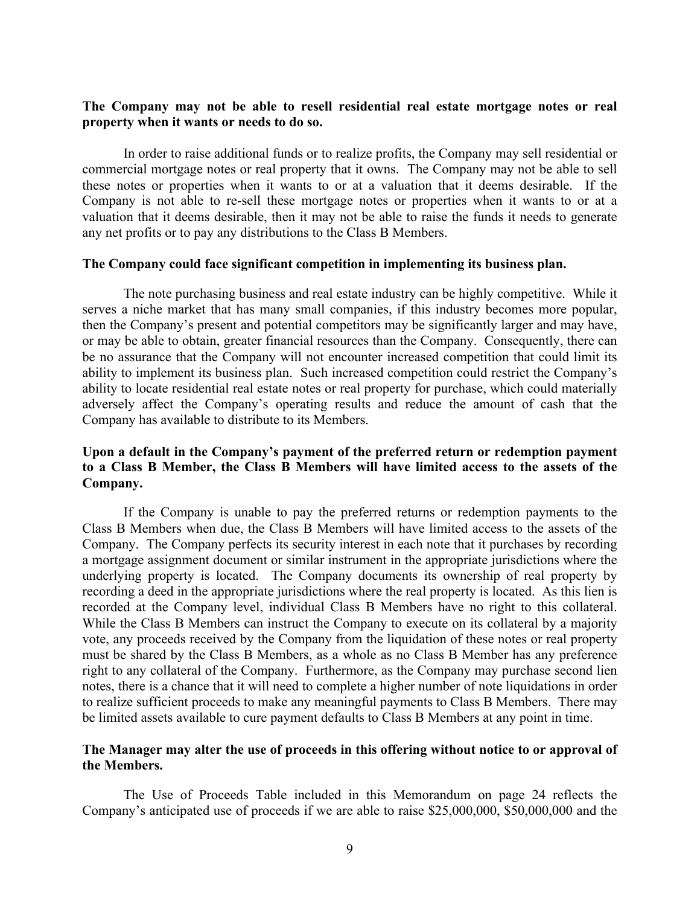## **The Company may not be able to resell residential real estate mortgage notes or real property when it wants or needs to do so.**

In order to raise additional funds or to realize profits, the Company may sell residential or commercial mortgage notes or real property that it owns. The Company may not be able to sell these notes or properties when it wants to or at a valuation that it deems desirable. If the Company is not able to re-sell these mortgage notes or properties when it wants to or at a valuation that it deems desirable, then it may not be able to raise the funds it needs to generate any net profits or to pay any distributions to the Class B Members.

#### **The Company could face significant competition in implementing its business plan.**

The note purchasing business and real estate industry can be highly competitive. While it serves a niche market that has many small companies, if this industry becomes more popular, then the Company's present and potential competitors may be significantly larger and may have, or may be able to obtain, greater financial resources than the Company. Consequently, there can be no assurance that the Company will not encounter increased competition that could limit its ability to implement its business plan. Such increased competition could restrict the Company's ability to locate residential real estate notes or real property for purchase, which could materially adversely affect the Company's operating results and reduce the amount of cash that the Company has available to distribute to its Members.

## **Upon a default in the Company's payment of the preferred return or redemption payment to a Class B Member, the Class B Members will have limited access to the assets of the Company.**

If the Company is unable to pay the preferred returns or redemption payments to the Class B Members when due, the Class B Members will have limited access to the assets of the Company. The Company perfects its security interest in each note that it purchases by recording a mortgage assignment document or similar instrument in the appropriate jurisdictions where the underlying property is located. The Company documents its ownership of real property by recording a deed in the appropriate jurisdictions where the real property is located. As this lien is recorded at the Company level, individual Class B Members have no right to this collateral. While the Class B Members can instruct the Company to execute on its collateral by a majority vote, any proceeds received by the Company from the liquidation of these notes or real property must be shared by the Class B Members, as a whole as no Class B Member has any preference right to any collateral of the Company. Furthermore, as the Company may purchase second lien notes, there is a chance that it will need to complete a higher number of note liquidations in order to realize sufficient proceeds to make any meaningful payments to Class B Members. There may be limited assets available to cure payment defaults to Class B Members at any point in time.

## **The Manager may alter the use of proceeds in this offering without notice to or approval of the Members.**

The Use of Proceeds Table included in this Memorandum on page 24 reflects the Company's anticipated use of proceeds if we are able to raise \$25,000,000, \$50,000,000 and the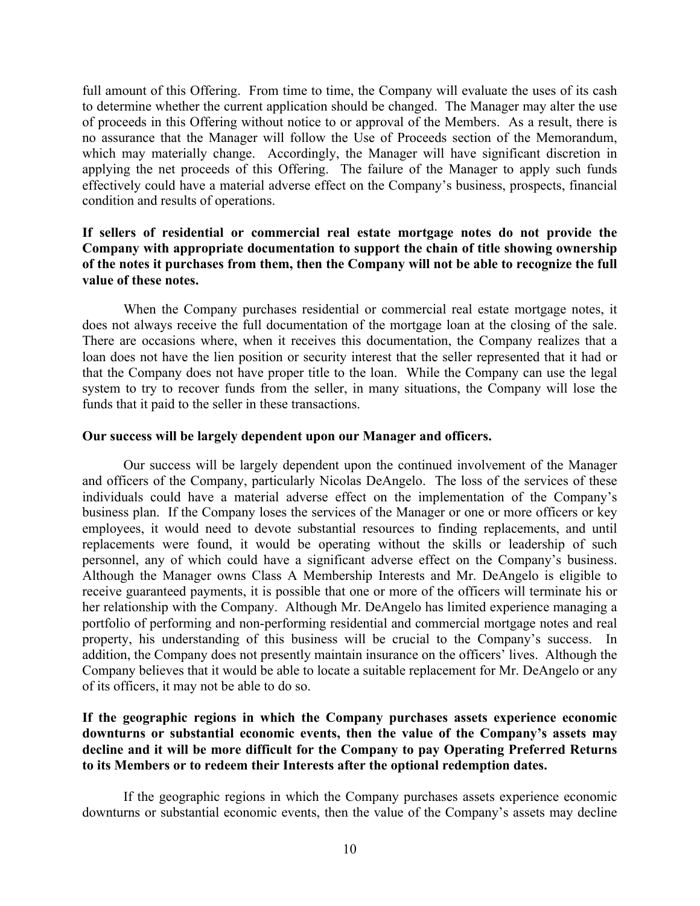full amount of this Offering. From time to time, the Company will evaluate the uses of its cash to determine whether the current application should be changed. The Manager may alter the use of proceeds in this Offering without notice to or approval of the Members.As a result, there is no assurance that the Manager will follow the Use of Proceeds section of the Memorandum, which may materially change. Accordingly, the Manager will have significant discretion in applying the net proceeds of this Offering. The failure of the Manager to apply such funds effectively could have a material adverse effect on the Company's business, prospects, financial condition and results of operations.

# **If sellers of residential or commercial real estate mortgage notes do not provide the Company with appropriate documentation to support the chain of title showing ownership of the notes it purchases from them, then the Company will not be able to recognize the full value of these notes.**

When the Company purchases residential or commercial real estate mortgage notes, it does not always receive the full documentation of the mortgage loan at the closing of the sale. There are occasions where, when it receives this documentation, the Company realizes that a loan does not have the lien position or security interest that the seller represented that it had or that the Company does not have proper title to the loan. While the Company can use the legal system to try to recover funds from the seller, in many situations, the Company will lose the funds that it paid to the seller in these transactions.

## **Our success will be largely dependent upon our Manager and officers.**

Our success will be largely dependent upon the continued involvement of the Manager and officers of the Company, particularly Nicolas DeAngelo. The loss of the services of these individuals could have a material adverse effect on the implementation of the Company's business plan. If the Company loses the services of the Manager or one or more officers or key employees, it would need to devote substantial resources to finding replacements, and until replacements were found, it would be operating without the skills or leadership of such personnel, any of which could have a significant adverse effect on the Company's business. Although the Manager owns Class A Membership Interests and Mr. DeAngelo is eligible to receive guaranteed payments, it is possible that one or more of the officers will terminate his or her relationship with the Company. Although Mr. DeAngelo has limited experience managing a portfolio of performing and non-performing residential and commercial mortgage notes and real property, his understanding of this business will be crucial to the Company's success. In addition, the Company does not presently maintain insurance on the officers' lives. Although the Company believes that it would be able to locate a suitable replacement for Mr. DeAngelo or any of its officers, it may not be able to do so.

# **If the geographic regions in which the Company purchases assets experience economic downturns or substantial economic events, then the value of the Company's assets may decline and it will be more difficult for the Company to pay Operating Preferred Returns to its Members or to redeem their Interests after the optional redemption dates.**

If the geographic regions in which the Company purchases assets experience economic downturns or substantial economic events, then the value of the Company's assets may decline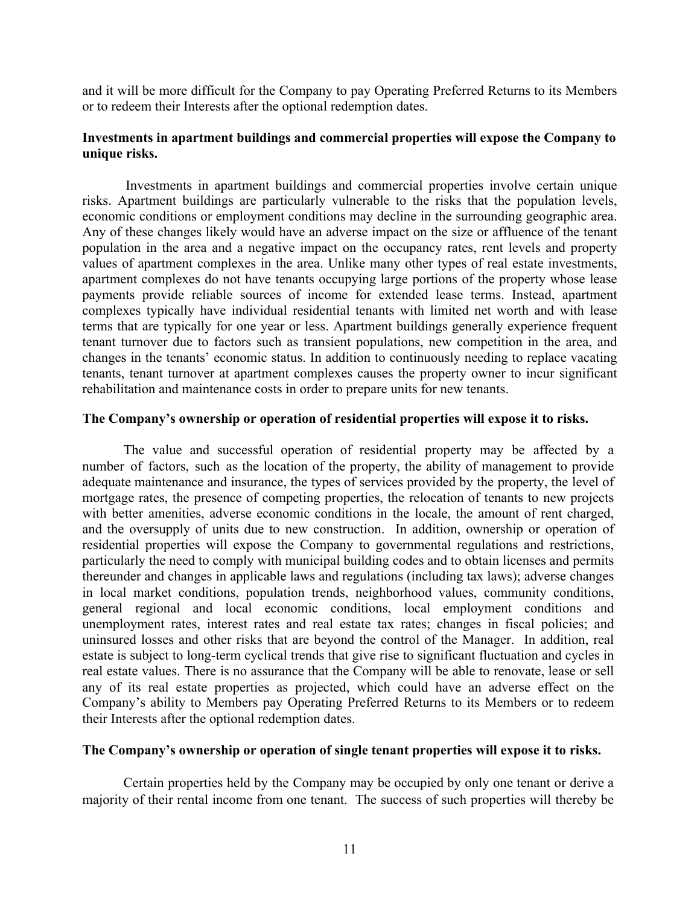and it will be more difficult for the Company to pay Operating Preferred Returns to its Members or to redeem their Interests after the optional redemption dates.

## **Investments in apartment buildings and commercial properties will expose the Company to unique risks.**

Investments in apartment buildings and commercial properties involve certain unique risks. Apartment buildings are particularly vulnerable to the risks that the population levels, economic conditions or employment conditions may decline in the surrounding geographic area. Any of these changes likely would have an adverse impact on the size or affluence of the tenant population in the area and a negative impact on the occupancy rates, rent levels and property values of apartment complexes in the area. Unlike many other types of real estate investments, apartment complexes do not have tenants occupying large portions of the property whose lease payments provide reliable sources of income for extended lease terms. Instead, apartment complexes typically have individual residential tenants with limited net worth and with lease terms that are typically for one year or less. Apartment buildings generally experience frequent tenant turnover due to factors such as transient populations, new competition in the area, and changes in the tenants' economic status. In addition to continuously needing to replace vacating tenants, tenant turnover at apartment complexes causes the property owner to incur significant rehabilitation and maintenance costs in order to prepare units for new tenants.

## **The Company's ownership or operation of residential properties will expose it to risks.**

The value and successful operation of residential property may be affected by a number of factors, such as the location of the property, the ability of management to provide adequate maintenance and insurance, the types of services provided by the property, the level of mortgage rates, the presence of competing properties, the relocation of tenants to new projects with better amenities, adverse economic conditions in the locale, the amount of rent charged, and the oversupply of units due to new construction. In addition, ownership or operation of residential properties will expose the Company to governmental regulations and restrictions, particularly the need to comply with municipal building codes and to obtain licenses and permits thereunder and changes in applicable laws and regulations (including tax laws); adverse changes in local market conditions, population trends, neighborhood values, community conditions, general regional and local economic conditions, local employment conditions and unemployment rates, interest rates and real estate tax rates; changes in fiscal policies; and uninsured losses and other risks that are beyond the control of the Manager. In addition, real estate is subject to long-term cyclical trends that give rise to significant fluctuation and cycles in real estate values. There is no assurance that the Company will be able to renovate, lease or sell any of its real estate properties as projected, which could have an adverse effect on the Company's ability to Members pay Operating Preferred Returns to its Members or to redeem their Interests after the optional redemption dates.

## **The Company's ownership or operation of single tenant properties will expose it to risks.**

Certain properties held by the Company may be occupied by only one tenant or derive a majority of their rental income from one tenant. The success of such properties will thereby be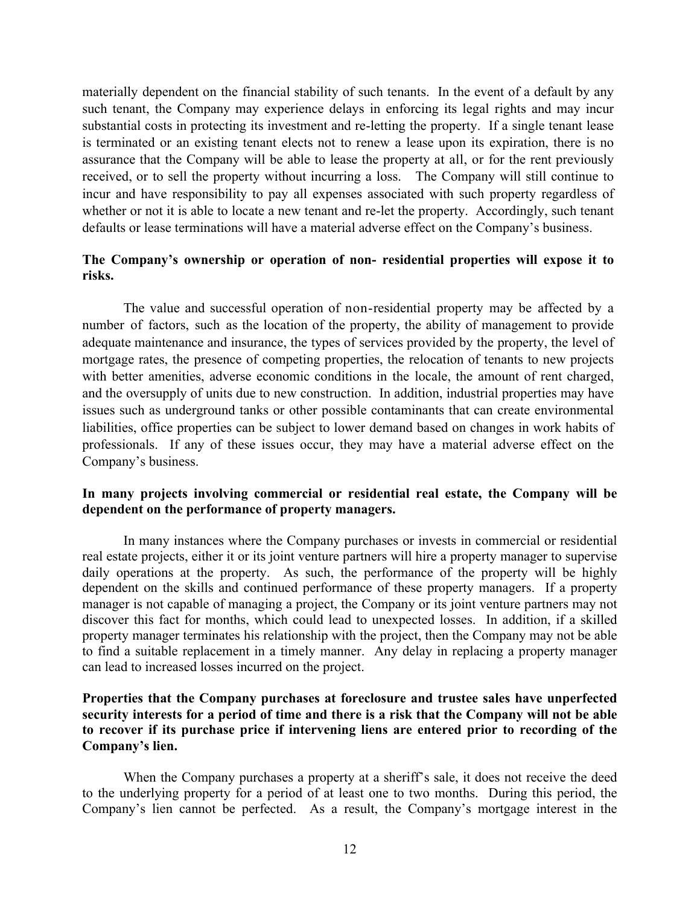materially dependent on the financial stability of such tenants. In the event of a default by any such tenant, the Company may experience delays in enforcing its legal rights and may incur substantial costs in protecting its investment and re-letting the property. If a single tenant lease is terminated or an existing tenant elects not to renew a lease upon its expiration, there is no assurance that the Company will be able to lease the property at all, or for the rent previously received, or to sell the property without incurring a loss. The Company will still continue to incur and have responsibility to pay all expenses associated with such property regardless of whether or not it is able to locate a new tenant and re-let the property. Accordingly, such tenant defaults or lease terminations will have a material adverse effect on the Company's business.

## **The Company's ownership or operation of non- residential properties will expose it to risks.**

The value and successful operation of non-residential property may be affected by a number of factors, such as the location of the property, the ability of management to provide adequate maintenance and insurance, the types of services provided by the property, the level of mortgage rates, the presence of competing properties, the relocation of tenants to new projects with better amenities, adverse economic conditions in the locale, the amount of rent charged, and the oversupply of units due to new construction. In addition, industrial properties may have issues such as underground tanks or other possible contaminants that can create environmental liabilities, office properties can be subject to lower demand based on changes in work habits of professionals. If any of these issues occur, they may have a material adverse effect on the Company's business.

# **In many projects involving commercial or residential real estate, the Company will be dependent on the performance of property managers.**

In many instances where the Company purchases or invests in commercial or residential real estate projects, either it or its joint venture partners will hire a property manager to supervise daily operations at the property. As such, the performance of the property will be highly dependent on the skills and continued performance of these property managers. If a property manager is not capable of managing a project, the Company or its joint venture partners may not discover this fact for months, which could lead to unexpected losses. In addition, if a skilled property manager terminates his relationship with the project, then the Company may not be able to find a suitable replacement in a timely manner. Any delay in replacing a property manager can lead to increased losses incurred on the project.

# **Properties that the Company purchases at foreclosure and trustee sales have unperfected security interests for a period of time and there is a risk that the Company will not be able to recover if its purchase price if intervening liens are entered prior to recording of the Company's lien.**

When the Company purchases a property at a sheriff's sale, it does not receive the deed to the underlying property for a period of at least one to two months. During this period, the Company's lien cannot be perfected. As a result, the Company's mortgage interest in the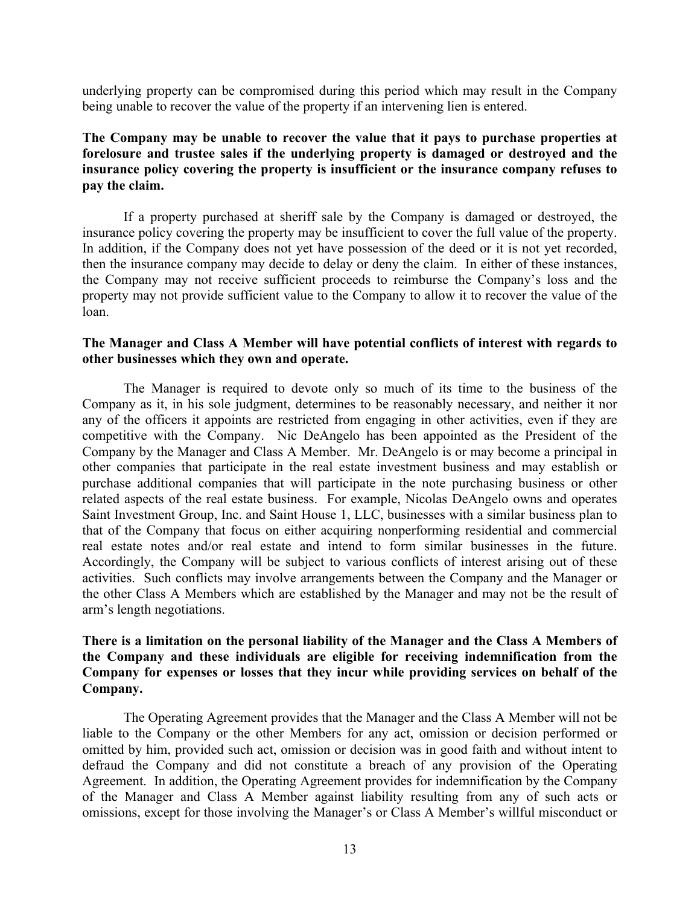underlying property can be compromised during this period which may result in the Company being unable to recover the value of the property if an intervening lien is entered.

**The Company may be unable to recover the value that it pays to purchase properties at forelosure and trustee sales if the underlying property is damaged or destroyed and the insurance policy covering the property is insufficient or the insurance company refuses to pay the claim.**

If a property purchased at sheriff sale by the Company is damaged or destroyed, the insurance policy covering the property may be insufficient to cover the full value of the property. In addition, if the Company does not yet have possession of the deed or it is not yet recorded, then the insurance company may decide to delay or deny the claim. In either of these instances, the Company may not receive sufficient proceeds to reimburse the Company's loss and the property may not provide sufficient value to the Company to allow it to recover the value of the loan.

## **The Manager and Class A Member will have potential conflicts of interest with regards to other businesses which they own and operate.**

The Manager is required to devote only so much of its time to the business of the Company as it, in his sole judgment, determines to be reasonably necessary, and neither it nor any of the officers it appoints are restricted from engaging in other activities, even if they are competitive with the Company. Nic DeAngelo has been appointed as the President of the Company by the Manager and Class A Member. Mr. DeAngelo is or may become a principal in other companies that participate in the real estate investment business and may establish or purchase additional companies that will participate in the note purchasing business or other related aspects of the real estate business. For example, Nicolas DeAngelo owns and operates Saint Investment Group, Inc. and Saint House 1, LLC, businesses with a similar business plan to that of the Company that focus on either acquiring nonperforming residential and commercial real estate notes and/or real estate and intend to form similar businesses in the future. Accordingly, the Company will be subject to various conflicts of interest arising out of these activities. Such conflicts may involve arrangements between the Company and the Manager or the other Class A Members which are established by the Manager and may not be the result of arm's length negotiations.

# **There is a limitation on the personal liability of the Manager and the Class A Members of the Company and these individuals are eligible for receiving indemnification from the Company for expenses or losses that they incur while providing services on behalf of the Company.**

The Operating Agreement provides that the Manager and the Class A Member will not be liable to the Company or the other Members for any act, omission or decision performed or omitted by him, provided such act, omission or decision was in good faith and without intent to defraud the Company and did not constitute a breach of any provision of the Operating Agreement. In addition, the Operating Agreement provides for indemnification by the Company of the Manager and Class A Member against liability resulting from any of such acts or omissions, except for those involving the Manager's or Class A Member's willful misconduct or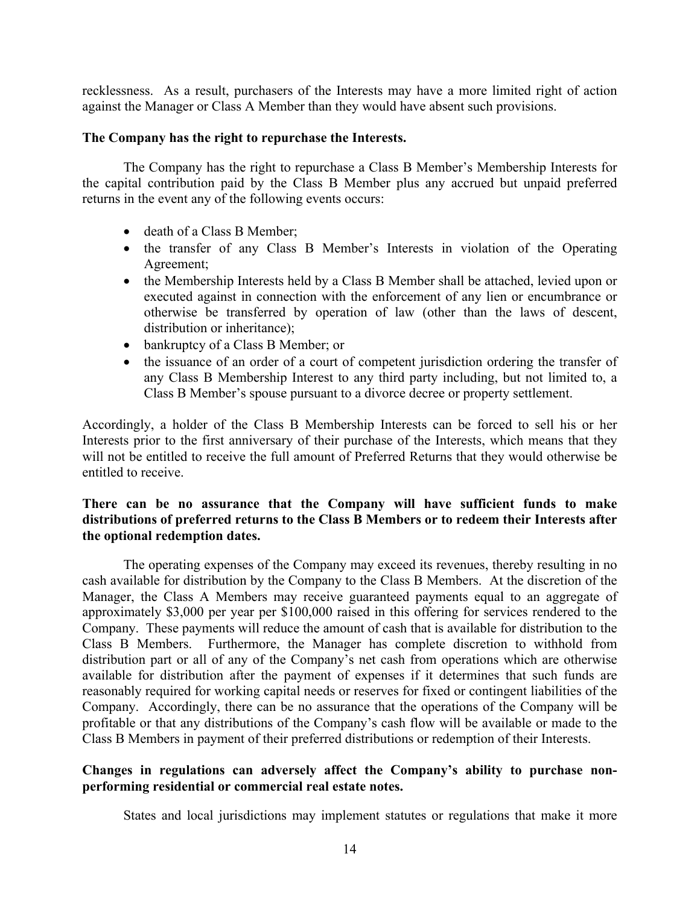recklessness. As a result, purchasers of the Interests may have a more limited right of action against the Manager or Class A Member than they would have absent such provisions.

## **The Company has the right to repurchase the Interests.**

The Company has the right to repurchase a Class B Member's Membership Interests for the capital contribution paid by the Class B Member plus any accrued but unpaid preferred returns in the event any of the following events occurs:

- death of a Class B Member;
- the transfer of any Class B Member's Interests in violation of the Operating Agreement;
- the Membership Interests held by a Class B Member shall be attached, levied upon or executed against in connection with the enforcement of any lien or encumbrance or otherwise be transferred by operation of law (other than the laws of descent, distribution or inheritance);
- bankruptcy of a Class B Member; or
- the issuance of an order of a court of competent jurisdiction ordering the transfer of any Class B Membership Interest to any third party including, but not limited to, a Class B Member's spouse pursuant to a divorce decree or property settlement.

Accordingly, a holder of the Class B Membership Interests can be forced to sell his or her Interests prior to the first anniversary of their purchase of the Interests, which means that they will not be entitled to receive the full amount of Preferred Returns that they would otherwise be entitled to receive.

# **There can be no assurance that the Company will have sufficient funds to make distributions of preferred returns to the Class B Members or to redeem their Interests after the optional redemption dates.**

The operating expenses of the Company may exceed its revenues, thereby resulting in no cash available for distribution by the Company to the Class B Members. At the discretion of the Manager, the Class A Members may receive guaranteed payments equal to an aggregate of approximately \$3,000 per year per \$100,000 raised in this offering for services rendered to the Company. These payments will reduce the amount of cash that is available for distribution to the Class B Members. Furthermore, the Manager has complete discretion to withhold from distribution part or all of any of the Company's net cash from operations which are otherwise available for distribution after the payment of expenses if it determines that such funds are reasonably required for working capital needs or reserves for fixed or contingent liabilities of the Company. Accordingly, there can be no assurance that the operations of the Company will be profitable or that any distributions of the Company's cash flow will be available or made to the Class B Members in payment of their preferred distributions or redemption of their Interests.

# **Changes in regulations can adversely affect the Company's ability to purchase nonperforming residential or commercial real estate notes.**

States and local jurisdictions may implement statutes or regulations that make it more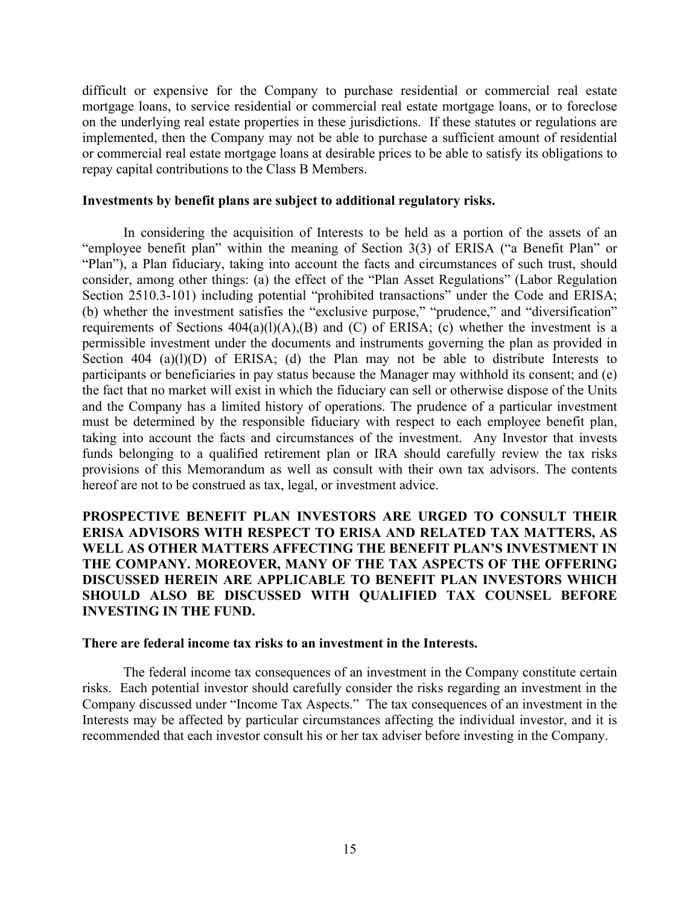difficult or expensive for the Company to purchase residential or commercial real estate mortgage loans, to service residential or commercial real estate mortgage loans, or to foreclose on the underlying real estate properties in these jurisdictions. If these statutes or regulations are implemented, then the Company may not be able to purchase a sufficient amount of residential or commercial real estate mortgage loans at desirable prices to be able to satisfy its obligations to repay capital contributions to the Class B Members.

#### **Investments by benefit plans are subject to additional regulatory risks.**

In considering the acquisition of Interests to be held as a portion of the assets of an "employee benefit plan" within the meaning of Section 3(3) of ERISA ("a Benefit Plan" or "Plan"), a Plan fiduciary, taking into account the facts and circumstances of such trust, should consider, among other things: (a) the effect of the "Plan Asset Regulations" (Labor Regulation Section 2510.3-101) including potential "prohibited transactions" under the Code and ERISA; (b) whether the investment satisfies the "exclusive purpose," "prudence," and "diversification" requirements of Sections  $404(a)(l)(A)(B)$  and (C) of ERISA; (c) whether the investment is a permissible investment under the documents and instruments governing the plan as provided in Section 404 (a)(l)(D) of ERISA; (d) the Plan may not be able to distribute Interests to participants or beneficiaries in pay status because the Manager may withhold its consent; and (e) the fact that no market will exist in which the fiduciary can sell or otherwise dispose of the Units and the Company has a limited history of operations. The prudence of a particular investment must be determined by the responsible fiduciary with respect to each employee benefit plan, taking into account the facts and circumstances of the investment. Any Investor that invests funds belonging to a qualified retirement plan or IRA should carefully review the tax risks provisions of this Memorandum as well as consult with their own tax advisors. The contents hereof are not to be construed as tax, legal, or investment advice.

**PROSPECTIVE BENEFIT PLAN INVESTORS ARE URGED TO CONSULT THEIR ERISA ADVISORS WITH RESPECT TO ERISA AND RELATED TAX MATTERS, AS WELL AS OTHER MATTERS AFFECTING THE BENEFIT PLAN'S INVESTMENT IN THE COMPANY. MOREOVER, MANY OF THE TAX ASPECTS OF THE OFFERING DISCUSSED HEREIN ARE APPLICABLE TO BENEFIT PLAN INVESTORS WHICH SHOULD ALSO BE DISCUSSED WITH QUALIFIED TAX COUNSEL BEFORE INVESTING IN THE FUND.**

#### **There are federal income tax risks to an investment in the Interests.**

The federal income tax consequences of an investment in the Company constitute certain risks. Each potential investor should carefully consider the risks regarding an investment in the Company discussed under "Income Tax Aspects." The tax consequences of an investment in the Interests may be affected by particular circumstances affecting the individual investor, and it is recommended that each investor consult his or her tax adviser before investing in the Company.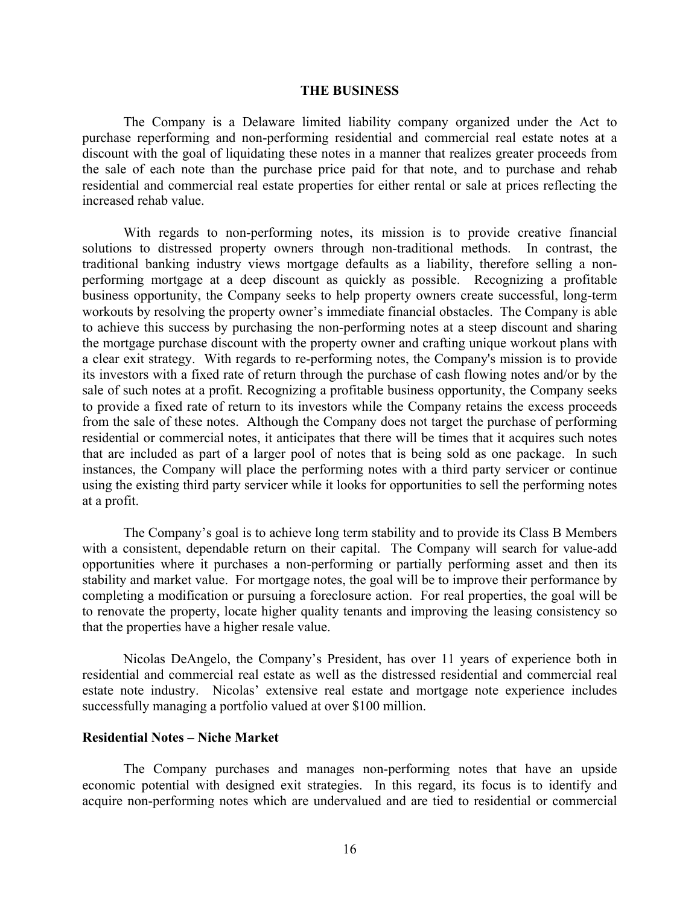#### **THE BUSINESS**

The Company is a Delaware limited liability company organized under the Act to purchase reperforming and non-performing residential and commercial real estate notes at a discount with the goal of liquidating these notes in a manner that realizes greater proceeds from the sale of each note than the purchase price paid for that note, and to purchase and rehab residential and commercial real estate properties for either rental or sale at prices reflecting the increased rehab value.

With regards to non-performing notes, its mission is to provide creative financial solutions to distressed property owners through non-traditional methods. In contrast, the traditional banking industry views mortgage defaults as a liability, therefore selling a nonperforming mortgage at a deep discount as quickly as possible. Recognizing a profitable business opportunity, the Company seeks to help property owners create successful, long-term workouts by resolving the property owner's immediate financial obstacles. The Company is able to achieve this success by purchasing the non-performing notes at a steep discount and sharing the mortgage purchase discount with the property owner and crafting unique workout plans with a clear exit strategy. With regards to re-performing notes, the Company's mission is to provide its investors with a fixed rate of return through the purchase of cash flowing notes and/or by the sale of such notes at a profit. Recognizing a profitable business opportunity, the Company seeks to provide a fixed rate of return to its investors while the Company retains the excess proceeds from the sale of these notes. Although the Company does not target the purchase of performing residential or commercial notes, it anticipates that there will be times that it acquires such notes that are included as part of a larger pool of notes that is being sold as one package. In such instances, the Company will place the performing notes with a third party servicer or continue using the existing third party servicer while it looks for opportunities to sell the performing notes at a profit.

The Company's goal is to achieve long term stability and to provide its Class B Members with a consistent, dependable return on their capital. The Company will search for value-add opportunities where it purchases a non-performing or partially performing asset and then its stability and market value. For mortgage notes, the goal will be to improve their performance by completing a modification or pursuing a foreclosure action. For real properties, the goal will be to renovate the property, locate higher quality tenants and improving the leasing consistency so that the properties have a higher resale value.

Nicolas DeAngelo, the Company's President, has over 11 years of experience both in residential and commercial real estate as well as the distressed residential and commercial real estate note industry. Nicolas' extensive real estate and mortgage note experience includes successfully managing a portfolio valued at over \$100 million.

## **Residential Notes – Niche Market**

The Company purchases and manages non-performing notes that have an upside economic potential with designed exit strategies. In this regard, its focus is to identify and acquire non-performing notes which are undervalued and are tied to residential or commercial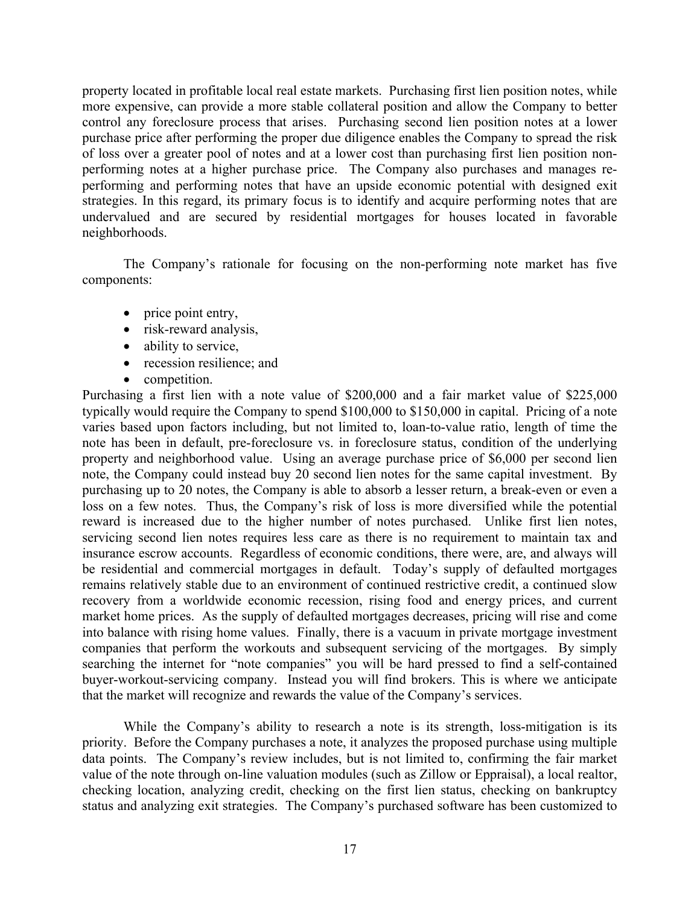property located in profitable local real estate markets. Purchasing first lien position notes, while more expensive, can provide a more stable collateral position and allow the Company to better control any foreclosure process that arises. Purchasing second lien position notes at a lower purchase price after performing the proper due diligence enables the Company to spread the risk of loss over a greater pool of notes and at a lower cost than purchasing first lien position nonperforming notes at a higher purchase price. The Company also purchases and manages reperforming and performing notes that have an upside economic potential with designed exit strategies. In this regard, its primary focus is to identify and acquire performing notes that are undervalued and are secured by residential mortgages for houses located in favorable neighborhoods.

The Company's rationale for focusing on the non-performing note market has five components:

- price point entry,
- risk-reward analysis,
- ability to service,
- recession resilience; and
- competition.

Purchasing a first lien with a note value of \$200,000 and a fair market value of \$225,000 typically would require the Company to spend \$100,000 to \$150,000 in capital. Pricing of a note varies based upon factors including, but not limited to, loan-to-value ratio, length of time the note has been in default, pre-foreclosure vs. in foreclosure status, condition of the underlying property and neighborhood value. Using an average purchase price of \$6,000 per second lien note, the Company could instead buy 20 second lien notes for the same capital investment. By purchasing up to 20 notes, the Company is able to absorb a lesser return, a break-even or even a loss on a few notes. Thus, the Company's risk of loss is more diversified while the potential reward is increased due to the higher number of notes purchased. Unlike first lien notes, servicing second lien notes requires less care as there is no requirement to maintain tax and insurance escrow accounts. Regardless of economic conditions, there were, are, and always will be residential and commercial mortgages in default. Today's supply of defaulted mortgages remains relatively stable due to an environment of continued restrictive credit, a continued slow recovery from a worldwide economic recession, rising food and energy prices, and current market home prices. As the supply of defaulted mortgages decreases, pricing will rise and come into balance with rising home values. Finally, there is a vacuum in private mortgage investment companies that perform the workouts and subsequent servicing of the mortgages. By simply searching the internet for "note companies" you will be hard pressed to find a self-contained buyer-workout-servicing company. Instead you will find brokers. This is where we anticipate that the market will recognize and rewards the value of the Company's services.

While the Company's ability to research a note is its strength, loss-mitigation is its priority. Before the Company purchases a note, it analyzes the proposed purchase using multiple data points. The Company's review includes, but is not limited to, confirming the fair market value of the note through on-line valuation modules (such as Zillow or Eppraisal), a local realtor, checking location, analyzing credit, checking on the first lien status, checking on bankruptcy status and analyzing exit strategies. The Company's purchased software has been customized to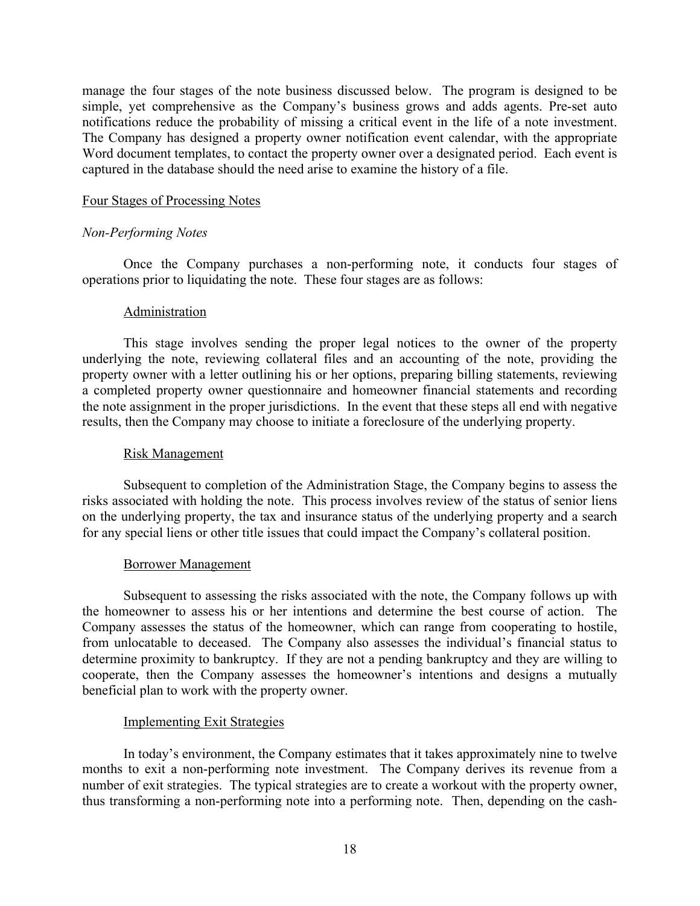manage the four stages of the note business discussed below. The program is designed to be simple, yet comprehensive as the Company's business grows and adds agents. Pre-set auto notifications reduce the probability of missing a critical event in the life of a note investment. The Company has designed a property owner notification event calendar, with the appropriate Word document templates, to contact the property owner over a designated period. Each event is captured in the database should the need arise to examine the history of a file.

#### Four Stages of Processing Notes

## *Non-Performing Notes*

Once the Company purchases a non-performing note, it conducts four stages of operations prior to liquidating the note. These four stages are as follows:

#### **Administration**

This stage involves sending the proper legal notices to the owner of the property underlying the note, reviewing collateral files and an accounting of the note, providing the property owner with a letter outlining his or her options, preparing billing statements, reviewing a completed property owner questionnaire and homeowner financial statements and recording the note assignment in the proper jurisdictions. In the event that these steps all end with negative results, then the Company may choose to initiate a foreclosure of the underlying property.

#### Risk Management

Subsequent to completion of the Administration Stage, the Company begins to assess the risks associated with holding the note. This process involves review of the status of senior liens on the underlying property, the tax and insurance status of the underlying property and a search for any special liens or other title issues that could impact the Company's collateral position.

## Borrower Management

Subsequent to assessing the risks associated with the note, the Company follows up with the homeowner to assess his or her intentions and determine the best course of action. The Company assesses the status of the homeowner, which can range from cooperating to hostile, from unlocatable to deceased. The Company also assesses the individual's financial status to determine proximity to bankruptcy. If they are not a pending bankruptcy and they are willing to cooperate, then the Company assesses the homeowner's intentions and designs a mutually beneficial plan to work with the property owner.

## Implementing Exit Strategies

In today's environment, the Company estimates that it takes approximately nine to twelve months to exit a non-performing note investment. The Company derives its revenue from a number of exit strategies. The typical strategies are to create a workout with the property owner, thus transforming a non-performing note into a performing note. Then, depending on the cash-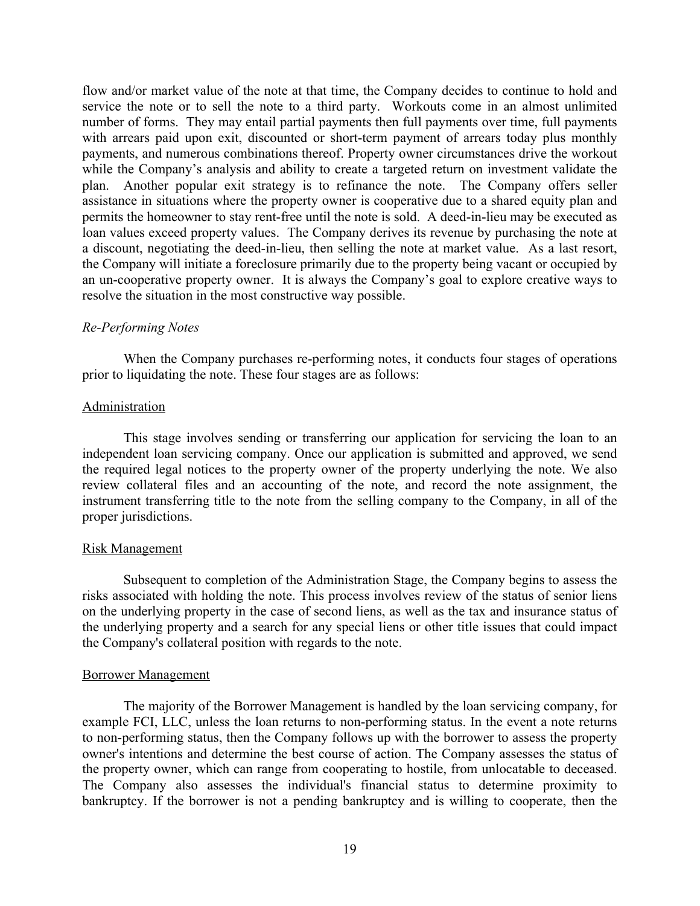flow and/or market value of the note at that time, the Company decides to continue to hold and service the note or to sell the note to a third party. Workouts come in an almost unlimited number of forms. They may entail partial payments then full payments over time, full payments with arrears paid upon exit, discounted or short-term payment of arrears today plus monthly payments, and numerous combinations thereof. Property owner circumstances drive the workout while the Company's analysis and ability to create a targeted return on investment validate the plan. Another popular exit strategy is to refinance the note. The Company offers seller assistance in situations where the property owner is cooperative due to a shared equity plan and permits the homeowner to stay rent-free until the note is sold. A deed-in-lieu may be executed as loan values exceed property values. The Company derives its revenue by purchasing the note at a discount, negotiating the deed-in-lieu, then selling the note at market value. As a last resort, the Company will initiate a foreclosure primarily due to the property being vacant or occupied by an un-cooperative property owner. It is always the Company's goal to explore creative ways to resolve the situation in the most constructive way possible.

## *Re-Performing Notes*

When the Company purchases re-performing notes, it conducts four stages of operations prior to liquidating the note. These four stages are as follows:

## Administration

This stage involves sending or transferring our application for servicing the loan to an independent loan servicing company. Once our application is submitted and approved, we send the required legal notices to the property owner of the property underlying the note. We also review collateral files and an accounting of the note, and record the note assignment, the instrument transferring title to the note from the selling company to the Company, in all of the proper jurisdictions.

## Risk Management

Subsequent to completion of the Administration Stage, the Company begins to assess the risks associated with holding the note. This process involves review of the status of senior liens on the underlying property in the case of second liens, as well as the tax and insurance status of the underlying property and a search for any special liens or other title issues that could impact the Company's collateral position with regards to the note.

## Borrower Management

The majority of the Borrower Management is handled by the loan servicing company, for example FCI, LLC, unless the loan returns to non-performing status. In the event a note returns to non-performing status, then the Company follows up with the borrower to assess the property owner's intentions and determine the best course of action. The Company assesses the status of the property owner, which can range from cooperating to hostile, from unlocatable to deceased. The Company also assesses the individual's financial status to determine proximity to bankruptcy. If the borrower is not a pending bankruptcy and is willing to cooperate, then the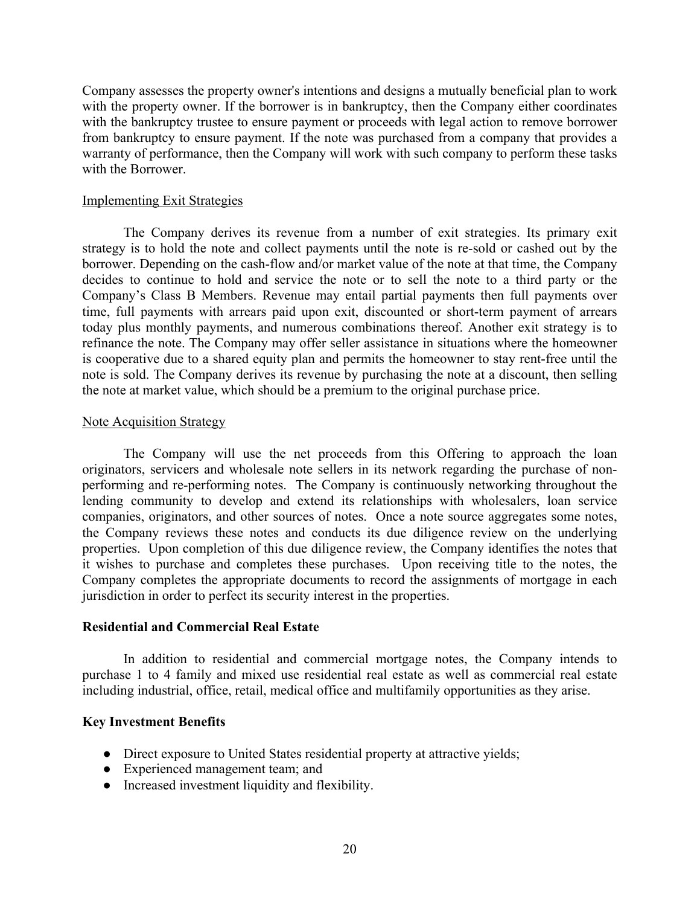Company assesses the property owner's intentions and designs a mutually beneficial plan to work with the property owner. If the borrower is in bankruptcy, then the Company either coordinates with the bankruptcy trustee to ensure payment or proceeds with legal action to remove borrower from bankruptcy to ensure payment. If the note was purchased from a company that provides a warranty of performance, then the Company will work with such company to perform these tasks with the Borrower.

## Implementing Exit Strategies

The Company derives its revenue from a number of exit strategies. Its primary exit strategy is to hold the note and collect payments until the note is re-sold or cashed out by the borrower. Depending on the cash-flow and/or market value of the note at that time, the Company decides to continue to hold and service the note or to sell the note to a third party or the Company's Class B Members. Revenue may entail partial payments then full payments over time, full payments with arrears paid upon exit, discounted or short-term payment of arrears today plus monthly payments, and numerous combinations thereof. Another exit strategy is to refinance the note. The Company may offer seller assistance in situations where the homeowner is cooperative due to a shared equity plan and permits the homeowner to stay rent-free until the note is sold. The Company derives its revenue by purchasing the note at a discount, then selling the note at market value, which should be a premium to the original purchase price.

## Note Acquisition Strategy

The Company will use the net proceeds from this Offering to approach the loan originators, servicers and wholesale note sellers in its network regarding the purchase of nonperforming and re-performing notes. The Company is continuously networking throughout the lending community to develop and extend its relationships with wholesalers, loan service companies, originators, and other sources of notes. Once a note source aggregates some notes, the Company reviews these notes and conducts its due diligence review on the underlying properties. Upon completion of this due diligence review, the Company identifies the notes that it wishes to purchase and completes these purchases. Upon receiving title to the notes, the Company completes the appropriate documents to record the assignments of mortgage in each jurisdiction in order to perfect its security interest in the properties.

## **Residential and Commercial Real Estate**

In addition to residential and commercial mortgage notes, the Company intends to purchase 1 to 4 family and mixed use residential real estate as well as commercial real estate including industrial, office, retail, medical office and multifamily opportunities as they arise.

## **Key Investment Benefits**

- Direct exposure to United States residential property at attractive yields;
- Experienced management team; and
- Increased investment liquidity and flexibility.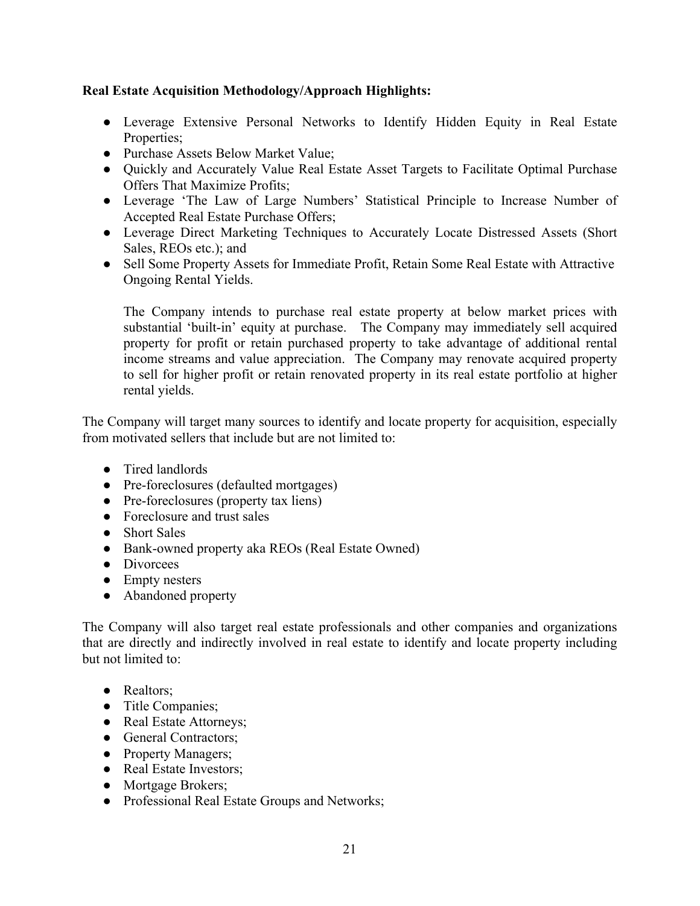# **Real Estate Acquisition Methodology/Approach Highlights:**

- Leverage Extensive Personal Networks to Identify Hidden Equity in Real Estate Properties;
- Purchase Assets Below Market Value:
- Quickly and Accurately Value Real Estate Asset Targets to Facilitate Optimal Purchase Offers That Maximize Profits;
- Leverage 'The Law of Large Numbers' Statistical Principle to Increase Number of Accepted Real Estate Purchase Offers;
- Leverage Direct Marketing Techniques to Accurately Locate Distressed Assets (Short Sales, REOs etc.); and
- Sell Some Property Assets for Immediate Profit, Retain Some Real Estate with Attractive Ongoing Rental Yields.

The Company intends to purchase real estate property at below market prices with substantial 'built-in' equity at purchase. The Company may immediately sell acquired property for profit or retain purchased property to take advantage of additional rental income streams and value appreciation. The Company may renovate acquired property to sell for higher profit or retain renovated property in its real estate portfolio at higher rental yields.

The Company will target many sources to identify and locate property for acquisition, especially from motivated sellers that include but are not limited to:

- Tired landlords
- Pre-foreclosures (defaulted mortgages)
- Pre-foreclosures (property tax liens)
- Foreclosure and trust sales
- Short Sales
- Bank-owned property aka REOs (Real Estate Owned)
- Divorcees
- Empty nesters
- Abandoned property

The Company will also target real estate professionals and other companies and organizations that are directly and indirectly involved in real estate to identify and locate property including but not limited to:

- Realtors:
- Title Companies;
- Real Estate Attorneys;
- General Contractors;
- Property Managers;
- Real Estate Investors:
- Mortgage Brokers;
- Professional Real Estate Groups and Networks;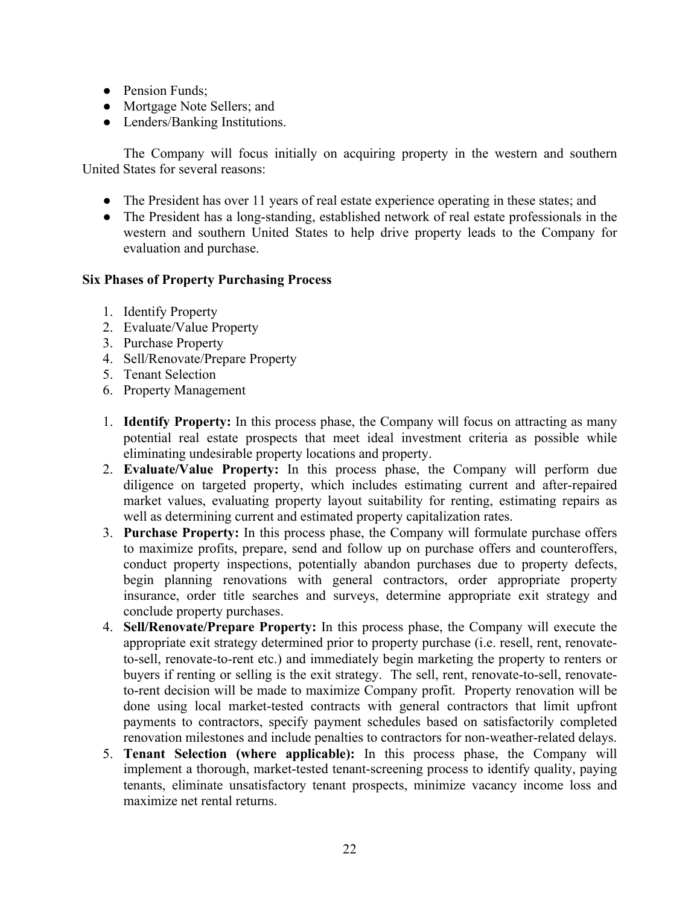- Pension Funds;
- Mortgage Note Sellers; and
- Lenders/Banking Institutions.

The Company will focus initially on acquiring property in the western and southern United States for several reasons:

- The President has over 11 years of real estate experience operating in these states; and
- The President has a long-standing, established network of real estate professionals in the western and southern United States to help drive property leads to the Company for evaluation and purchase.

# **Six Phases of Property Purchasing Process**

- 1. Identify Property
- 2. Evaluate/Value Property
- 3. Purchase Property
- 4. Sell/Renovate/Prepare Property
- 5. Tenant Selection
- 6. Property Management
- 1. **Identify Property:** In this process phase, the Company will focus on attracting as many potential real estate prospects that meet ideal investment criteria as possible while eliminating undesirable property locations and property.
- 2. **Evaluate/Value Property:** In this process phase, the Company will perform due diligence on targeted property, which includes estimating current and after-repaired market values, evaluating property layout suitability for renting, estimating repairs as well as determining current and estimated property capitalization rates.
- 3. **Purchase Property:** In this process phase, the Company will formulate purchase offers to maximize profits, prepare, send and follow up on purchase offers and counteroffers, conduct property inspections, potentially abandon purchases due to property defects, begin planning renovations with general contractors, order appropriate property insurance, order title searches and surveys, determine appropriate exit strategy and conclude property purchases.
- 4. **Sell/Renovate/Prepare Property:** In this process phase, the Company will execute the appropriate exit strategy determined prior to property purchase (i.e. resell, rent, renovateto-sell, renovate-to-rent etc.) and immediately begin marketing the property to renters or buyers if renting or selling is the exit strategy. The sell, rent, renovate-to-sell, renovateto-rent decision will be made to maximize Company profit. Property renovation will be done using local market-tested contracts with general contractors that limit upfront payments to contractors, specify payment schedules based on satisfactorily completed renovation milestones and include penalties to contractors for non-weather-related delays.
- 5. **Tenant Selection (where applicable):** In this process phase, the Company will implement a thorough, market-tested tenant-screening process to identify quality, paying tenants, eliminate unsatisfactory tenant prospects, minimize vacancy income loss and maximize net rental returns.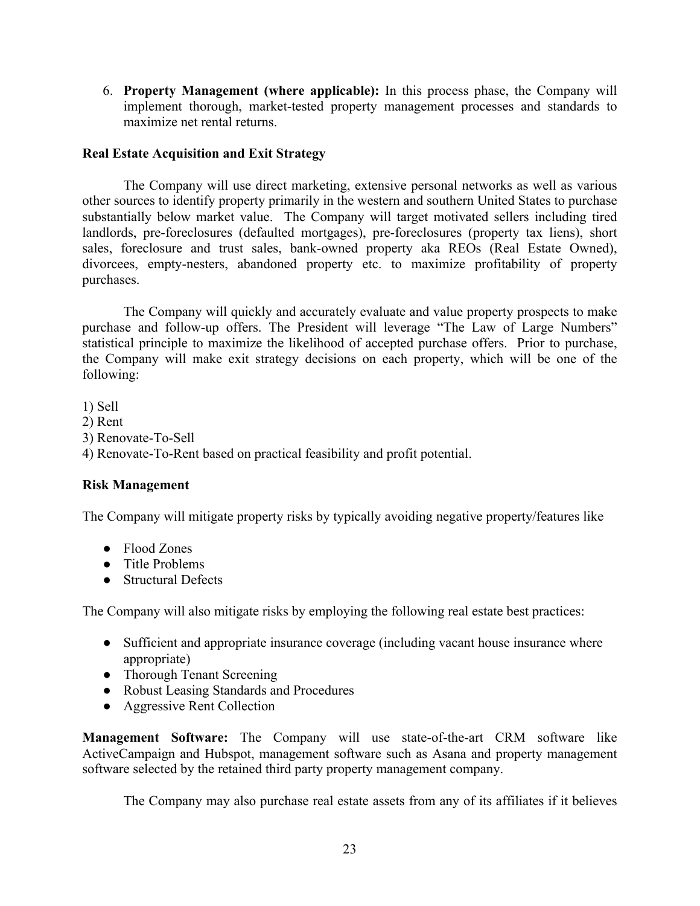6. **Property Management (where applicable):** In this process phase, the Company will implement thorough, market-tested property management processes and standards to maximize net rental returns.

# **Real Estate Acquisition and Exit Strategy**

The Company will use direct marketing, extensive personal networks as well as various other sources to identify property primarily in the western and southern United States to purchase substantially below market value. The Company will target motivated sellers including tired landlords, pre-foreclosures (defaulted mortgages), pre-foreclosures (property tax liens), short sales, foreclosure and trust sales, bank-owned property aka REOs (Real Estate Owned), divorcees, empty-nesters, abandoned property etc. to maximize profitability of property purchases.

The Company will quickly and accurately evaluate and value property prospects to make purchase and follow-up offers. The President will leverage "The Law of Large Numbers" statistical principle to maximize the likelihood of accepted purchase offers. Prior to purchase, the Company will make exit strategy decisions on each property, which will be one of the following:

1) Sell 2) Rent 3) Renovate-To-Sell 4) Renovate-To-Rent based on practical feasibility and profit potential.

## **Risk Management**

The Company will mitigate property risks by typically avoiding negative property/features like

- Flood Zones
- Title Problems
- Structural Defects

The Company will also mitigate risks by employing the following real estate best practices:

- Sufficient and appropriate insurance coverage (including vacant house insurance where appropriate)
- Thorough Tenant Screening
- Robust Leasing Standards and Procedures
- Aggressive Rent Collection

**Management Software:** The Company will use state-of-the-art CRM software like ActiveCampaign and Hubspot, management software such as Asana and property management software selected by the retained third party property management company.

The Company may also purchase real estate assets from any of its affiliates if it believes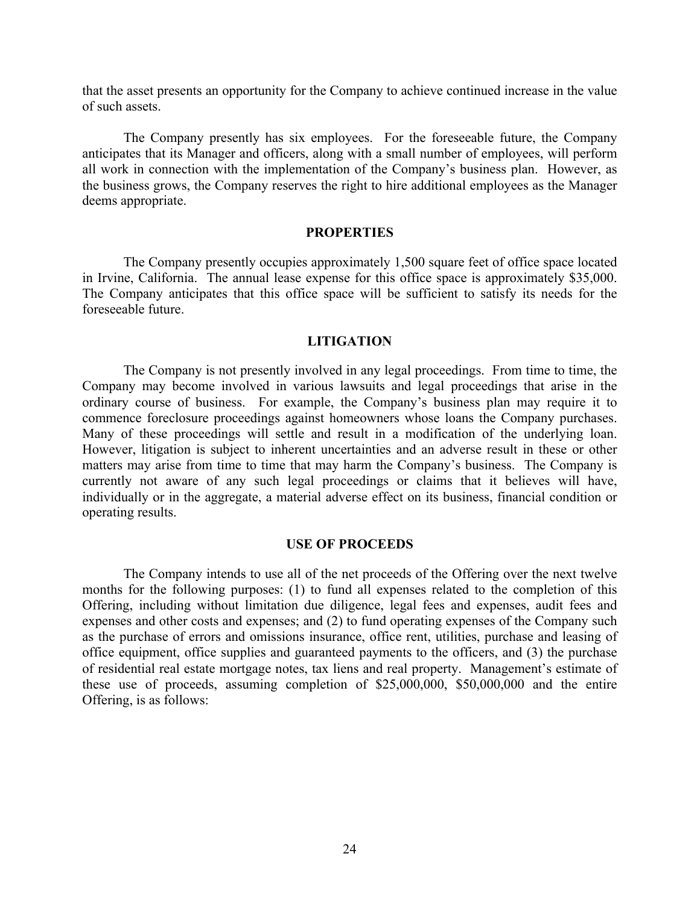that the asset presents an opportunity for the Company to achieve continued increase in the value of such assets.

The Company presently has six employees. For the foreseeable future, the Company anticipates that its Manager and officers, along with a small number of employees, will perform all work in connection with the implementation of the Company's business plan. However, as the business grows, the Company reserves the right to hire additional employees as the Manager deems appropriate.

#### **PROPERTIES**

The Company presently occupies approximately 1,500 square feet of office space located in Irvine, California. The annual lease expense for this office space is approximately \$35,000. The Company anticipates that this office space will be sufficient to satisfy its needs for the foreseeable future.

#### **LITIGATION**

The Company is not presently involved in any legal proceedings. From time to time, the Company may become involved in various lawsuits and legal proceedings that arise in the ordinary course of business. For example, the Company's business plan may require it to commence foreclosure proceedings against homeowners whose loans the Company purchases. Many of these proceedings will settle and result in a modification of the underlying loan. However, litigation is subject to inherent uncertainties and an adverse result in these or other matters may arise from time to time that may harm the Company's business. The Company is currently not aware of any such legal proceedings or claims that it believes will have, individually or in the aggregate, a material adverse effect on its business, financial condition or operating results.

#### **USE OF PROCEEDS**

The Company intends to use all of the net proceeds of the Offering over the next twelve months for the following purposes: (1) to fund all expenses related to the completion of this Offering, including without limitation due diligence, legal fees and expenses, audit fees and expenses and other costs and expenses; and (2) to fund operating expenses of the Company such as the purchase of errors and omissions insurance, office rent, utilities, purchase and leasing of office equipment, office supplies and guaranteed payments to the officers, and (3) the purchase of residential real estate mortgage notes, tax liens and real property. Management's estimate of these use of proceeds, assuming completion of \$25,000,000, \$50,000,000 and the entire Offering, is as follows: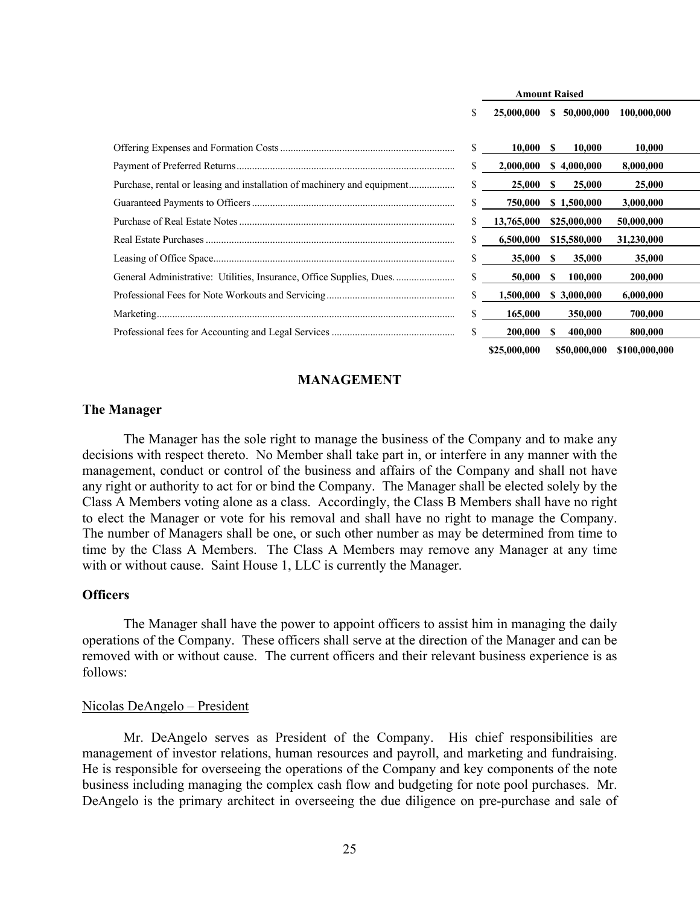|                                                                         |    | <b>Amount Raised</b> |    |              |               |  |
|-------------------------------------------------------------------------|----|----------------------|----|--------------|---------------|--|
|                                                                         | \$ | 25,000,000           | S. | 50,000,000   | 100,000,000   |  |
|                                                                         | S. | 10,000               | S  | 10,000       | 10.000        |  |
|                                                                         |    | 2,000,000            |    | \$4,000,000  | 8,000,000     |  |
| Purchase, rental or leasing and installation of machinery and equipment | S. | 25,000               | S  | 25,000       | 25,000        |  |
|                                                                         |    | 750,000              |    | \$1,500,000  | 3,000,000     |  |
|                                                                         |    | 13,765,000           |    | \$25,000,000 | 50,000,000    |  |
|                                                                         |    | 6,500,000            |    | \$15,580,000 | 31,230,000    |  |
|                                                                         | S. | 35,000               | S  | 35,000       | 35,000        |  |
| General Administrative: Utilities, Insurance, Office Supplies, Dues     | \$ | 50,000               | S  | 100,000      | 200,000       |  |
|                                                                         | S. | 1,500,000            |    | \$3,000,000  | 6,000,000     |  |
|                                                                         |    | 165,000              |    | 350,000      | 700,000       |  |
|                                                                         | S. | 200,000              | S  | 400,000      | 800,000       |  |
|                                                                         |    | \$25,000,000         |    | \$50,000,000 | \$100,000,000 |  |

## **MANAGEMENT**

#### **The Manager**

The Manager has the sole right to manage the business of the Company and to make any decisions with respect thereto. No Member shall take part in, or interfere in any manner with the management, conduct or control of the business and affairs of the Company and shall not have any right or authority to act for or bind the Company. The Manager shall be elected solely by the Class A Members voting alone as a class. Accordingly, the Class B Members shall have no right to elect the Manager or vote for his removal and shall have no right to manage the Company. The number of Managers shall be one, or such other number as may be determined from time to time by the Class A Members. The Class A Members may remove any Manager at any time with or without cause. Saint House 1, LLC is currently the Manager.

#### **Officers**

The Manager shall have the power to appoint officers to assist him in managing the daily operations of the Company. These officers shall serve at the direction of the Manager and can be removed with or without cause. The current officers and their relevant business experience is as follows:

#### Nicolas DeAngelo – President

Mr. DeAngelo serves as President of the Company. His chief responsibilities are management of investor relations, human resources and payroll, and marketing and fundraising. He is responsible for overseeing the operations of the Company and key components of the note business including managing the complex cash flow and budgeting for note pool purchases. Mr. DeAngelo is the primary architect in overseeing the due diligence on pre-purchase and sale of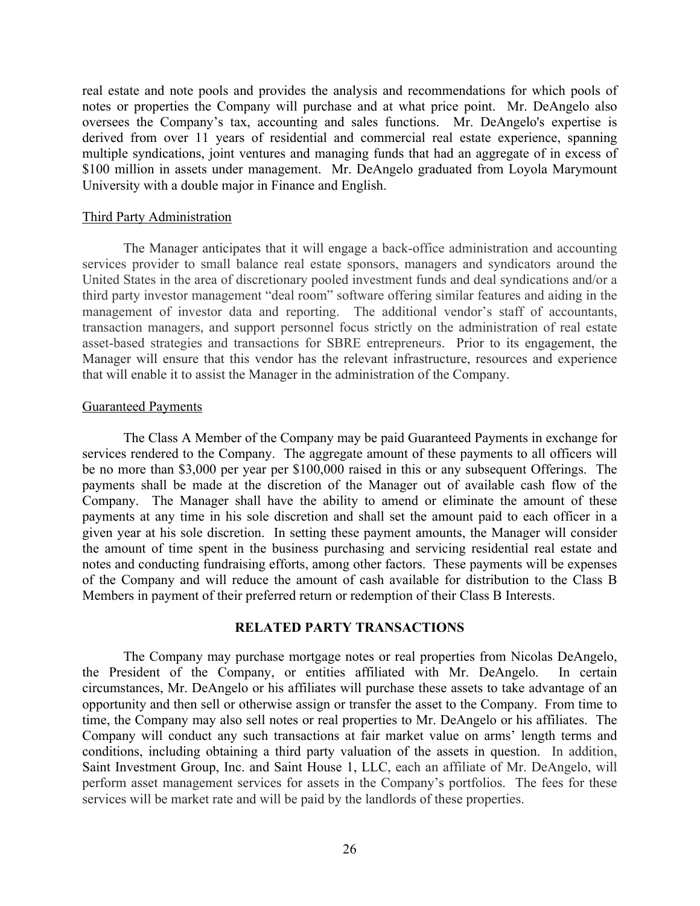real estate and note pools and provides the analysis and recommendations for which pools of notes or properties the Company will purchase and at what price point. Mr. DeAngelo also oversees the Company's tax, accounting and sales functions. Mr. DeAngelo's expertise is derived from over 11 years of residential and commercial real estate experience, spanning multiple syndications, joint ventures and managing funds that had an aggregate of in excess of \$100 million in assets under management. Mr. DeAngelo graduated from Loyola Marymount University with a double major in Finance and English.

#### Third Party Administration

The Manager anticipates that it will engage a back-office administration and accounting services provider to small balance real estate sponsors, managers and syndicators around the United States in the area of discretionary pooled investment funds and deal syndications and/or a third party investor management "deal room" software offering similar features and aiding in the management of investor data and reporting. The additional vendor's staff of accountants, transaction managers, and support personnel focus strictly on the administration of real estate asset-based strategies and transactions for SBRE entrepreneurs. Prior to its engagement, the Manager will ensure that this vendor has the relevant infrastructure, resources and experience that will enable it to assist the Manager in the administration of the Company.

#### Guaranteed Payments

The Class A Member of the Company may be paid Guaranteed Payments in exchange for services rendered to the Company. The aggregate amount of these payments to all officers will be no more than \$3,000 per year per \$100,000 raised in this or any subsequent Offerings. The payments shall be made at the discretion of the Manager out of available cash flow of the Company. The Manager shall have the ability to amend or eliminate the amount of these payments at any time in his sole discretion and shall set the amount paid to each officer in a given year at his sole discretion. In setting these payment amounts, the Manager will consider the amount of time spent in the business purchasing and servicing residential real estate and notes and conducting fundraising efforts, among other factors. These payments will be expenses of the Company and will reduce the amount of cash available for distribution to the Class B Members in payment of their preferred return or redemption of their Class B Interests.

## **RELATED PARTY TRANSACTIONS**

The Company may purchase mortgage notes or real properties from Nicolas DeAngelo, the President of the Company, or entities affiliated with Mr. DeAngelo. In certain circumstances, Mr. DeAngelo or his affiliates will purchase these assets to take advantage of an opportunity and then sell or otherwise assign or transfer the asset to the Company. From time to time, the Company may also sell notes or real properties to Mr. DeAngelo or his affiliates. The Company will conduct any such transactions at fair market value on arms' length terms and conditions, including obtaining a third party valuation of the assets in question.In addition, Saint Investment Group, Inc. and Saint House 1, LLC, each an affiliate of Mr. DeAngelo, will perform asset management services for assets in the Company's portfolios. The fees for these services will be market rate and will be paid by the landlords of these properties.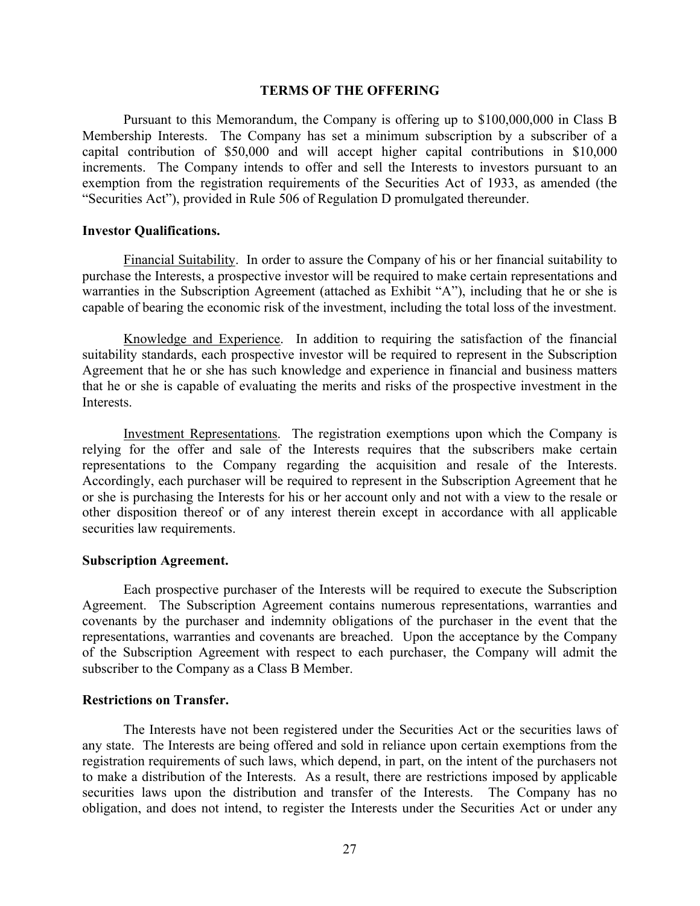#### **TERMS OF THE OFFERING**

Pursuant to this Memorandum, the Company is offering up to \$100,000,000 in Class B Membership Interests. The Company has set a minimum subscription by a subscriber of a capital contribution of \$50,000 and will accept higher capital contributions in \$10,000 increments. The Company intends to offer and sell the Interests to investors pursuant to an exemption from the registration requirements of the Securities Act of 1933, as amended (the "Securities Act"), provided in Rule 506 of Regulation D promulgated thereunder.

#### **Investor Qualifications.**

Financial Suitability. In order to assure the Company of his or her financial suitability to purchase the Interests, a prospective investor will be required to make certain representations and warranties in the Subscription Agreement (attached as Exhibit "A"), including that he or she is capable of bearing the economic risk of the investment, including the total loss of the investment.

Knowledge and Experience. In addition to requiring the satisfaction of the financial suitability standards, each prospective investor will be required to represent in the Subscription Agreement that he or she has such knowledge and experience in financial and business matters that he or she is capable of evaluating the merits and risks of the prospective investment in the Interests.

Investment Representations. The registration exemptions upon which the Company is relying for the offer and sale of the Interests requires that the subscribers make certain representations to the Company regarding the acquisition and resale of the Interests. Accordingly, each purchaser will be required to represent in the Subscription Agreement that he or she is purchasing the Interests for his or her account only and not with a view to the resale or other disposition thereof or of any interest therein except in accordance with all applicable securities law requirements.

#### **Subscription Agreement.**

Each prospective purchaser of the Interests will be required to execute the Subscription Agreement. The Subscription Agreement contains numerous representations, warranties and covenants by the purchaser and indemnity obligations of the purchaser in the event that the representations, warranties and covenants are breached. Upon the acceptance by the Company of the Subscription Agreement with respect to each purchaser, the Company will admit the subscriber to the Company as a Class B Member.

#### **Restrictions on Transfer.**

The Interests have not been registered under the Securities Act or the securities laws of any state. The Interests are being offered and sold in reliance upon certain exemptions from the registration requirements of such laws, which depend, in part, on the intent of the purchasers not to make a distribution of the Interests. As a result, there are restrictions imposed by applicable securities laws upon the distribution and transfer of the Interests. The Company has no obligation, and does not intend, to register the Interests under the Securities Act or under any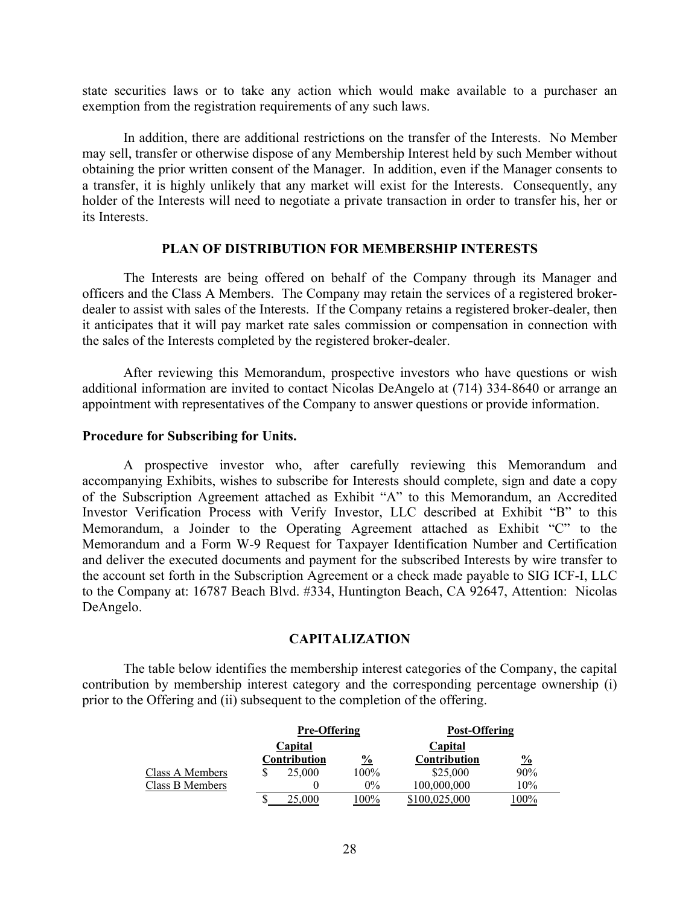state securities laws or to take any action which would make available to a purchaser an exemption from the registration requirements of any such laws.

In addition, there are additional restrictions on the transfer of the Interests. No Member may sell, transfer or otherwise dispose of any Membership Interest held by such Member without obtaining the prior written consent of the Manager. In addition, even if the Manager consents to a transfer, it is highly unlikely that any market will exist for the Interests. Consequently, any holder of the Interests will need to negotiate a private transaction in order to transfer his, her or its Interests.

#### **PLAN OF DISTRIBUTION FOR MEMBERSHIP INTERESTS**

The Interests are being offered on behalf of the Company through its Manager and officers and the Class A Members. The Company may retain the services of a registered brokerdealer to assist with sales of the Interests. If the Company retains a registered broker-dealer, then it anticipates that it will pay market rate sales commission or compensation in connection with the sales of the Interests completed by the registered broker-dealer.

After reviewing this Memorandum, prospective investors who have questions or wish additional information are invited to contact Nicolas DeAngelo at (714) 334-8640 or arrange an appointment with representatives of the Company to answer questions or provide information.

#### **Procedure for Subscribing for Units.**

A prospective investor who, after carefully reviewing this Memorandum and accompanying Exhibits, wishes to subscribe for Interests should complete, sign and date a copy of the Subscription Agreement attached as Exhibit "A" to this Memorandum, an Accredited Investor Verification Process with Verify Investor, LLC described at Exhibit "B" to this Memorandum, a Joinder to the Operating Agreement attached as Exhibit "C" to the Memorandum and a Form W-9 Request for Taxpayer Identification Number and Certification and deliver the executed documents and payment for the subscribed Interests by wire transfer to the account set forth in the Subscription Agreement or a check made payable to SIG ICF-I, LLC to the Company at: 16787 Beach Blvd. #334, Huntington Beach, CA 92647, Attention: Nicolas DeAngelo.

## **CAPITALIZATION**

The table below identifies the membership interest categories of the Company, the capital contribution by membership interest category and the corresponding percentage ownership (i) prior to the Offering and (ii) subsequent to the completion of the offering.

|                 | <b>Pre-Offering</b> |               | Post-Offering |               |
|-----------------|---------------------|---------------|---------------|---------------|
|                 | Capital             |               | Capital       |               |
|                 | Contribution        | $\frac{6}{2}$ | Contribution  | $\frac{0}{0}$ |
| Class A Members | 25,000              | 100%          | \$25,000      | 90%           |
| Class B Members |                     | $0\%$         | 100,000,000   | 10%           |
|                 | 25.000              | 100%          | \$100,025,000 | $.00\%$       |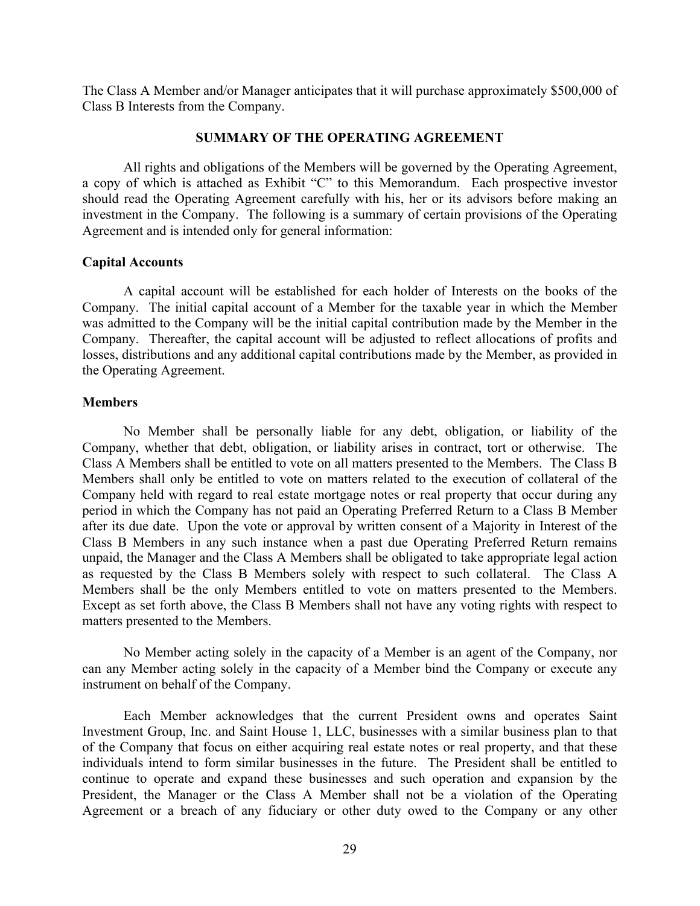The Class A Member and/or Manager anticipates that it will purchase approximately \$500,000 of Class B Interests from the Company.

## **SUMMARY OF THE OPERATING AGREEMENT**

All rights and obligations of the Members will be governed by the Operating Agreement, a copy of which is attached as Exhibit "C" to this Memorandum. Each prospective investor should read the Operating Agreement carefully with his, her or its advisors before making an investment in the Company. The following is a summary of certain provisions of the Operating Agreement and is intended only for general information:

## **Capital Accounts**

A capital account will be established for each holder of Interests on the books of the Company. The initial capital account of a Member for the taxable year in which the Member was admitted to the Company will be the initial capital contribution made by the Member in the Company. Thereafter, the capital account will be adjusted to reflect allocations of profits and losses, distributions and any additional capital contributions made by the Member, as provided in the Operating Agreement.

## **Members**

No Member shall be personally liable for any debt, obligation, or liability of the Company, whether that debt, obligation, or liability arises in contract, tort or otherwise. The Class A Members shall be entitled to vote on all matters presented to the Members. The Class B Members shall only be entitled to vote on matters related to the execution of collateral of the Company held with regard to real estate mortgage notes or real property that occur during any period in which the Company has not paid an Operating Preferred Return to a Class B Member after its due date. Upon the vote or approval by written consent of a Majority in Interest of the Class B Members in any such instance when a past due Operating Preferred Return remains unpaid, the Manager and the Class A Members shall be obligated to take appropriate legal action as requested by the Class B Members solely with respect to such collateral. The Class A Members shall be the only Members entitled to vote on matters presented to the Members. Except as set forth above, the Class B Members shall not have any voting rights with respect to matters presented to the Members.

No Member acting solely in the capacity of a Member is an agent of the Company, nor can any Member acting solely in the capacity of a Member bind the Company or execute any instrument on behalf of the Company.

Each Member acknowledges that the current President owns and operates Saint Investment Group, Inc. and Saint House 1, LLC, businesses with a similar business plan to that of the Company that focus on either acquiring real estate notes or real property, and that these individuals intend to form similar businesses in the future. The President shall be entitled to continue to operate and expand these businesses and such operation and expansion by the President, the Manager or the Class A Member shall not be a violation of the Operating Agreement or a breach of any fiduciary or other duty owed to the Company or any other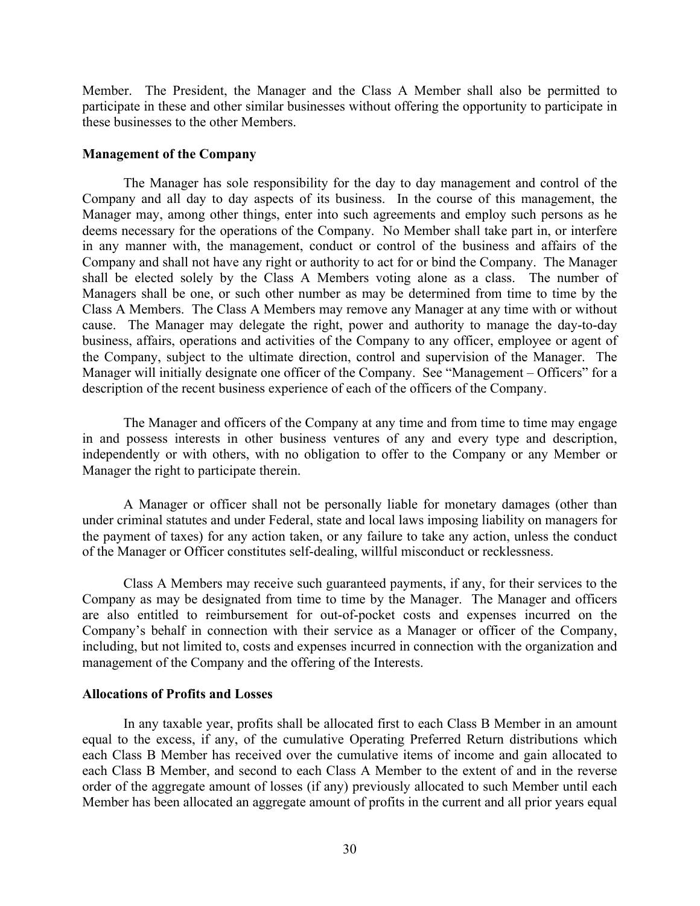Member. The President, the Manager and the Class A Member shall also be permitted to participate in these and other similar businesses without offering the opportunity to participate in these businesses to the other Members.

#### **Management of the Company**

The Manager has sole responsibility for the day to day management and control of the Company and all day to day aspects of its business. In the course of this management, the Manager may, among other things, enter into such agreements and employ such persons as he deems necessary for the operations of the Company. No Member shall take part in, or interfere in any manner with, the management, conduct or control of the business and affairs of the Company and shall not have any right or authority to act for or bind the Company. The Manager shall be elected solely by the Class A Members voting alone as a class. The number of Managers shall be one, or such other number as may be determined from time to time by the Class A Members. The Class A Members may remove any Manager at any time with or without cause. The Manager may delegate the right, power and authority to manage the day-to-day business, affairs, operations and activities of the Company to any officer, employee or agent of the Company, subject to the ultimate direction, control and supervision of the Manager. The Manager will initially designate one officer of the Company. See "Management – Officers" for a description of the recent business experience of each of the officers of the Company.

The Manager and officers of the Company at any time and from time to time may engage in and possess interests in other business ventures of any and every type and description, independently or with others, with no obligation to offer to the Company or any Member or Manager the right to participate therein.

A Manager or officer shall not be personally liable for monetary damages (other than under criminal statutes and under Federal, state and local laws imposing liability on managers for the payment of taxes) for any action taken, or any failure to take any action, unless the conduct of the Manager or Officer constitutes self-dealing, willful misconduct or recklessness.

Class A Members may receive such guaranteed payments, if any, for their services to the Company as may be designated from time to time by the Manager. The Manager and officers are also entitled to reimbursement for out-of-pocket costs and expenses incurred on the Company's behalf in connection with their service as a Manager or officer of the Company, including, but not limited to, costs and expenses incurred in connection with the organization and management of the Company and the offering of the Interests.

## **Allocations of Profits and Losses**

In any taxable year, profits shall be allocated first to each Class B Member in an amount equal to the excess, if any, of the cumulative Operating Preferred Return distributions which each Class B Member has received over the cumulative items of income and gain allocated to each Class B Member, and second to each Class A Member to the extent of and in the reverse order of the aggregate amount of losses (if any) previously allocated to such Member until each Member has been allocated an aggregate amount of profits in the current and all prior years equal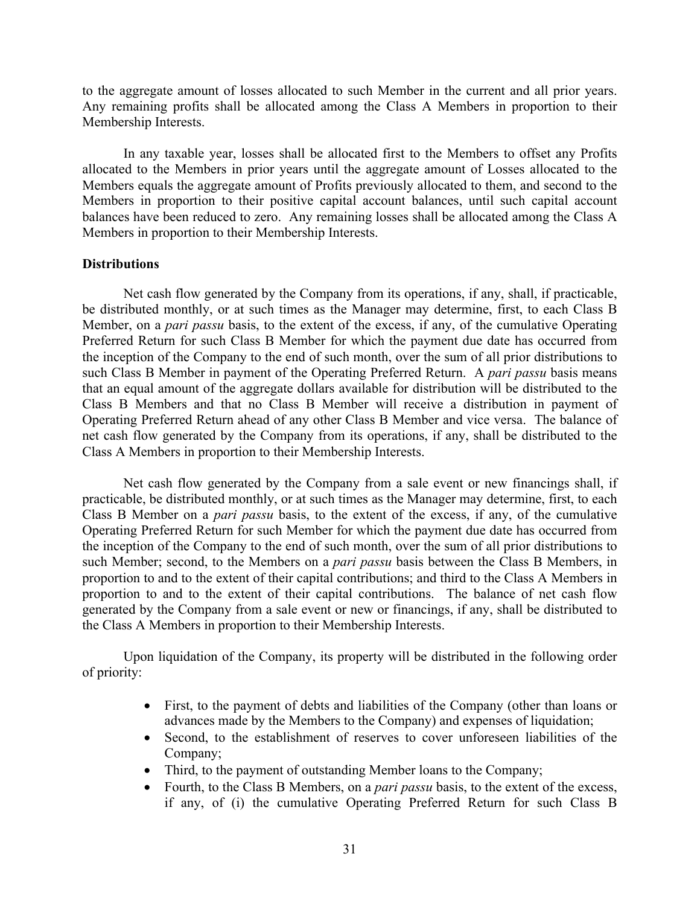to the aggregate amount of losses allocated to such Member in the current and all prior years. Any remaining profits shall be allocated among the Class A Members in proportion to their Membership Interests.

In any taxable year, losses shall be allocated first to the Members to offset any Profits allocated to the Members in prior years until the aggregate amount of Losses allocated to the Members equals the aggregate amount of Profits previously allocated to them, and second to the Members in proportion to their positive capital account balances, until such capital account balances have been reduced to zero. Any remaining losses shall be allocated among the Class A Members in proportion to their Membership Interests.

### **Distributions**

Net cash flow generated by the Company from its operations, if any, shall, if practicable, be distributed monthly, or at such times as the Manager may determine, first, to each Class B Member, on a *pari passu* basis, to the extent of the excess, if any, of the cumulative Operating Preferred Return for such Class B Member for which the payment due date has occurred from the inception of the Company to the end of such month, over the sum of all prior distributions to such Class B Member in payment of the Operating Preferred Return. A *pari passu* basis means that an equal amount of the aggregate dollars available for distribution will be distributed to the Class B Members and that no Class B Member will receive a distribution in payment of Operating Preferred Return ahead of any other Class B Member and vice versa. The balance of net cash flow generated by the Company from its operations, if any, shall be distributed to the Class A Members in proportion to their Membership Interests.

Net cash flow generated by the Company from a sale event or new financings shall, if practicable, be distributed monthly, or at such times as the Manager may determine, first, to each Class B Member on a *pari passu* basis, to the extent of the excess, if any, of the cumulative Operating Preferred Return for such Member for which the payment due date has occurred from the inception of the Company to the end of such month, over the sum of all prior distributions to such Member; second, to the Members on a *pari passu* basis between the Class B Members, in proportion to and to the extent of their capital contributions; and third to the Class A Members in proportion to and to the extent of their capital contributions. The balance of net cash flow generated by the Company from a sale event or new or financings, if any, shall be distributed to the Class A Members in proportion to their Membership Interests.

Upon liquidation of the Company, its property will be distributed in the following order of priority:

- First, to the payment of debts and liabilities of the Company (other than loans or advances made by the Members to the Company) and expenses of liquidation;
- Second, to the establishment of reserves to cover unforeseen liabilities of the Company;
- Third, to the payment of outstanding Member loans to the Company;
- Fourth, to the Class B Members, on a *pari passu* basis, to the extent of the excess, if any, of (i) the cumulative Operating Preferred Return for such Class B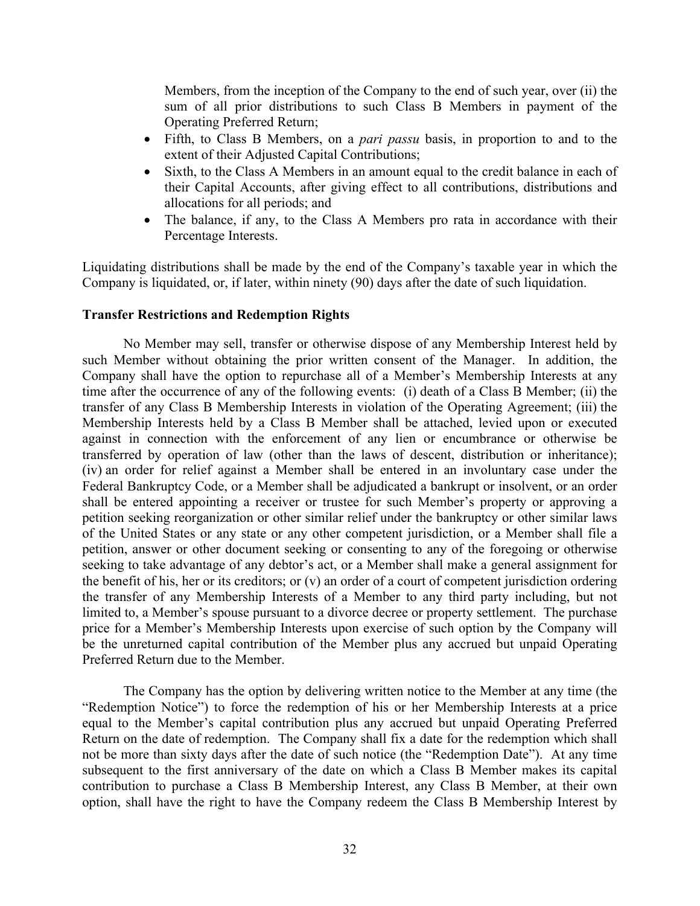Members, from the inception of the Company to the end of such year, over (ii) the sum of all prior distributions to such Class B Members in payment of the Operating Preferred Return;

- Fifth, to Class B Members, on a *pari passu* basis, in proportion to and to the extent of their Adjusted Capital Contributions;
- Sixth, to the Class A Members in an amount equal to the credit balance in each of their Capital Accounts, after giving effect to all contributions, distributions and allocations for all periods; and
- The balance, if any, to the Class A Members pro rata in accordance with their Percentage Interests.

Liquidating distributions shall be made by the end of the Company's taxable year in which the Company is liquidated, or, if later, within ninety (90) days after the date of such liquidation.

## **Transfer Restrictions and Redemption Rights**

No Member may sell, transfer or otherwise dispose of any Membership Interest held by such Member without obtaining the prior written consent of the Manager. In addition, the Company shall have the option to repurchase all of a Member's Membership Interests at any time after the occurrence of any of the following events: (i) death of a Class B Member; (ii) the transfer of any Class B Membership Interests in violation of the Operating Agreement; (iii) the Membership Interests held by a Class B Member shall be attached, levied upon or executed against in connection with the enforcement of any lien or encumbrance or otherwise be transferred by operation of law (other than the laws of descent, distribution or inheritance); (iv) an order for relief against a Member shall be entered in an involuntary case under the Federal Bankruptcy Code, or a Member shall be adjudicated a bankrupt or insolvent, or an order shall be entered appointing a receiver or trustee for such Member's property or approving a petition seeking reorganization or other similar relief under the bankruptcy or other similar laws of the United States or any state or any other competent jurisdiction, or a Member shall file a petition, answer or other document seeking or consenting to any of the foregoing or otherwise seeking to take advantage of any debtor's act, or a Member shall make a general assignment for the benefit of his, her or its creditors; or (v) an order of a court of competent jurisdiction ordering the transfer of any Membership Interests of a Member to any third party including, but not limited to, a Member's spouse pursuant to a divorce decree or property settlement. The purchase price for a Member's Membership Interests upon exercise of such option by the Company will be the unreturned capital contribution of the Member plus any accrued but unpaid Operating Preferred Return due to the Member.

The Company has the option by delivering written notice to the Member at any time (the "Redemption Notice") to force the redemption of his or her Membership Interests at a price equal to the Member's capital contribution plus any accrued but unpaid Operating Preferred Return on the date of redemption. The Company shall fix a date for the redemption which shall not be more than sixty days after the date of such notice (the "Redemption Date"). At any time subsequent to the first anniversary of the date on which a Class B Member makes its capital contribution to purchase a Class B Membership Interest, any Class B Member, at their own option, shall have the right to have the Company redeem the Class B Membership Interest by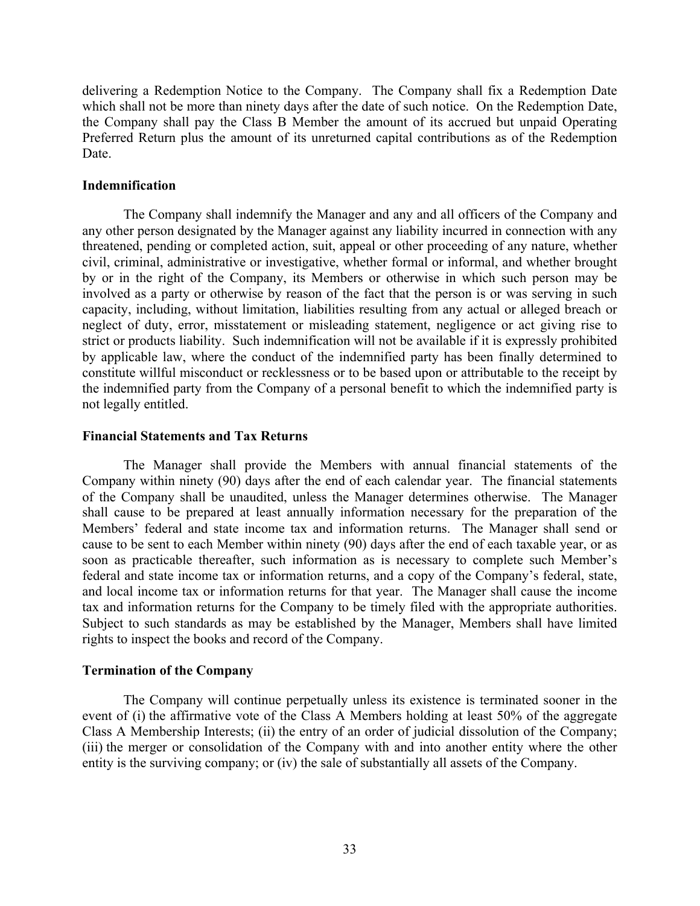delivering a Redemption Notice to the Company. The Company shall fix a Redemption Date which shall not be more than ninety days after the date of such notice. On the Redemption Date, the Company shall pay the Class B Member the amount of its accrued but unpaid Operating Preferred Return plus the amount of its unreturned capital contributions as of the Redemption Date.

## **Indemnification**

The Company shall indemnify the Manager and any and all officers of the Company and any other person designated by the Manager against any liability incurred in connection with any threatened, pending or completed action, suit, appeal or other proceeding of any nature, whether civil, criminal, administrative or investigative, whether formal or informal, and whether brought by or in the right of the Company, its Members or otherwise in which such person may be involved as a party or otherwise by reason of the fact that the person is or was serving in such capacity, including, without limitation, liabilities resulting from any actual or alleged breach or neglect of duty, error, misstatement or misleading statement, negligence or act giving rise to strict or products liability. Such indemnification will not be available if it is expressly prohibited by applicable law, where the conduct of the indemnified party has been finally determined to constitute willful misconduct or recklessness or to be based upon or attributable to the receipt by the indemnified party from the Company of a personal benefit to which the indemnified party is not legally entitled.

## **Financial Statements and Tax Returns**

The Manager shall provide the Members with annual financial statements of the Company within ninety (90) days after the end of each calendar year. The financial statements of the Company shall be unaudited, unless the Manager determines otherwise. The Manager shall cause to be prepared at least annually information necessary for the preparation of the Members' federal and state income tax and information returns. The Manager shall send or cause to be sent to each Member within ninety (90) days after the end of each taxable year, or as soon as practicable thereafter, such information as is necessary to complete such Member's federal and state income tax or information returns, and a copy of the Company's federal, state, and local income tax or information returns for that year. The Manager shall cause the income tax and information returns for the Company to be timely filed with the appropriate authorities. Subject to such standards as may be established by the Manager, Members shall have limited rights to inspect the books and record of the Company.

## **Termination of the Company**

The Company will continue perpetually unless its existence is terminated sooner in the event of (i) the affirmative vote of the Class A Members holding at least 50% of the aggregate Class A Membership Interests; (ii) the entry of an order of judicial dissolution of the Company; (iii) the merger or consolidation of the Company with and into another entity where the other entity is the surviving company; or (iv) the sale of substantially all assets of the Company.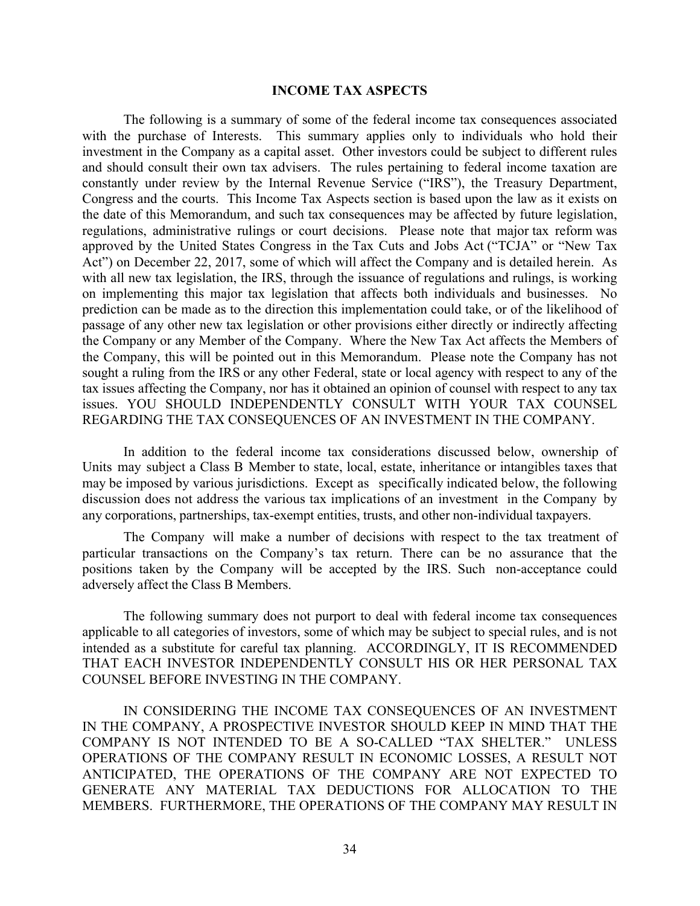## **INCOME TAX ASPECTS**

The following is a summary of some of the federal income tax consequences associated with the purchase of Interests. This summary applies only to individuals who hold their investment in the Company as a capital asset. Other investors could be subject to different rules and should consult their own tax advisers. The rules pertaining to federal income taxation are constantly under review by the Internal Revenue Service ("IRS"), the Treasury Department, Congress and the courts. This Income Tax Aspects section is based upon the law as it exists on the date of this Memorandum, and such tax consequences may be affected by future legislation, regulations, administrative rulings or court decisions. Please note that major tax reform was approved by the United States Congress in the Tax Cuts and Jobs Act ("TCJA" or "New Tax Act") on December 22, 2017, some of which will affect the Company and is detailed herein. As with all new tax legislation, the IRS, through the issuance of regulations and rulings, is working on implementing this major tax legislation that affects both individuals and businesses. No prediction can be made as to the direction this implementation could take, or of the likelihood of passage of any other new tax legislation or other provisions either directly or indirectly affecting the Company or any Member of the Company. Where the New Tax Act affects the Members of the Company, this will be pointed out in this Memorandum. Please note the Company has not sought a ruling from the IRS or any other Federal, state or local agency with respect to any of the tax issues affecting the Company, nor has it obtained an opinion of counsel with respect to any tax issues. YOU SHOULD INDEPENDENTLY CONSULT WITH YOUR TAX COUNSEL REGARDING THE TAX CONSEQUENCES OF AN INVESTMENT IN THE COMPANY.

In addition to the federal income tax considerations discussed below, ownership of Units may subject a Class B Member to state, local, estate, inheritance or intangibles taxes that may be imposed by various jurisdictions. Except as specifically indicated below, the following discussion does not address the various tax implications of an investment in the Company by any corporations, partnerships, tax-exempt entities, trusts, and other non-individual taxpayers.

The Company will make a number of decisions with respect to the tax treatment of particular transactions on the Company's tax return. There can be no assurance that the positions taken by the Company will be accepted by the IRS. Such non-acceptance could adversely affect the Class B Members.

The following summary does not purport to deal with federal income tax consequences applicable to all categories of investors, some of which may be subject to special rules, and is not intended as a substitute for careful tax planning. ACCORDINGLY, IT IS RECOMMENDED THAT EACH INVESTOR INDEPENDENTLY CONSULT HIS OR HER PERSONAL TAX COUNSEL BEFORE INVESTING IN THE COMPANY.

IN CONSIDERING THE INCOME TAX CONSEQUENCES OF AN INVESTMENT IN THE COMPANY, A PROSPECTIVE INVESTOR SHOULD KEEP IN MIND THAT THE COMPANY IS NOT INTENDED TO BE A SO-CALLED "TAX SHELTER." UNLESS OPERATIONS OF THE COMPANY RESULT IN ECONOMIC LOSSES, A RESULT NOT ANTICIPATED, THE OPERATIONS OF THE COMPANY ARE NOT EXPECTED TO GENERATE ANY MATERIAL TAX DEDUCTIONS FOR ALLOCATION TO THE MEMBERS. FURTHERMORE, THE OPERATIONS OF THE COMPANY MAY RESULT IN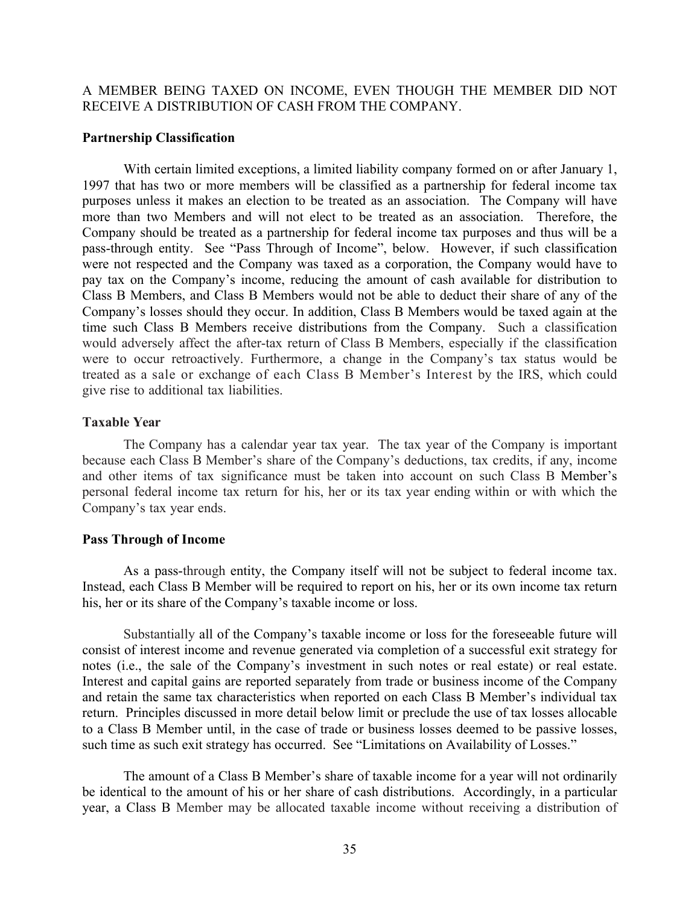## A MEMBER BEING TAXED ON INCOME, EVEN THOUGH THE MEMBER DID NOT RECEIVE A DISTRIBUTION OF CASH FROM THE COMPANY.

#### **Partnership Classification**

With certain limited exceptions, a limited liability company formed on or after January 1, 1997 that has two or more members will be classified as a partnership for federal income tax purposes unless it makes an election to be treated as an association. The Company will have more than two Members and will not elect to be treated as an association. Therefore, the Company should be treated as a partnership for federal income tax purposes and thus will be a pass-through entity. See "Pass Through of Income", below. However, if such classification were not respected and the Company was taxed as a corporation, the Company would have to pay tax on the Company's income, reducing the amount of cash available for distribution to Class B Members, and Class B Members would not be able to deduct their share of any of the Company's losses should they occur. In addition, Class B Members would be taxed again at the time such Class B Members receive distributions from the Company. Such a classification would adversely affect the after-tax return of Class B Members, especially if the classification were to occur retroactively. Furthermore, a change in the Company's tax status would be treated as a sale or exchange of each Class B Member's Interest by the IRS, which could give rise to additional tax liabilities.

## **Taxable Year**

The Company has a calendar year tax year. The tax year of the Company is important because each Class B Member's share of the Company's deductions, tax credits, if any, income and other items of tax significance must be taken into account on such Class B Member's personal federal income tax return for his, her or its tax year ending within or with which the Company's tax year ends.

#### **Pass Through of Income**

As a pass-through entity, the Company itself will not be subject to federal income tax. Instead, each Class B Member will be required to report on his, her or its own income tax return his, her or its share of the Company's taxable income or loss.

Substantially all of the Company's taxable income or loss for the foreseeable future will consist of interest income and revenue generated via completion of a successful exit strategy for notes (i.e., the sale of the Company's investment in such notes or real estate) or real estate. Interest and capital gains are reported separately from trade or business income of the Company and retain the same tax characteristics when reported on each Class B Member's individual tax return. Principles discussed in more detail below limit or preclude the use of tax losses allocable to a Class B Member until, in the case of trade or business losses deemed to be passive losses, such time as such exit strategy has occurred. See "Limitations on Availability of Losses."

The amount of a Class B Member's share of taxable income for a year will not ordinarily be identical to the amount of his or her share of cash distributions. Accordingly, in a particular year, a Class B Member may be allocated taxable income without receiving a distribution of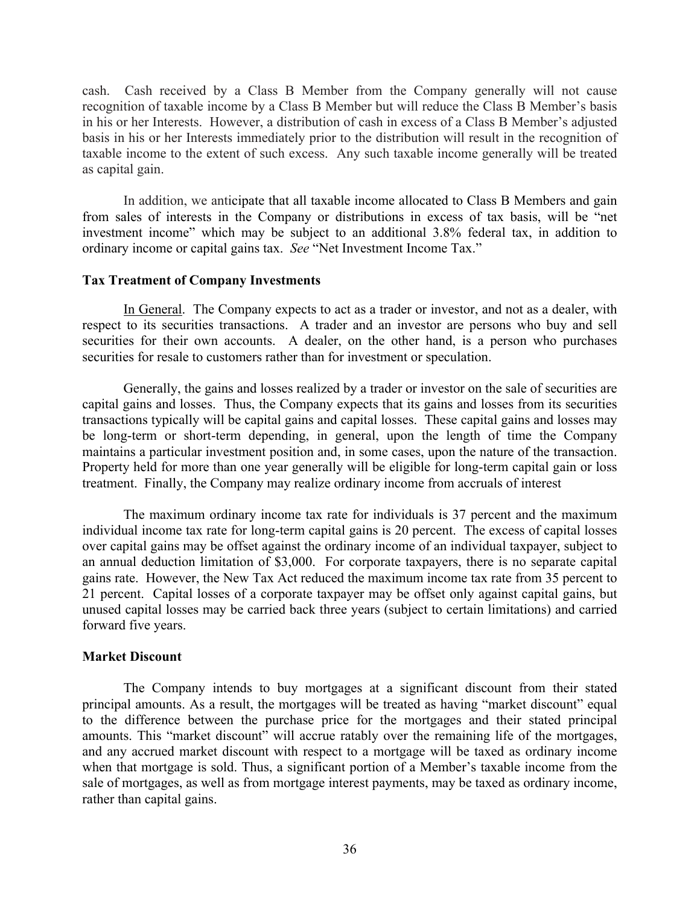cash. Cash received by a Class B Member from the Company generally will not cause recognition of taxable income by a Class B Member but will reduce the Class B Member's basis in his or her Interests. However, a distribution of cash in excess of a Class B Member's adjusted basis in his or her Interests immediately prior to the distribution will result in the recognition of taxable income to the extent of such excess. Any such taxable income generally will be treated as capital gain.

In addition, we anticipate that all taxable income allocated to Class B Members and gain from sales of interests in the Company or distributions in excess of tax basis, will be "net investment income" which may be subject to an additional 3.8% federal tax, in addition to ordinary income or capital gains tax. *See* "Net Investment Income Tax."

## **Tax Treatment of Company Investments**

In General. The Company expects to act as a trader or investor, and not as a dealer, with respect to its securities transactions. A trader and an investor are persons who buy and sell securities for their own accounts. A dealer, on the other hand, is a person who purchases securities for resale to customers rather than for investment or speculation.

Generally, the gains and losses realized by a trader or investor on the sale of securities are capital gains and losses. Thus, the Company expects that its gains and losses from its securities transactions typically will be capital gains and capital losses. These capital gains and losses may be long-term or short-term depending, in general, upon the length of time the Company maintains a particular investment position and, in some cases, upon the nature of the transaction. Property held for more than one year generally will be eligible for long-term capital gain or loss treatment. Finally, the Company may realize ordinary income from accruals of interest

The maximum ordinary income tax rate for individuals is 37 percent and the maximum individual income tax rate for long-term capital gains is 20 percent. The excess of capital losses over capital gains may be offset against the ordinary income of an individual taxpayer, subject to an annual deduction limitation of \$3,000. For corporate taxpayers, there is no separate capital gains rate. However, the New Tax Act reduced the maximum income tax rate from 35 percent to 21 percent. Capital losses of a corporate taxpayer may be offset only against capital gains, but unused capital losses may be carried back three years (subject to certain limitations) and carried forward five years.

## **Market Discount**

The Company intends to buy mortgages at a significant discount from their stated principal amounts. As a result, the mortgages will be treated as having "market discount" equal to the difference between the purchase price for the mortgages and their stated principal amounts. This "market discount" will accrue ratably over the remaining life of the mortgages, and any accrued market discount with respect to a mortgage will be taxed as ordinary income when that mortgage is sold. Thus, a significant portion of a Member's taxable income from the sale of mortgages, as well as from mortgage interest payments, may be taxed as ordinary income, rather than capital gains.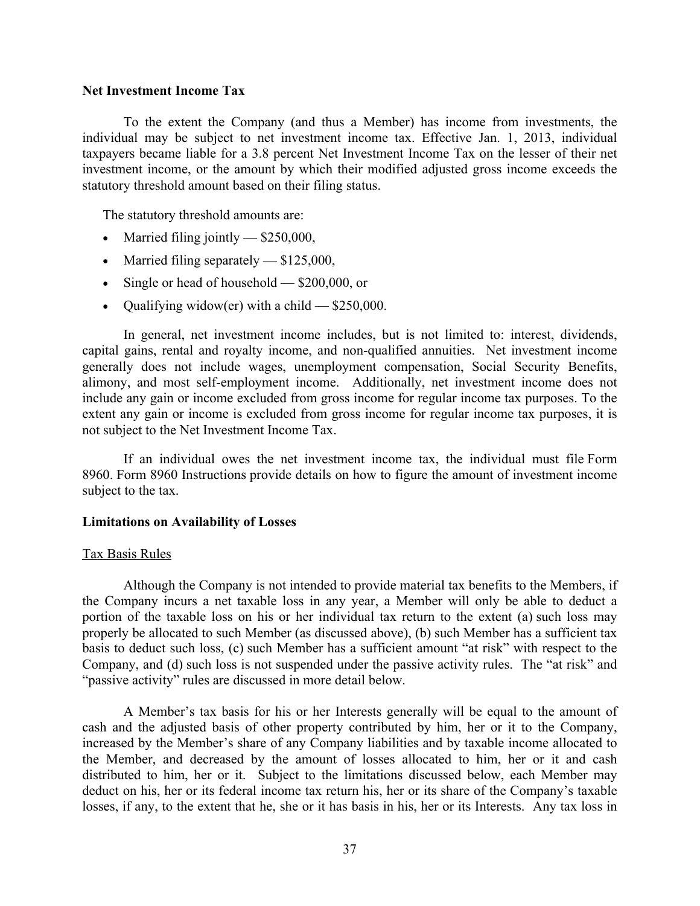#### **Net Investment Income Tax**

To the extent the Company (and thus a Member) has income from investments, the individual may be subject to net investment income tax. Effective Jan. 1, 2013, individual taxpayers became liable for a 3.8 percent Net Investment Income Tax on the lesser of their net investment income, or the amount by which their modified adjusted gross income exceeds the statutory threshold amount based on their filing status.

The statutory threshold amounts are:

- Married filing jointly  $-$  \$250,000,
- Married filing separately \$125,000,
- Single or head of household \$200,000, or
- Qualifying widow(er) with a child  $-$  \$250,000.

In general, net investment income includes, but is not limited to: interest, dividends, capital gains, rental and royalty income, and non-qualified annuities. Net investment income generally does not include wages, unemployment compensation, Social Security Benefits, alimony, and most self-employment income. Additionally, net investment income does not include any gain or income excluded from gross income for regular income tax purposes. To the extent any gain or income is excluded from gross income for regular income tax purposes, it is not subject to the Net Investment Income Tax.

If an individual owes the net investment income tax, the individual must file Form 8960. Form 8960 Instructions provide details on how to figure the amount of investment income subject to the tax.

#### **Limitations on Availability of Losses**

#### Tax Basis Rules

Although the Company is not intended to provide material tax benefits to the Members, if the Company incurs a net taxable loss in any year, a Member will only be able to deduct a portion of the taxable loss on his or her individual tax return to the extent (a) such loss may properly be allocated to such Member (as discussed above), (b) such Member has a sufficient tax basis to deduct such loss, (c) such Member has a sufficient amount "at risk" with respect to the Company, and (d) such loss is not suspended under the passive activity rules. The "at risk" and "passive activity" rules are discussed in more detail below.

A Member's tax basis for his or her Interests generally will be equal to the amount of cash and the adjusted basis of other property contributed by him, her or it to the Company, increased by the Member's share of any Company liabilities and by taxable income allocated to the Member, and decreased by the amount of losses allocated to him, her or it and cash distributed to him, her or it. Subject to the limitations discussed below, each Member may deduct on his, her or its federal income tax return his, her or its share of the Company's taxable losses, if any, to the extent that he, she or it has basis in his, her or its Interests. Any tax loss in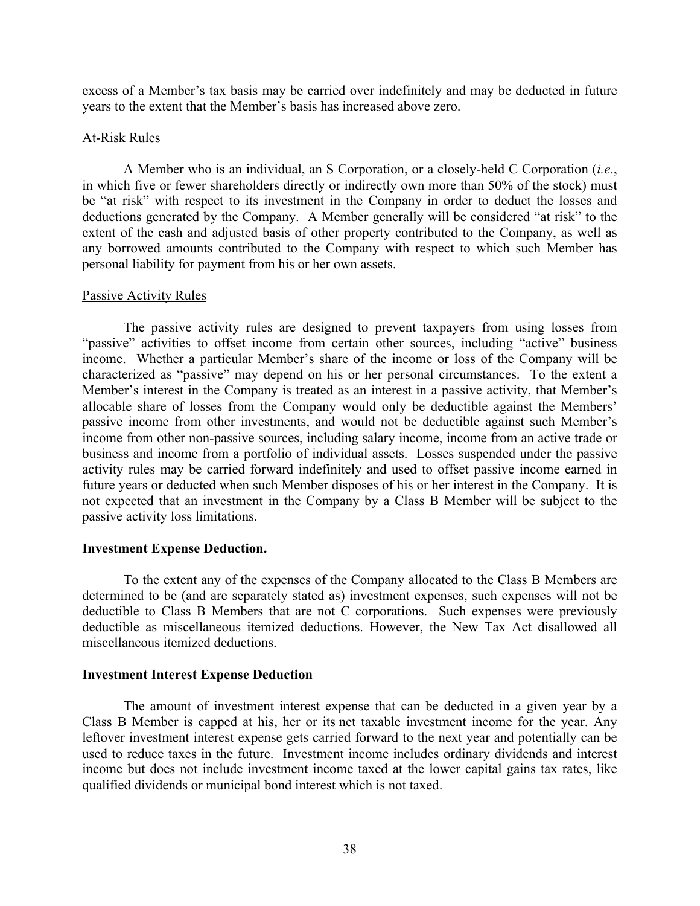excess of a Member's tax basis may be carried over indefinitely and may be deducted in future years to the extent that the Member's basis has increased above zero.

### At-Risk Rules

A Member who is an individual, an S Corporation, or a closely-held C Corporation (*i.e.*, in which five or fewer shareholders directly or indirectly own more than 50% of the stock) must be "at risk" with respect to its investment in the Company in order to deduct the losses and deductions generated by the Company. A Member generally will be considered "at risk" to the extent of the cash and adjusted basis of other property contributed to the Company, as well as any borrowed amounts contributed to the Company with respect to which such Member has personal liability for payment from his or her own assets.

#### Passive Activity Rules

The passive activity rules are designed to prevent taxpayers from using losses from "passive" activities to offset income from certain other sources, including "active" business income. Whether a particular Member's share of the income or loss of the Company will be characterized as "passive" may depend on his or her personal circumstances. To the extent a Member's interest in the Company is treated as an interest in a passive activity, that Member's allocable share of losses from the Company would only be deductible against the Members' passive income from other investments, and would not be deductible against such Member's income from other non-passive sources, including salary income, income from an active trade or business and income from a portfolio of individual assets. Losses suspended under the passive activity rules may be carried forward indefinitely and used to offset passive income earned in future years or deducted when such Member disposes of his or her interest in the Company. It is not expected that an investment in the Company by a Class B Member will be subject to the passive activity loss limitations.

## **Investment Expense Deduction.**

To the extent any of the expenses of the Company allocated to the Class B Members are determined to be (and are separately stated as) investment expenses, such expenses will not be deductible to Class B Members that are not C corporations. Such expenses were previously deductible as miscellaneous itemized deductions. However, the New Tax Act disallowed all miscellaneous itemized deductions.

## **Investment Interest Expense Deduction**

The amount of investment interest expense that can be deducted in a given year by a Class B Member is capped at his, her or its net taxable investment income for the year. Any leftover investment interest expense gets carried forward to the next year and potentially can be used to reduce taxes in the future. Investment income includes ordinary dividends and interest income but does not include investment income taxed at the lower capital gains tax rates, like qualified dividends or municipal bond interest which is not taxed.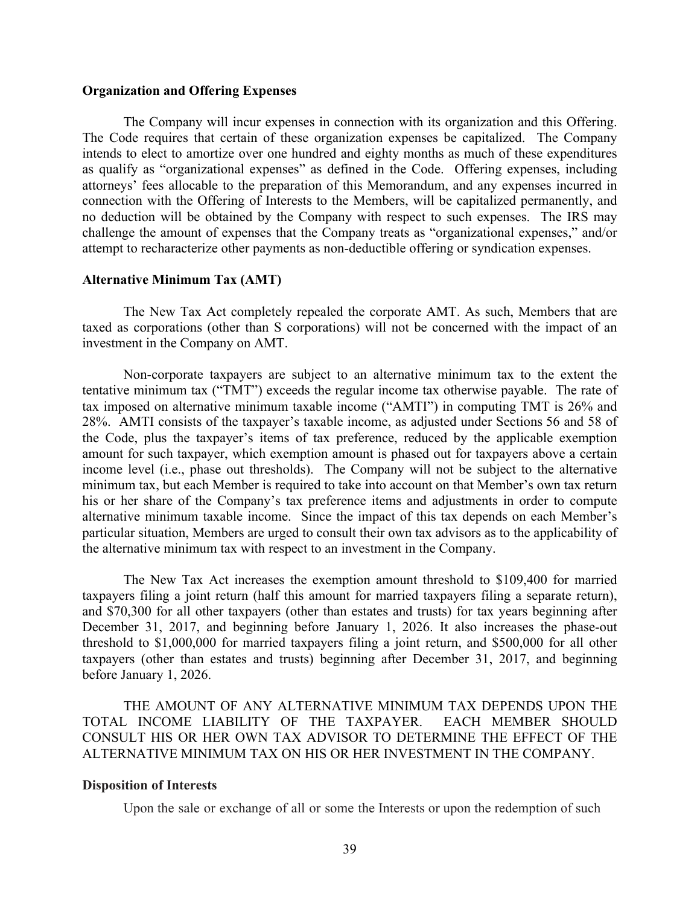#### **Organization and Offering Expenses**

The Company will incur expenses in connection with its organization and this Offering. The Code requires that certain of these organization expenses be capitalized. The Company intends to elect to amortize over one hundred and eighty months as much of these expenditures as qualify as "organizational expenses" as defined in the Code. Offering expenses, including attorneys' fees allocable to the preparation of this Memorandum, and any expenses incurred in connection with the Offering of Interests to the Members, will be capitalized permanently, and no deduction will be obtained by the Company with respect to such expenses. The IRS may challenge the amount of expenses that the Company treats as "organizational expenses," and/or attempt to recharacterize other payments as non-deductible offering or syndication expenses.

#### **Alternative Minimum Tax (AMT)**

The New Tax Act completely repealed the corporate AMT. As such, Members that are taxed as corporations (other than S corporations) will not be concerned with the impact of an investment in the Company on AMT.

Non-corporate taxpayers are subject to an alternative minimum tax to the extent the tentative minimum tax ("TMT") exceeds the regular income tax otherwise payable. The rate of tax imposed on alternative minimum taxable income ("AMTI") in computing TMT is 26% and 28%. AMTI consists of the taxpayer's taxable income, as adjusted under Sections 56 and 58 of the Code, plus the taxpayer's items of tax preference, reduced by the applicable exemption amount for such taxpayer, which exemption amount is phased out for taxpayers above a certain income level (i.e., phase out thresholds). The Company will not be subject to the alternative minimum tax, but each Member is required to take into account on that Member's own tax return his or her share of the Company's tax preference items and adjustments in order to compute alternative minimum taxable income. Since the impact of this tax depends on each Member's particular situation, Members are urged to consult their own tax advisors as to the applicability of the alternative minimum tax with respect to an investment in the Company.

The New Tax Act increases the exemption amount threshold to \$109,400 for married taxpayers filing a joint return (half this amount for married taxpayers filing a separate return), and \$70,300 for all other taxpayers (other than estates and trusts) for tax years beginning after December 31, 2017, and beginning before January 1, 2026. It also increases the phase-out threshold to \$1,000,000 for married taxpayers filing a joint return, and \$500,000 for all other taxpayers (other than estates and trusts) beginning after December 31, 2017, and beginning before January 1, 2026.

THE AMOUNT OF ANY ALTERNATIVE MINIMUM TAX DEPENDS UPON THE TOTAL INCOME LIABILITY OF THE TAXPAYER. EACH MEMBER SHOULD CONSULT HIS OR HER OWN TAX ADVISOR TO DETERMINE THE EFFECT OF THE ALTERNATIVE MINIMUM TAX ON HIS OR HER INVESTMENT IN THE COMPANY.

#### **Disposition of Interests**

Upon the sale or exchange of all or some the Interests or upon the redemption of such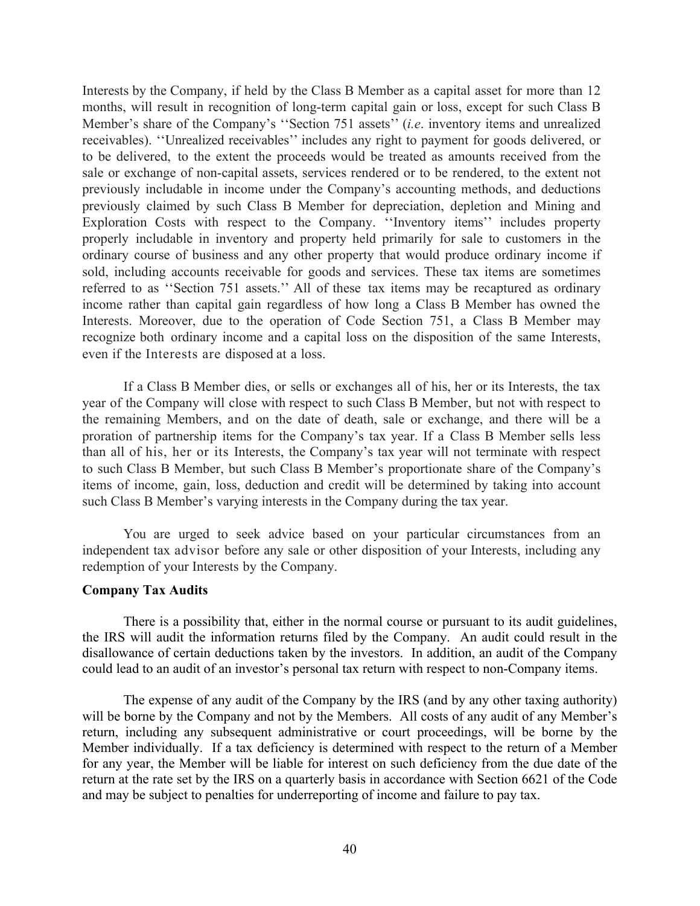Interests by the Company, if held by the Class B Member as a capital asset for more than 12 months, will result in recognition of long-term capital gain or loss, except for such Class B Member's share of the Company's ''Section 751 assets'' (*i.e*. inventory items and unrealized receivables). ''Unrealized receivables'' includes any right to payment for goods delivered, or to be delivered, to the extent the proceeds would be treated as amounts received from the sale or exchange of non-capital assets, services rendered or to be rendered, to the extent not previously includable in income under the Company's accounting methods, and deductions previously claimed by such Class B Member for depreciation, depletion and Mining and Exploration Costs with respect to the Company. ''Inventory items'' includes property properly includable in inventory and property held primarily for sale to customers in the ordinary course of business and any other property that would produce ordinary income if sold, including accounts receivable for goods and services. These tax items are sometimes referred to as ''Section 751 assets.'' All of these tax items may be recaptured as ordinary income rather than capital gain regardless of how long a Class B Member has owned the Interests. Moreover, due to the operation of Code Section 751, a Class B Member may recognize both ordinary income and a capital loss on the disposition of the same Interests, even if the Interests are disposed at a loss.

If a Class B Member dies, or sells or exchanges all of his, her or its Interests, the tax year of the Company will close with respect to such Class B Member, but not with respect to the remaining Members, and on the date of death, sale or exchange, and there will be a proration of partnership items for the Company's tax year. If a Class B Member sells less than all of his, her or its Interests, the Company's tax year will not terminate with respect to such Class B Member, but such Class B Member's proportionate share of the Company's items of income, gain, loss, deduction and credit will be determined by taking into account such Class B Member's varying interests in the Company during the tax year.

You are urged to seek advice based on your particular circumstances from an independent tax advisor before any sale or other disposition of your Interests, including any redemption of your Interests by the Company.

#### **Company Tax Audits**

There is a possibility that, either in the normal course or pursuant to its audit guidelines, the IRS will audit the information returns filed by the Company. An audit could result in the disallowance of certain deductions taken by the investors. In addition, an audit of the Company could lead to an audit of an investor's personal tax return with respect to non-Company items.

The expense of any audit of the Company by the IRS (and by any other taxing authority) will be borne by the Company and not by the Members. All costs of any audit of any Member's return, including any subsequent administrative or court proceedings, will be borne by the Member individually. If a tax deficiency is determined with respect to the return of a Member for any year, the Member will be liable for interest on such deficiency from the due date of the return at the rate set by the IRS on a quarterly basis in accordance with Section 6621 of the Code and may be subject to penalties for underreporting of income and failure to pay tax.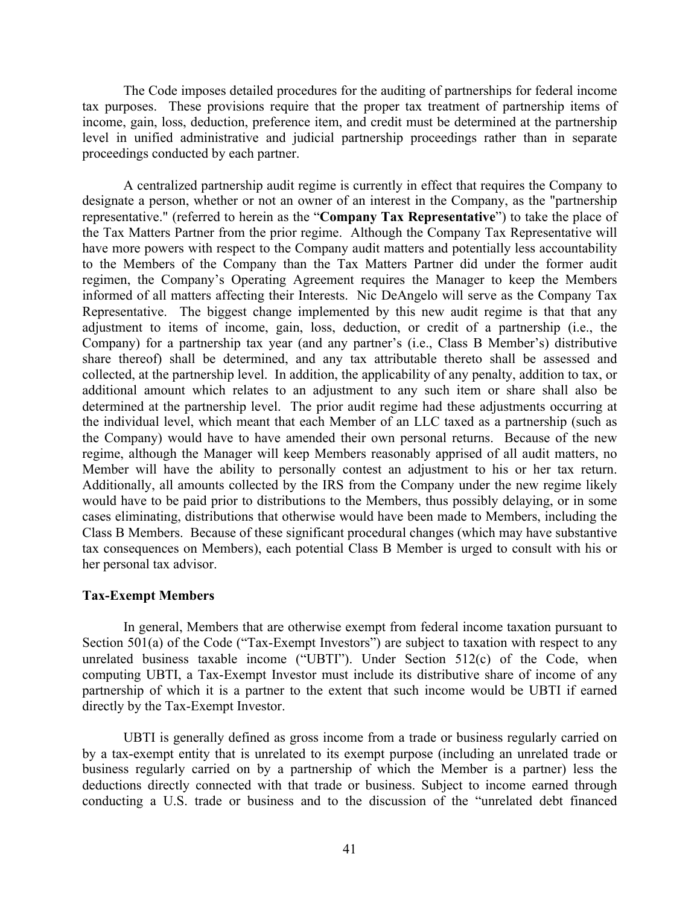The Code imposes detailed procedures for the auditing of partnerships for federal income tax purposes. These provisions require that the proper tax treatment of partnership items of income, gain, loss, deduction, preference item, and credit must be determined at the partnership level in unified administrative and judicial partnership proceedings rather than in separate proceedings conducted by each partner.

A centralized partnership audit regime is currently in effect that requires the Company to designate a person, whether or not an owner of an interest in the Company, as the "partnership representative." (referred to herein as the "**Company Tax Representative**") to take the place of the Tax Matters Partner from the prior regime. Although the Company Tax Representative will have more powers with respect to the Company audit matters and potentially less accountability to the Members of the Company than the Tax Matters Partner did under the former audit regimen, the Company's Operating Agreement requires the Manager to keep the Members informed of all matters affecting their Interests. Nic DeAngelo will serve as the Company Tax Representative. The biggest change implemented by this new audit regime is that that any adjustment to items of income, gain, loss, deduction, or credit of a partnership (i.e., the Company) for a partnership tax year (and any partner's (i.e., Class B Member's) distributive share thereof) shall be determined, and any tax attributable thereto shall be assessed and collected, at the partnership level. In addition, the applicability of any penalty, addition to tax, or additional amount which relates to an adjustment to any such item or share shall also be determined at the partnership level. The prior audit regime had these adjustments occurring at the individual level, which meant that each Member of an LLC taxed as a partnership (such as the Company) would have to have amended their own personal returns. Because of the new regime, although the Manager will keep Members reasonably apprised of all audit matters, no Member will have the ability to personally contest an adjustment to his or her tax return. Additionally, all amounts collected by the IRS from the Company under the new regime likely would have to be paid prior to distributions to the Members, thus possibly delaying, or in some cases eliminating, distributions that otherwise would have been made to Members, including the Class B Members. Because of these significant procedural changes (which may have substantive tax consequences on Members), each potential Class B Member is urged to consult with his or her personal tax advisor.

#### **Tax-Exempt Members**

In general, Members that are otherwise exempt from federal income taxation pursuant to Section 501(a) of the Code ("Tax-Exempt Investors") are subject to taxation with respect to any unrelated business taxable income ("UBTI"). Under Section 512(c) of the Code, when computing UBTI, a Tax-Exempt Investor must include its distributive share of income of any partnership of which it is a partner to the extent that such income would be UBTI if earned directly by the Tax-Exempt Investor.

UBTI is generally defined as gross income from a trade or business regularly carried on by a tax-exempt entity that is unrelated to its exempt purpose (including an unrelated trade or business regularly carried on by a partnership of which the Member is a partner) less the deductions directly connected with that trade or business. Subject to income earned through conducting a U.S. trade or business and to the discussion of the "unrelated debt financed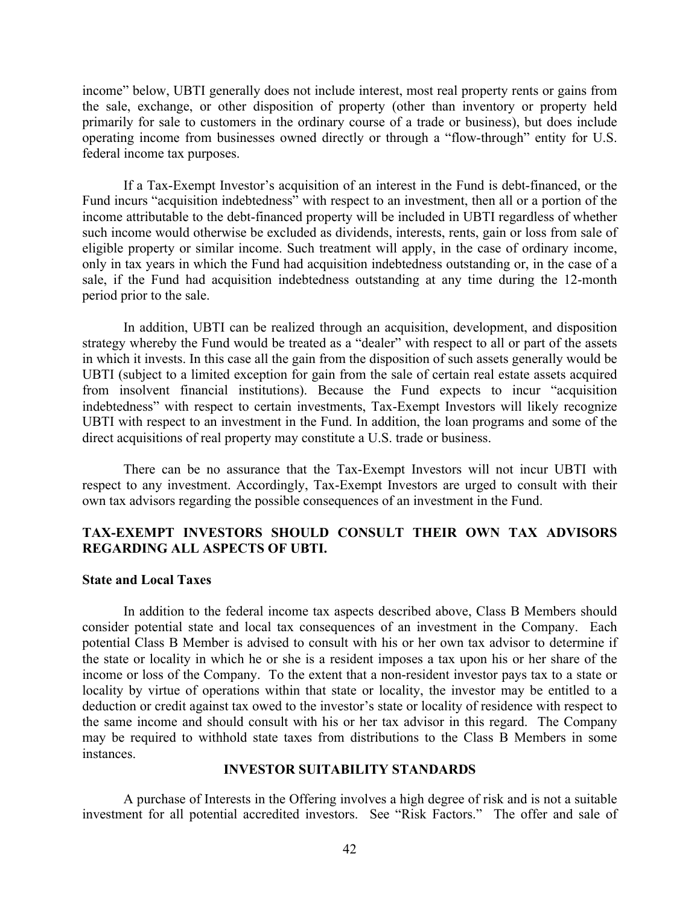income" below, UBTI generally does not include interest, most real property rents or gains from the sale, exchange, or other disposition of property (other than inventory or property held primarily for sale to customers in the ordinary course of a trade or business), but does include operating income from businesses owned directly or through a "flow-through" entity for U.S. federal income tax purposes.

If a Tax-Exempt Investor's acquisition of an interest in the Fund is debt-financed, or the Fund incurs "acquisition indebtedness" with respect to an investment, then all or a portion of the income attributable to the debt-financed property will be included in UBTI regardless of whether such income would otherwise be excluded as dividends, interests, rents, gain or loss from sale of eligible property or similar income. Such treatment will apply, in the case of ordinary income, only in tax years in which the Fund had acquisition indebtedness outstanding or, in the case of a sale, if the Fund had acquisition indebtedness outstanding at any time during the 12-month period prior to the sale.

In addition, UBTI can be realized through an acquisition, development, and disposition strategy whereby the Fund would be treated as a "dealer" with respect to all or part of the assets in which it invests. In this case all the gain from the disposition of such assets generally would be UBTI (subject to a limited exception for gain from the sale of certain real estate assets acquired from insolvent financial institutions). Because the Fund expects to incur "acquisition indebtedness" with respect to certain investments, Tax-Exempt Investors will likely recognize UBTI with respect to an investment in the Fund. In addition, the loan programs and some of the direct acquisitions of real property may constitute a U.S. trade or business.

There can be no assurance that the Tax-Exempt Investors will not incur UBTI with respect to any investment. Accordingly, Tax-Exempt Investors are urged to consult with their own tax advisors regarding the possible consequences of an investment in the Fund.

## **TAX-EXEMPT INVESTORS SHOULD CONSULT THEIR OWN TAX ADVISORS REGARDING ALL ASPECTS OF UBTI.**

#### **State and Local Taxes**

In addition to the federal income tax aspects described above, Class B Members should consider potential state and local tax consequences of an investment in the Company. Each potential Class B Member is advised to consult with his or her own tax advisor to determine if the state or locality in which he or she is a resident imposes a tax upon his or her share of the income or loss of the Company. To the extent that a non-resident investor pays tax to a state or locality by virtue of operations within that state or locality, the investor may be entitled to a deduction or credit against tax owed to the investor's state or locality of residence with respect to the same income and should consult with his or her tax advisor in this regard. The Company may be required to withhold state taxes from distributions to the Class B Members in some instances.

## **INVESTOR SUITABILITY STANDARDS**

A purchase of Interests in the Offering involves a high degree of risk and is not a suitable investment for all potential accredited investors. See "Risk Factors." The offer and sale of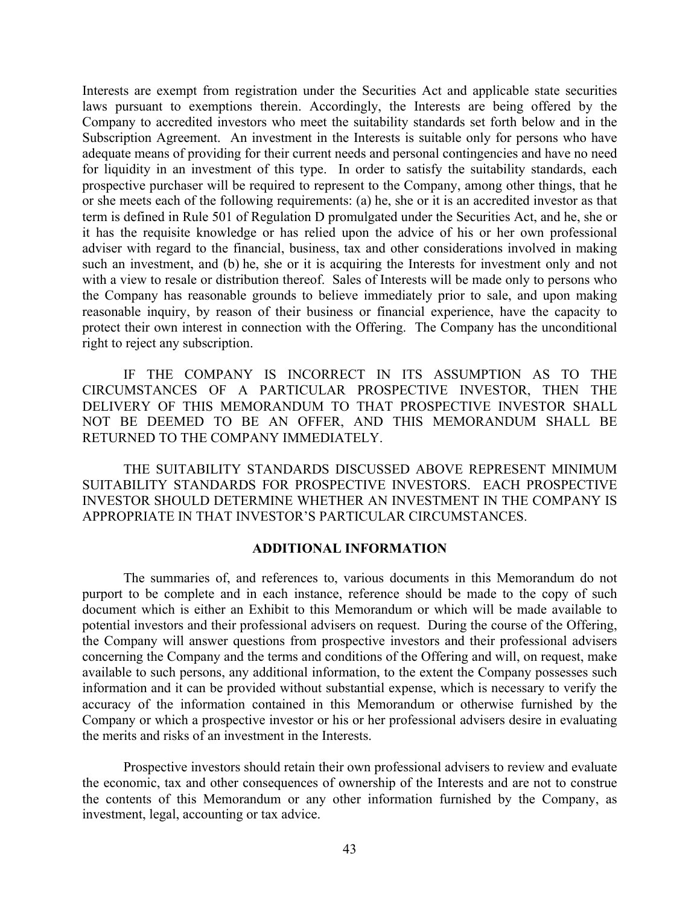Interests are exempt from registration under the Securities Act and applicable state securities laws pursuant to exemptions therein. Accordingly, the Interests are being offered by the Company to accredited investors who meet the suitability standards set forth below and in the Subscription Agreement. An investment in the Interests is suitable only for persons who have adequate means of providing for their current needs and personal contingencies and have no need for liquidity in an investment of this type. In order to satisfy the suitability standards, each prospective purchaser will be required to represent to the Company, among other things, that he or she meets each of the following requirements: (a) he, she or it is an accredited investor as that term is defined in Rule 501 of Regulation D promulgated under the Securities Act, and he, she or it has the requisite knowledge or has relied upon the advice of his or her own professional adviser with regard to the financial, business, tax and other considerations involved in making such an investment, and (b) he, she or it is acquiring the Interests for investment only and not with a view to resale or distribution thereof. Sales of Interests will be made only to persons who the Company has reasonable grounds to believe immediately prior to sale, and upon making reasonable inquiry, by reason of their business or financial experience, have the capacity to protect their own interest in connection with the Offering. The Company has the unconditional right to reject any subscription.

IF THE COMPANY IS INCORRECT IN ITS ASSUMPTION AS TO THE CIRCUMSTANCES OF A PARTICULAR PROSPECTIVE INVESTOR, THEN THE DELIVERY OF THIS MEMORANDUM TO THAT PROSPECTIVE INVESTOR SHALL NOT BE DEEMED TO BE AN OFFER, AND THIS MEMORANDUM SHALL BE RETURNED TO THE COMPANY IMMEDIATELY.

THE SUITABILITY STANDARDS DISCUSSED ABOVE REPRESENT MINIMUM SUITABILITY STANDARDS FOR PROSPECTIVE INVESTORS. EACH PROSPECTIVE INVESTOR SHOULD DETERMINE WHETHER AN INVESTMENT IN THE COMPANY IS APPROPRIATE IN THAT INVESTOR'S PARTICULAR CIRCUMSTANCES.

## **ADDITIONAL INFORMATION**

The summaries of, and references to, various documents in this Memorandum do not purport to be complete and in each instance, reference should be made to the copy of such document which is either an Exhibit to this Memorandum or which will be made available to potential investors and their professional advisers on request. During the course of the Offering, the Company will answer questions from prospective investors and their professional advisers concerning the Company and the terms and conditions of the Offering and will, on request, make available to such persons, any additional information, to the extent the Company possesses such information and it can be provided without substantial expense, which is necessary to verify the accuracy of the information contained in this Memorandum or otherwise furnished by the Company or which a prospective investor or his or her professional advisers desire in evaluating the merits and risks of an investment in the Interests.

Prospective investors should retain their own professional advisers to review and evaluate the economic, tax and other consequences of ownership of the Interests and are not to construe the contents of this Memorandum or any other information furnished by the Company, as investment, legal, accounting or tax advice.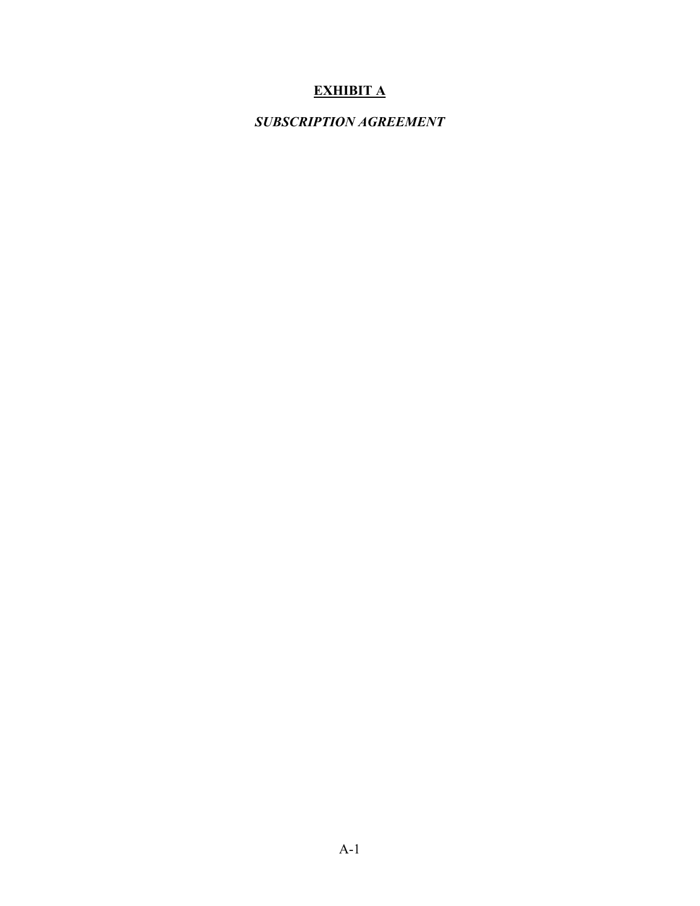# **EXHIBIT A**

# *SUBSCRIPTION AGREEMENT*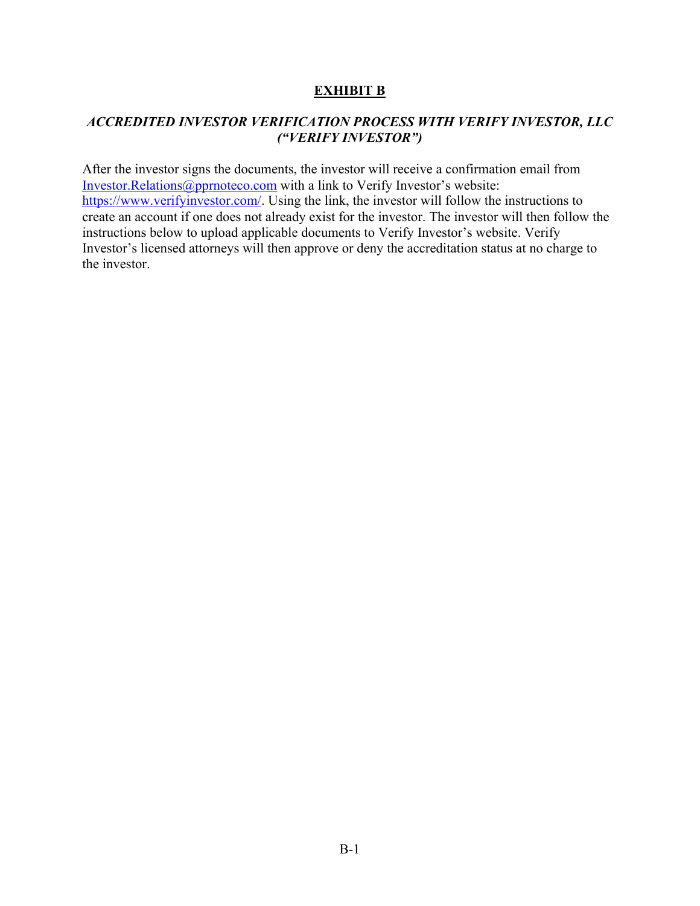# **EXHIBIT B**

# *ACCREDITED INVESTOR VERIFICATION PROCESS WITH VERIFY INVESTOR, LLC ("VERIFY INVESTOR")*

After the investor signs the documents, the investor will receive a confirmation email from Investor.Relations@pprnoteco.com with a link to Verify Investor's website: https://www.verifyinvestor.com/. Using the link, the investor will follow the instructions to create an account if one does not already exist for the investor. The investor will then follow the instructions below to upload applicable documents to Verify Investor's website. Verify Investor's licensed attorneys will then approve or deny the accreditation status at no charge to the investor.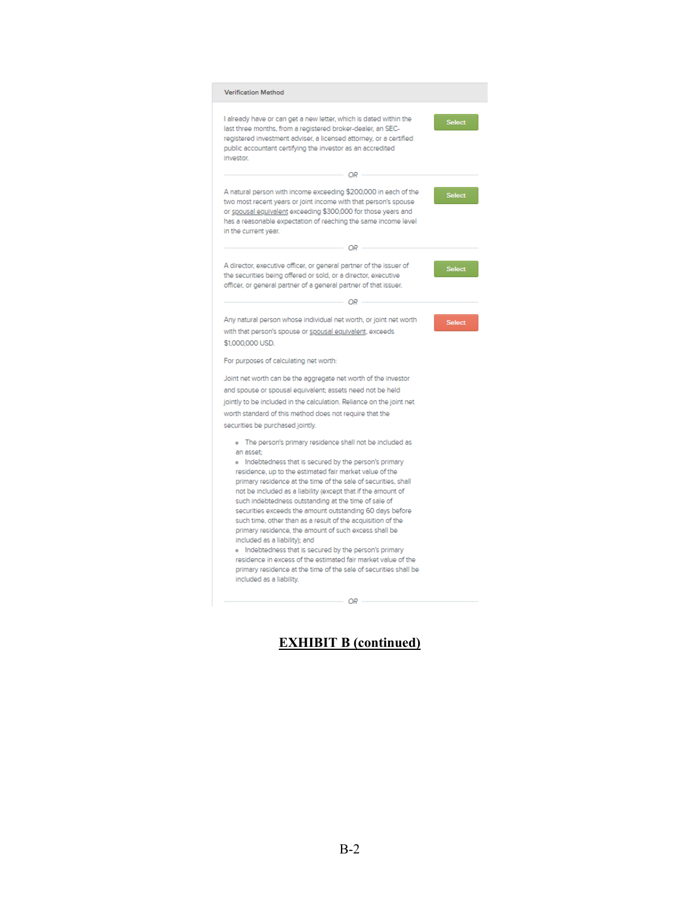| <b>Verification Method</b>                                                                                                                                                                                                                                                                                                                                                                                                                                                                                                                                                                                                                                                                                                                                                                                                            |               |
|---------------------------------------------------------------------------------------------------------------------------------------------------------------------------------------------------------------------------------------------------------------------------------------------------------------------------------------------------------------------------------------------------------------------------------------------------------------------------------------------------------------------------------------------------------------------------------------------------------------------------------------------------------------------------------------------------------------------------------------------------------------------------------------------------------------------------------------|---------------|
| I already have or can get a new letter, which is dated within the<br>last three months, from a registered broker-dealer, an SEC-<br>registered investment adviser, a licensed attorney, or a certified<br>public accountant certifying the investor as an accredited<br>investor.                                                                                                                                                                                                                                                                                                                                                                                                                                                                                                                                                     | Select        |
| OR -                                                                                                                                                                                                                                                                                                                                                                                                                                                                                                                                                                                                                                                                                                                                                                                                                                  |               |
| A natural person with income exceeding \$200,000 in each of the<br>two most recent years or joint income with that person's spouse<br>or spousal equivalent exceeding \$300,000 for those years and<br>has a reasonable expectation of reaching the same income level<br>in the current year.                                                                                                                                                                                                                                                                                                                                                                                                                                                                                                                                         | Select        |
| OR -                                                                                                                                                                                                                                                                                                                                                                                                                                                                                                                                                                                                                                                                                                                                                                                                                                  |               |
| A director, executive officer, or general partner of the issuer of<br>the securities being offered or sold, or a director, executive<br>officer, or general partner of a general partner of that issuer.                                                                                                                                                                                                                                                                                                                                                                                                                                                                                                                                                                                                                              | <b>Select</b> |
| - OR -                                                                                                                                                                                                                                                                                                                                                                                                                                                                                                                                                                                                                                                                                                                                                                                                                                |               |
| Any natural person whose individual net worth, or joint net worth<br>with that person's spouse or spousal equivalent, exceeds<br>\$1,000,000 USD.                                                                                                                                                                                                                                                                                                                                                                                                                                                                                                                                                                                                                                                                                     | <b>Select</b> |
| For purposes of calculating net worth:                                                                                                                                                                                                                                                                                                                                                                                                                                                                                                                                                                                                                                                                                                                                                                                                |               |
| Joint net worth can be the aggregate net worth of the investor<br>and spouse or spousal equivalent; assets need not be held<br>jointly to be included in the calculation. Reliance on the joint net<br>worth standard of this method does not require that the<br>securities be purchased jointly.                                                                                                                                                                                                                                                                                                                                                                                                                                                                                                                                    |               |
| o The person's primary residence shall not be included as<br>an asset:<br>o Indebtedness that is secured by the person's primary<br>residence, up to the estimated fair market value of the<br>primary residence at the time of the sale of securities, shall<br>not be included as a liability (except that if the amount of<br>such indebtedness outstanding at the time of sale of<br>securities exceeds the amount outstanding 60 days before<br>such time, other than as a result of the acquisition of the<br>primary residence, the amount of such excess shall be<br>included as a liability); and<br>o Indebtedness that is secured by the person's primary<br>residence in excess of the estimated fair market value of the<br>primary residence at the time of the sale of securities shall be<br>included as a liability. |               |
|                                                                                                                                                                                                                                                                                                                                                                                                                                                                                                                                                                                                                                                                                                                                                                                                                                       |               |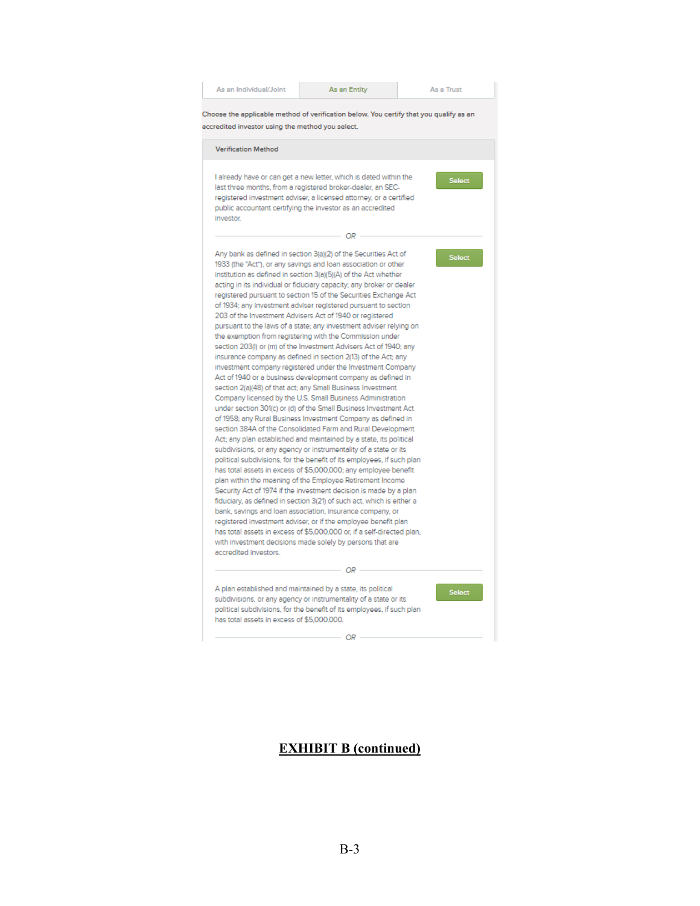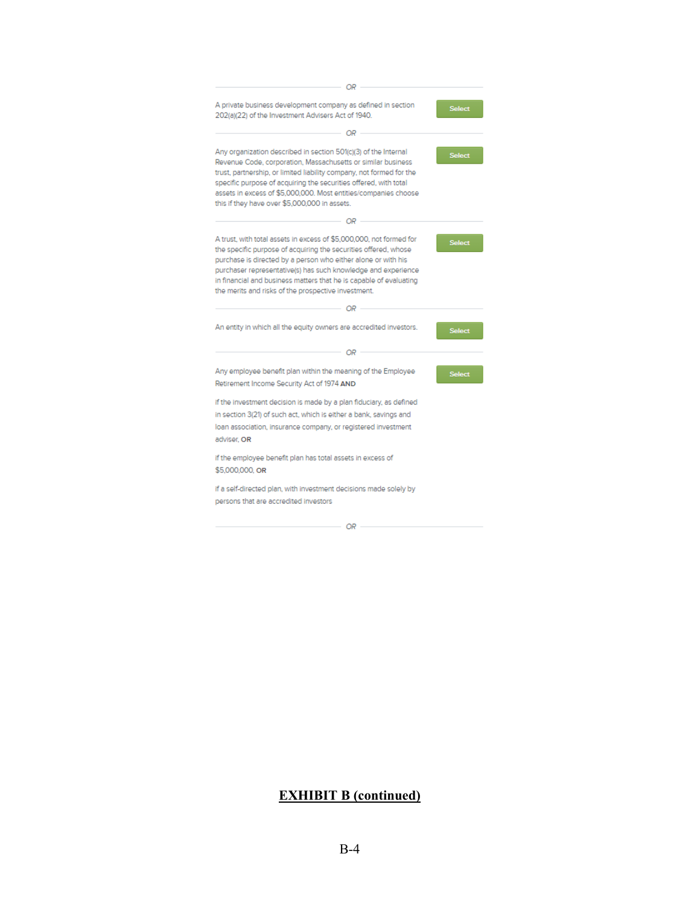| OR                                                                                                                                                                                                                                                                                                                                                                                                    |               |
|-------------------------------------------------------------------------------------------------------------------------------------------------------------------------------------------------------------------------------------------------------------------------------------------------------------------------------------------------------------------------------------------------------|---------------|
| A private business development company as defined in section<br>202(a)(22) of the Investment Advisers Act of 1940.                                                                                                                                                                                                                                                                                    | <b>Select</b> |
| OR                                                                                                                                                                                                                                                                                                                                                                                                    |               |
| Any organization described in section 501(c)(3) of the Internal<br>Revenue Code, corporation, Massachusetts or similar business<br>trust, partnership, or limited liability company, not formed for the<br>specific purpose of acquiring the securities offered, with total<br>assets in excess of \$5,000,000. Most entities/companies choose<br>this if they have over \$5,000,000 in assets.       | <b>Select</b> |
| OR                                                                                                                                                                                                                                                                                                                                                                                                    |               |
| A trust, with total assets in excess of \$5,000,000, not formed for<br>the specific purpose of acquiring the securities offered, whose<br>purchase is directed by a person who either alone or with his<br>purchaser representative(s) has such knowledge and experience<br>in financial and business matters that he is capable of evaluating<br>the merits and risks of the prospective investment. | <b>Select</b> |
| OR                                                                                                                                                                                                                                                                                                                                                                                                    |               |
| An entity in which all the equity owners are accredited investors.                                                                                                                                                                                                                                                                                                                                    | <b>Select</b> |
| OR                                                                                                                                                                                                                                                                                                                                                                                                    |               |
| Any employee benefit plan within the meaning of the Employee<br>Retirement Income Security Act of 1974 AND                                                                                                                                                                                                                                                                                            | <b>Select</b> |
| if the investment decision is made by a plan fiduciary, as defined<br>in section 3(21) of such act, which is either a bank, savings and<br>loan association, insurance company, or registered investment<br>adviser, OR                                                                                                                                                                               |               |
| if the employee benefit plan has total assets in excess of<br>\$5,000,000, OR                                                                                                                                                                                                                                                                                                                         |               |
| if a self-directed plan, with investment decisions made solely by<br>persons that are accredited investors                                                                                                                                                                                                                                                                                            |               |

 ${\cal OR}$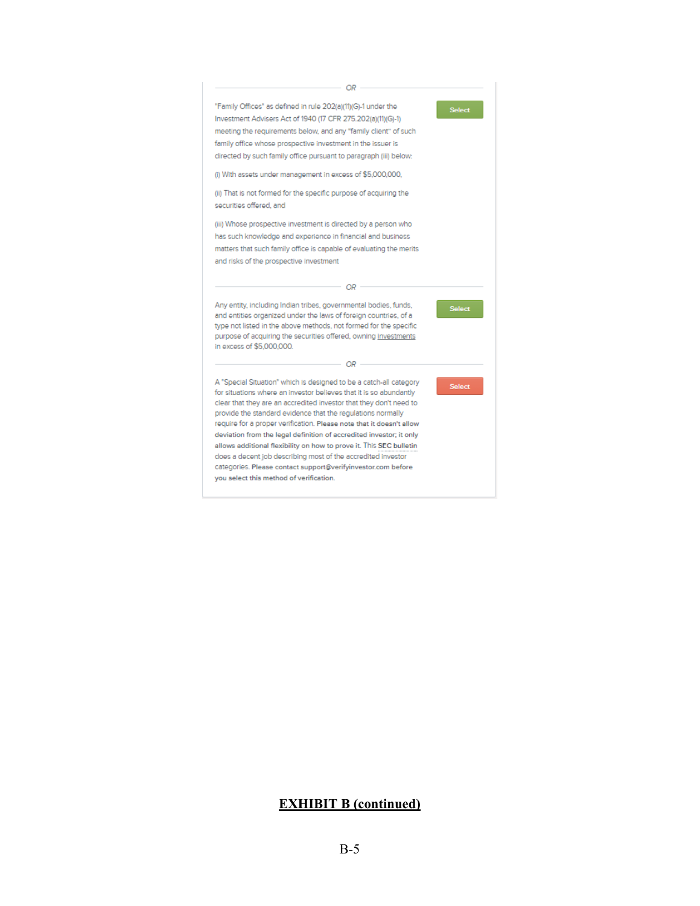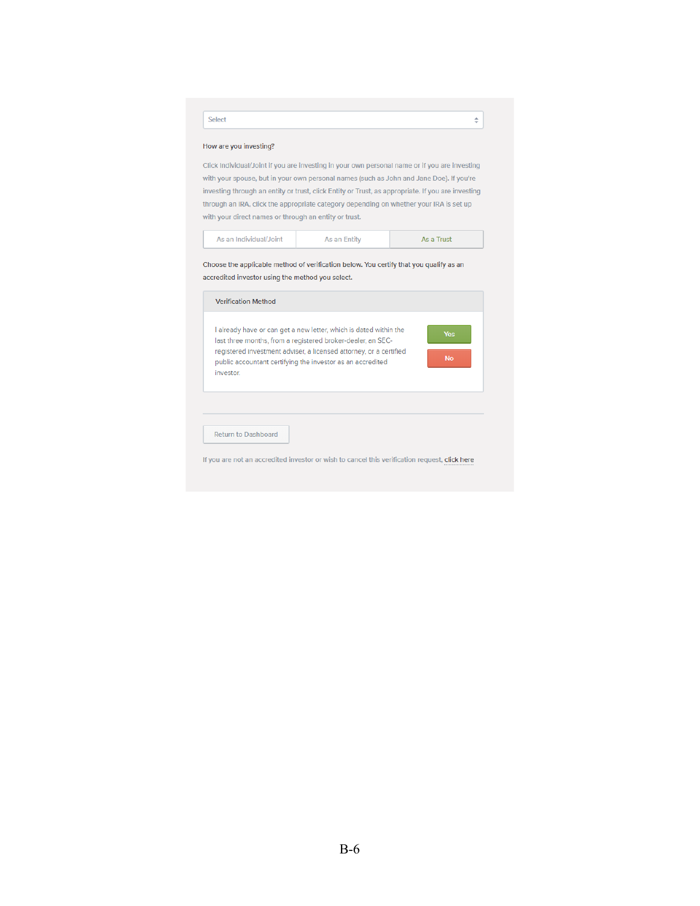| Select                                                                         |                                                                                                                                                                                                                                                                      | ÷                       |
|--------------------------------------------------------------------------------|----------------------------------------------------------------------------------------------------------------------------------------------------------------------------------------------------------------------------------------------------------------------|-------------------------|
| How are you investing?                                                         |                                                                                                                                                                                                                                                                      |                         |
|                                                                                | Click Individual/Joint if you are investing in your own personal name or if you are investing                                                                                                                                                                        |                         |
|                                                                                | with your spouse, but in your own personal names (such as John and Jane Doe). If you're                                                                                                                                                                              |                         |
|                                                                                | investing through an entity or trust, click Entity or Trust, as appropriate. If you are investing                                                                                                                                                                    |                         |
|                                                                                | through an IRA, click the appropriate category depending on whether your IRA is set up                                                                                                                                                                               |                         |
| with your direct names or through an entity or trust.                          |                                                                                                                                                                                                                                                                      |                         |
| As an Individual/Joint                                                         | As an Entity                                                                                                                                                                                                                                                         | As a Trust              |
| <b>Verification Method</b>                                                     | Choose the applicable method of verification below. You certify that you qualify as an                                                                                                                                                                               |                         |
|                                                                                |                                                                                                                                                                                                                                                                      |                         |
| investor                                                                       | I already have or can get a new letter, which is dated within the<br>last three months, from a registered broker-dealer, an SEC-<br>registered investment adviser, a licensed attorney, or a certified<br>public accountant certifying the investor as an accredited | <b>Yes</b><br><b>No</b> |
|                                                                                |                                                                                                                                                                                                                                                                      |                         |
| accredited investor using the method you select.<br><b>Return to Dashboard</b> |                                                                                                                                                                                                                                                                      |                         |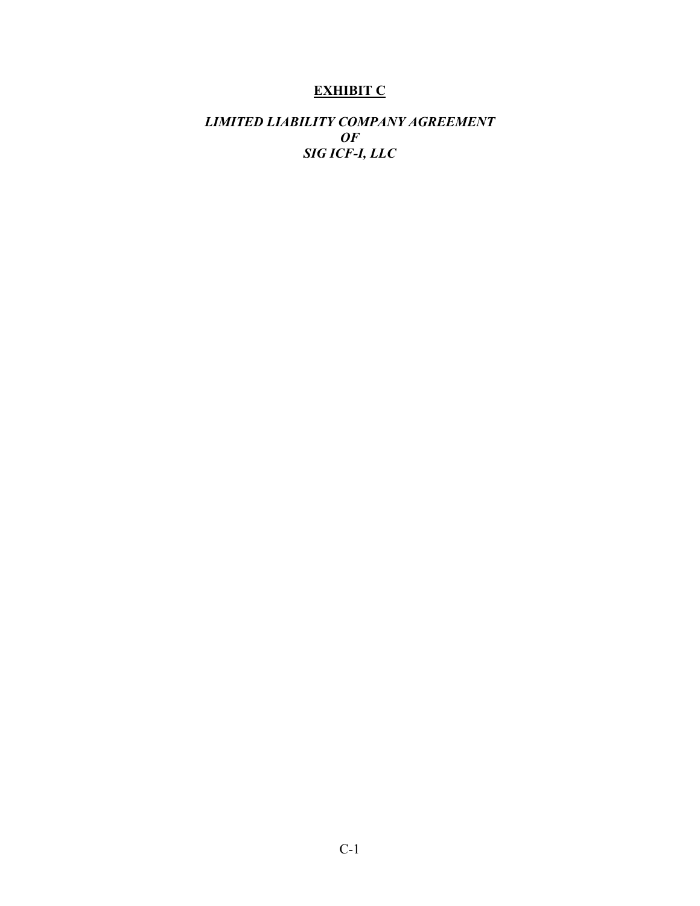# **EXHIBIT C**

# *LIMITED LIABILITY COMPANY AGREEMENT OF SIG ICF-I, LLC*